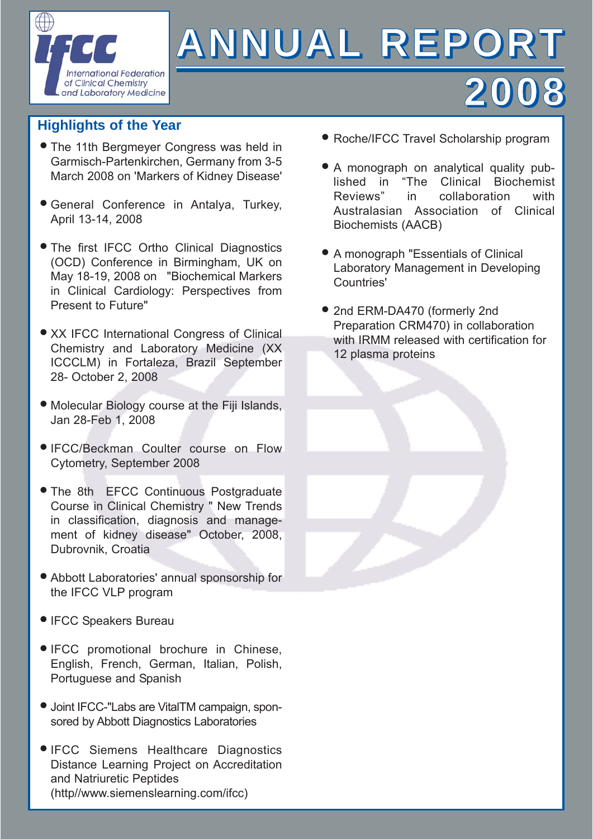

# **ANNUAL REPORT**

# **Highlights of the Year**

- **The 11th Bergmeyer Congress was held in** Garmisch-Partenkirchen, Germany from 3-5 March 2008 on 'Markers of Kidney Disease'
- General Conference in Antalya, Turkey, Q April 13-14, 2008
- **The first IFCC Ortho Clinical Diagnostics** (OCD) Conference in Birmingham, UK on May 18-19, 2008 on "Biochemical Markers in Clinical Cardiology: Perspectives from Present to Future"
- **XX IFCC International Congress of Clinical** Chemistry and Laboratory Medicine (XX ICCCLM) in Fortaleza, Brazil September 28- October 2, 2008
- Molecular Biology course at the Fiji Islands, Q Jan 28-Feb 1, 2008
- **IFCC/Beckman Coulter course on Flow** Cytometry, September 2008
- The 8th EFCC Continuous Postgraduate Course in Clinical Chemistry " New Trends in classification, diagnosis and management of kidney disease" October, 2008, Dubrovnik, Croatia
- Abbott Laboratories' annual sponsorship for Q the IFCC VLP program
- **IFCC Speakers Bureau**
- **IFCC** promotional brochure in Chinese, English, French, German, Italian, Polish, Portuguese and Spanish
- Joint IFCC-"Labs are VitalTM campaign, spon-Q sored by Abbott Diagnostics Laboratories
- **IFCC Siemens Healthcare Diagnostics** Distance Learning Project on Accreditation and Natriuretic Peptides (http//www.siemenslearning.com/ifcc)

● Roche/IFCC Travel Scholarship program

**2008**

- A monograph on analytical quality published in "The Clinical Biochemist Reviews" in collaboration with Australasian Association of Clinical Biochemists (AACB)
- A monograph "Essentials of Clinical Q Laboratory Management in Developing Countries'
- 2nd ERM-DA470 (formerly 2nd Preparation CRM470) in collaboration with IRMM released with certification for 12 plasma proteins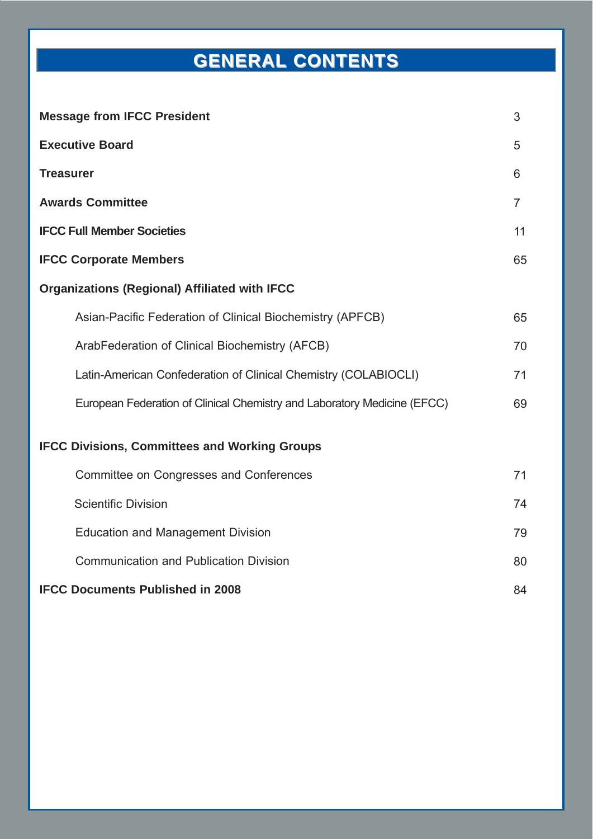# **GENERAL GENERAL CONTENTS CONTENTS**

| <b>Message from IFCC President</b>                                       | 3              |
|--------------------------------------------------------------------------|----------------|
| <b>Executive Board</b>                                                   | 5              |
| <b>Treasurer</b>                                                         | 6              |
| <b>Awards Committee</b>                                                  | $\overline{7}$ |
| <b>IFCC Full Member Societies</b>                                        | 11             |
| <b>IFCC Corporate Members</b>                                            | 65             |
| <b>Organizations (Regional) Affiliated with IFCC</b>                     |                |
| Asian-Pacific Federation of Clinical Biochemistry (APFCB)                | 65             |
| ArabFederation of Clinical Biochemistry (AFCB)                           | 70             |
| Latin-American Confederation of Clinical Chemistry (COLABIOCLI)          | 71             |
| European Federation of Clinical Chemistry and Laboratory Medicine (EFCC) | 69             |
| <b>IFCC Divisions, Committees and Working Groups</b>                     |                |
| Committee on Congresses and Conferences                                  | 71             |
| <b>Scientific Division</b>                                               | 74             |
| <b>Education and Management Division</b>                                 | 79             |
| <b>Communication and Publication Division</b>                            | 80             |
| <b>IFCC Documents Published in 2008</b>                                  | 84             |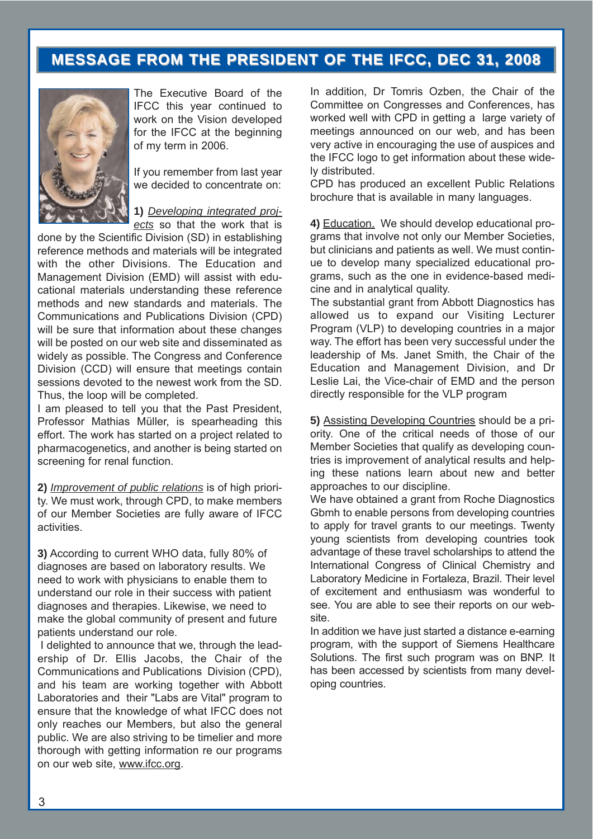# **MESSAGE FROM THE PRESIDENT OF THE IFCC, DEC 31, 2008 MESSAGE FROM THE PRESIDENT OF THE IFCC, DEC 31, 2008**



The Executive Board of the IFCC this year continued to work on the Vision developed for the IFCC at the beginning of my term in 2006.

If you remember from last year we decided to concentrate on:

**1)** *Developing integrated proj-*

*ects* so that the work that is done by the Scientific Division (SD) in establishing reference methods and materials will be integrated with the other Divisions. The Education and Management Division (EMD) will assist with educational materials understanding these reference methods and new standards and materials. The Communications and Publications Division (CPD) will be sure that information about these changes will be posted on our web site and disseminated as widely as possible. The Congress and Conference Division (CCD) will ensure that meetings contain sessions devoted to the newest work from the SD. Thus, the loop will be completed.

I am pleased to tell you that the Past President, Professor Mathias Müller, is spearheading this effort. The work has started on a project related to pharmacogenetics, and another is being started on screening for renal function.

**2)** *Improvement of public relations* is of high priority. We must work, through CPD, to make members of our Member Societies are fully aware of IFCC activities.

**3)** According to current WHO data, fully 80% of diagnoses are based on laboratory results. We need to work with physicians to enable them to understand our role in their success with patient diagnoses and therapies. Likewise, we need to make the global community of present and future patients understand our role.

I delighted to announce that we, through the leadership of Dr. Ellis Jacobs, the Chair of the Communications and Publications Division (CPD), and his team are working together with Abbott Laboratories and their "Labs are Vital" program to ensure that the knowledge of what IFCC does not only reaches our Members, but also the general public. We are also striving to be timelier and more thorough with getting information re our programs on our web site, www.ifcc.org.

In addition, Dr Tomris Ozben, the Chair of the Committee on Congresses and Conferences, has worked well with CPD in getting a large variety of meetings announced on our web, and has been very active in encouraging the use of auspices and the IFCC logo to get information about these widely distributed.

CPD has produced an excellent Public Relations brochure that is available in many languages.

**4)** Education. We should develop educational programs that involve not only our Member Societies, but clinicians and patients as well. We must continue to develop many specialized educational programs, such as the one in evidence-based medicine and in analytical quality.

The substantial grant from Abbott Diagnostics has allowed us to expand our Visiting Lecturer Program (VLP) to developing countries in a major way. The effort has been very successful under the leadership of Ms. Janet Smith, the Chair of the Education and Management Division, and Dr Leslie Lai, the Vice-chair of EMD and the person directly responsible for the VLP program

**5)** Assisting Developing Countries should be a priority. One of the critical needs of those of our Member Societies that qualify as developing countries is improvement of analytical results and helping these nations learn about new and better approaches to our discipline.

We have obtained a grant from Roche Diagnostics Gbmh to enable persons from developing countries to apply for travel grants to our meetings. Twenty young scientists from developing countries took advantage of these travel scholarships to attend the International Congress of Clinical Chemistry and Laboratory Medicine in Fortaleza, Brazil. Their level of excitement and enthusiasm was wonderful to see. You are able to see their reports on our website.

In addition we have just started a distance e-earning program, with the support of Siemens Healthcare Solutions. The first such program was on BNP. It has been accessed by scientists from many developing countries.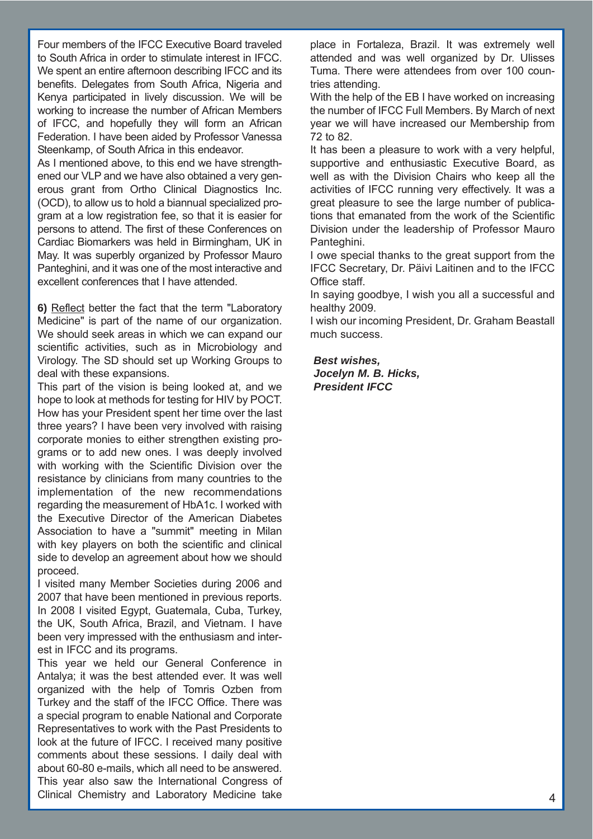Four members of the IFCC Executive Board traveled to South Africa in order to stimulate interest in IFCC. We spent an entire afternoon describing IFCC and its benefits. Delegates from South Africa, Nigeria and Kenya participated in lively discussion. We will be working to increase the number of African Members of IFCC, and hopefully they will form an African Federation. I have been aided by Professor Vanessa Steenkamp, of South Africa in this endeavor.

As I mentioned above, to this end we have strengthened our VLP and we have also obtained a very generous grant from Ortho Clinical Diagnostics Inc. (OCD), to allow us to hold a biannual specialized program at a low registration fee, so that it is easier for persons to attend. The first of these Conferences on Cardiac Biomarkers was held in Birmingham, UK in May. It was superbly organized by Professor Mauro Panteghini, and it was one of the most interactive and excellent conferences that I have attended.

**6)** Reflect better the fact that the term "Laboratory Medicine" is part of the name of our organization. We should seek areas in which we can expand our scientific activities, such as in Microbiology and Virology. The SD should set up Working Groups to deal with these expansions.

This part of the vision is being looked at, and we hope to look at methods for testing for HIV by POCT. How has your President spent her time over the last three years? I have been very involved with raising corporate monies to either strengthen existing programs or to add new ones. I was deeply involved with working with the Scientific Division over the resistance by clinicians from many countries to the implementation of the new recommendations regarding the measurement of HbA1c. I worked with the Executive Director of the American Diabetes Association to have a "summit" meeting in Milan with key players on both the scientific and clinical side to develop an agreement about how we should proceed.

I visited many Member Societies during 2006 and 2007 that have been mentioned in previous reports. In 2008 I visited Egypt, Guatemala, Cuba, Turkey, the UK, South Africa, Brazil, and Vietnam. I have been very impressed with the enthusiasm and interest in IFCC and its programs.

This year we held our General Conference in Antalya; it was the best attended ever. It was well organized with the help of Tomris Ozben from Turkey and the staff of the IFCC Office. There was a special program to enable National and Corporate Representatives to work with the Past Presidents to look at the future of IFCC. I received many positive comments about these sessions. I daily deal with about 60-80 e-mails, which all need to be answered. This year also saw the International Congress of Clinical Chemistry and Laboratory Medicine take place in Fortaleza, Brazil. It was extremely well attended and was well organized by Dr. Ulisses Tuma. There were attendees from over 100 countries attending.

With the help of the EB I have worked on increasing the number of IFCC Full Members. By March of next year we will have increased our Membership from 72 to 82.

It has been a pleasure to work with a very helpful, supportive and enthusiastic Executive Board, as well as with the Division Chairs who keep all the activities of IFCC running very effectively. It was a great pleasure to see the large number of publications that emanated from the work of the Scientific Division under the leadership of Professor Mauro Panteghini.

I owe special thanks to the great support from the IFCC Secretary, Dr. Päivi Laitinen and to the IFCC Office staff.

In saying goodbye, I wish you all a successful and healthy 2009.

I wish our incoming President, Dr. Graham Beastall much success.

*Best wishes, Jocelyn M. B. Hicks, President IFCC*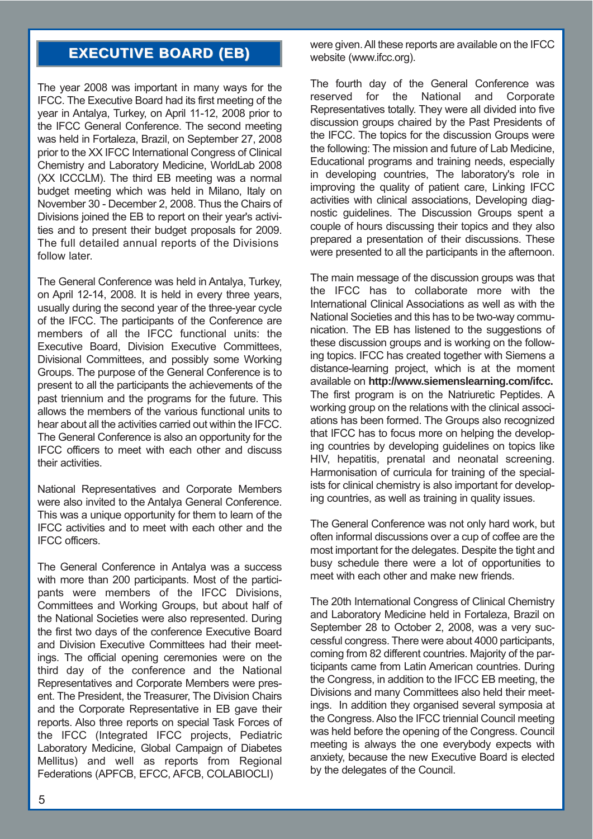# **EXECUTIVE BOARD (EB) EXECUTIVE BOARD (EB)**

The year 2008 was important in many ways for the IFCC. The Executive Board had its first meeting of the year in Antalya, Turkey, on April 11-12, 2008 prior to the IFCC General Conference. The second meeting was held in Fortaleza, Brazil, on September 27, 2008 prior to the XX IFCC International Congress of Clinical Chemistry and Laboratory Medicine, WorldLab 2008 (XX ICCCLM). The third EB meeting was a normal budget meeting which was held in Milano, Italy on November 30 - December 2, 2008. Thus the Chairs of Divisions joined the EB to report on their year's activities and to present their budget proposals for 2009. The full detailed annual reports of the Divisions follow later.

The General Conference was held in Antalya, Turkey, on April 12-14, 2008. It is held in every three years, usually during the second year of the three-year cycle of the IFCC. The participants of the Conference are members of all the IFCC functional units: the Executive Board, Division Executive Committees, Divisional Committees, and possibly some Working Groups. The purpose of the General Conference is to present to all the participants the achievements of the past triennium and the programs for the future. This allows the members of the various functional units to hear about all the activities carried out within the IFCC. The General Conference is also an opportunity for the IFCC officers to meet with each other and discuss their activities.

National Representatives and Corporate Members were also invited to the Antalya General Conference. This was a unique opportunity for them to learn of the IFCC activities and to meet with each other and the IFCC officers.

The General Conference in Antalya was a success with more than 200 participants. Most of the participants were members of the IFCC Divisions, Committees and Working Groups, but about half of the National Societies were also represented. During the first two days of the conference Executive Board and Division Executive Committees had their meetings. The official opening ceremonies were on the third day of the conference and the National Representatives and Corporate Members were present. The President, the Treasurer, The Division Chairs and the Corporate Representative in EB gave their reports. Also three reports on special Task Forces of the IFCC (Integrated IFCC projects, Pediatric Laboratory Medicine, Global Campaign of Diabetes Mellitus) and well as reports from Regional Federations (APFCB, EFCC, AFCB, COLABIOCLI)

were given. All these reports are available on the IFCC website (www.ifcc.org).

The fourth day of the General Conference was reserved for the National and Corporate Representatives totally. They were all divided into five discussion groups chaired by the Past Presidents of the IFCC. The topics for the discussion Groups were the following: The mission and future of Lab Medicine, Educational programs and training needs, especially in developing countries, The laboratory's role in improving the quality of patient care, Linking IFCC activities with clinical associations, Developing diagnostic guidelines. The Discussion Groups spent a couple of hours discussing their topics and they also prepared a presentation of their discussions. These were presented to all the participants in the afternoon.

The main message of the discussion groups was that the IFCC has to collaborate more with the International Clinical Associations as well as with the National Societies and this has to be two-way communication. The EB has listened to the suggestions of these discussion groups and is working on the following topics. IFCC has created together with Siemens a distance-learning project, which is at the moment available on **http://www.siemenslearning.com/ifcc.** The first program is on the Natriuretic Peptides. A working group on the relations with the clinical associations has been formed. The Groups also recognized that IFCC has to focus more on helping the developing countries by developing guidelines on topics like HIV, hepatitis, prenatal and neonatal screening. Harmonisation of curricula for training of the specialists for clinical chemistry is also important for developing countries, as well as training in quality issues.

The General Conference was not only hard work, but often informal discussions over a cup of coffee are the most important for the delegates. Despite the tight and busy schedule there were a lot of opportunities to meet with each other and make new friends.

The 20th International Congress of Clinical Chemistry and Laboratory Medicine held in Fortaleza, Brazil on September 28 to October 2, 2008, was a very successful congress. There were about 4000 participants, coming from 82 different countries. Majority of the participants came from Latin American countries. During the Congress, in addition to the IFCC EB meeting, the Divisions and many Committees also held their meetings. In addition they organised several symposia at the Congress. Also the IFCC triennial Council meeting was held before the opening of the Congress. Council meeting is always the one everybody expects with anxiety, because the new Executive Board is elected by the delegates of the Council.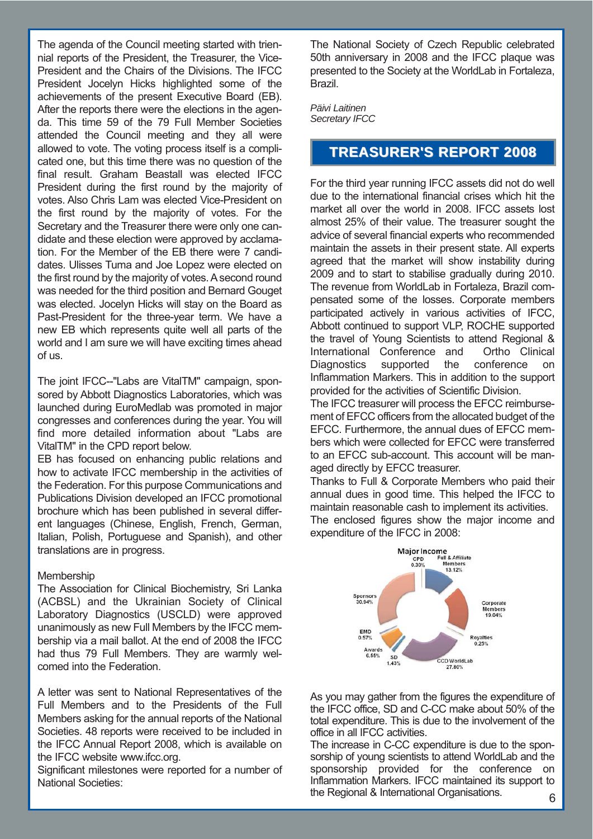The agenda of the Council meeting started with triennial reports of the President, the Treasurer, the Vice-President and the Chairs of the Divisions. The IFCC President Jocelyn Hicks highlighted some of the achievements of the present Executive Board (EB). After the reports there were the elections in the agenda. This time 59 of the 79 Full Member Societies attended the Council meeting and they all were allowed to vote. The voting process itself is a complicated one, but this time there was no question of the final result. Graham Beastall was elected IFCC President during the first round by the majority of votes. Also Chris Lam was elected Vice-President on the first round by the majority of votes. For the Secretary and the Treasurer there were only one candidate and these election were approved by acclamation. For the Member of the EB there were 7 candidates. Ulisses Tuma and Joe Lopez were elected on the first round by the majority of votes. A second round was needed for the third position and Bernard Gouget was elected. Jocelyn Hicks will stay on the Board as Past-President for the three-year term. We have a new EB which represents quite well all parts of the world and I am sure we will have exciting times ahead of us.

The joint IFCC--"Labs are VitalTM" campaign, sponsored by Abbott Diagnostics Laboratories, which was launched during EuroMedlab was promoted in major congresses and conferences during the year. You will find more detailed information about "Labs are VitalTM" in the CPD report below.

EB has focused on enhancing public relations and how to activate IFCC membership in the activities of the Federation. For this purpose Communications and Publications Division developed an IFCC promotional brochure which has been published in several different languages (Chinese, English, French, German, Italian, Polish, Portuguese and Spanish), and other translations are in progress.

#### **Membership**

The Association for Clinical Biochemistry, Sri Lanka (ACBSL) and the Ukrainian Society of Clinical Laboratory Diagnostics (USCLD) were approved unanimously as new Full Members by the IFCC membership via a mail ballot. At the end of 2008 the IFCC had thus 79 Full Members. They are warmly welcomed into the Federation.

A letter was sent to National Representatives of the Full Members and to the Presidents of the Full Members asking for the annual reports of the National Societies. 48 reports were received to be included in the IFCC Annual Report 2008, which is available on the IFCC website www.ifcc.org.

Significant milestones were reported for a number of National Societies:

The National Society of Czech Republic celebrated 50th anniversary in 2008 and the IFCC plaque was presented to the Society at the WorldLab in Fortaleza, Brazil.

*Päivi Laitinen Secretary IFCC*

### **TREASURER'S REPORT 2008 TREASURER'S REPORT 2008**

For the third year running IFCC assets did not do well due to the international financial crises which hit the market all over the world in 2008. IFCC assets lost almost 25% of their value. The treasurer sought the advice of several financial experts who recommended maintain the assets in their present state. All experts agreed that the market will show instability during 2009 and to start to stabilise gradually during 2010. The revenue from WorldLab in Fortaleza, Brazil compensated some of the losses. Corporate members participated actively in various activities of IFCC, Abbott continued to support VLP, ROCHE supported the travel of Young Scientists to attend Regional & International Conference and Ortho Clinical Diagnostics supported the conference on Inflammation Markers. This in addition to the support provided for the activities of Scientific Division.

The IFCC treasurer will process the EFCC reimbursement of EFCC officers from the allocated budget of the EFCC. Furthermore, the annual dues of EFCC members which were collected for EFCC were transferred to an EFCC sub-account. This account will be managed directly by EFCC treasurer.

Thanks to Full & Corporate Members who paid their annual dues in good time. This helped the IFCC to maintain reasonable cash to implement its activities. The enclosed figures show the major income and expenditure of the IFCC in 2008:



As you may gather from the figures the expenditure of the IFCC office, SD and C-CC make about 50% of the total expenditure. This is due to the involvement of the office in all IFCC activities.

The increase in C-CC expenditure is due to the sponsorship of young scientists to attend WorldLab and the sponsorship provided for the conference on Inflammation Markers. IFCC maintained its support to the Regional & International Organisations. 6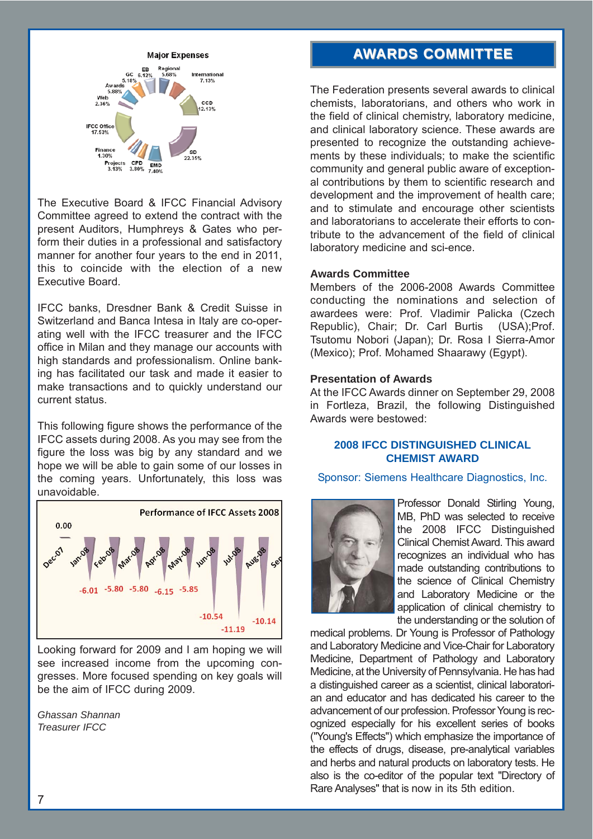

The Executive Board & IFCC Financial Advisory Committee agreed to extend the contract with the present Auditors, Humphreys & Gates who perform their duties in a professional and satisfactory manner for another four years to the end in 2011, this to coincide with the election of a new Executive Board.

IFCC banks, Dresdner Bank & Credit Suisse in Switzerland and Banca Intesa in Italy are co-operating well with the IFCC treasurer and the IFCC office in Milan and they manage our accounts with high standards and professionalism. Online banking has facilitated our task and made it easier to make transactions and to quickly understand our current status.

This following figure shows the performance of the IFCC assets during 2008. As you may see from the figure the loss was big by any standard and we hope we will be able to gain some of our losses in the coming years. Unfortunately, this loss was unavoidable.



Looking forward for 2009 and I am hoping we will see increased income from the upcoming congresses. More focused spending on key goals will be the aim of IFCC during 2009.

*Ghassan Shannan Treasurer IFCC*

# **AWARDS COMMITTEE ARDS COMMITTEE**

The Federation presents several awards to clinical chemists, laboratorians, and others who work in the field of clinical chemistry, laboratory medicine, and clinical laboratory science. These awards are presented to recognize the outstanding achievements by these individuals; to make the scientific community and general public aware of exceptional contributions by them to scientific research and development and the improvement of health care; and to stimulate and encourage other scientists and laboratorians to accelerate their efforts to contribute to the advancement of the field of clinical laboratory medicine and sci-ence.

#### **Awards Committee**

Members of the 2006-2008 Awards Committee conducting the nominations and selection of awardees were: Prof. Vladimir Palicka (Czech Republic), Chair; Dr. Carl Burtis (USA);Prof. Tsutomu Nobori (Japan); Dr. Rosa I Sierra-Amor (Mexico); Prof. Mohamed Shaarawy (Egypt).

#### **Presentation of Awards**

At the IFCC Awards dinner on September 29, 2008 in Fortleza, Brazil, the following Distinguished Awards were bestowed:

#### **2008 IFCC DISTINGUISHED CLINICAL CHEMIST AWARD**

Sponsor: Siemens Healthcare Diagnostics, Inc.



Professor Donald Stirling Young, MB, PhD was selected to receive the 2008 IFCC Distinguished Clinical Chemist Award. This award recognizes an individual who has made outstanding contributions to the science of Clinical Chemistry and Laboratory Medicine or the application of clinical chemistry to the understanding or the solution of

medical problems. Dr Young is Professor of Pathology and Laboratory Medicine and Vice-Chair for Laboratory Medicine, Department of Pathology and Laboratory Medicine, at the University of Pennsylvania. He has had a distinguished career as a scientist, clinical laboratorian and educator and has dedicated his career to the advancement of our profession. Professor Young is recognized especially for his excellent series of books ("Young's Effects") which emphasize the importance of the effects of drugs, disease, pre-analytical variables and herbs and natural products on laboratory tests. He also is the co-editor of the popular text "Directory of Rare Analyses" that is now in its 5th edition.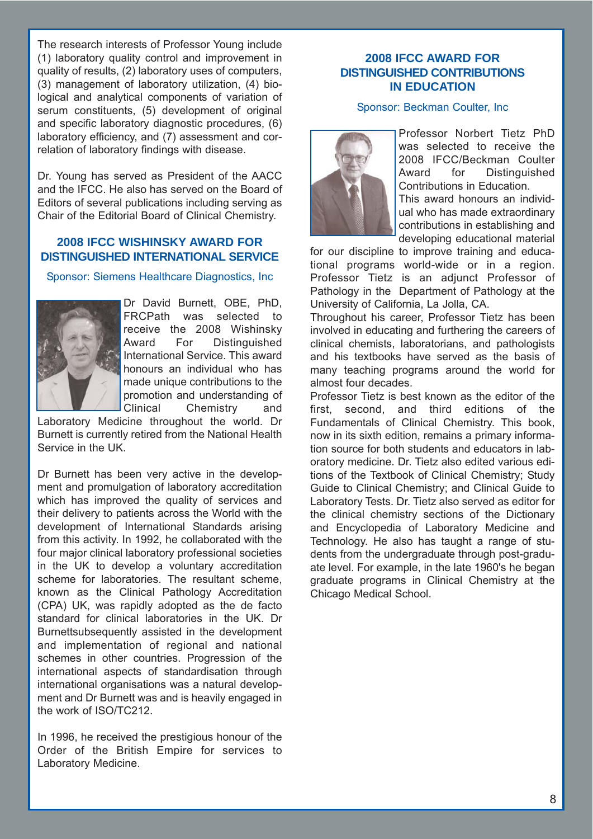The research interests of Professor Young include (1) laboratory quality control and improvement in quality of results, (2) laboratory uses of computers, (3) management of laboratory utilization, (4) biological and analytical components of variation of serum constituents, (5) development of original and specific laboratory diagnostic procedures, (6) laboratory efficiency, and (7) assessment and correlation of laboratory findings with disease.

Dr. Young has served as President of the AACC and the IFCC. He also has served on the Board of Editors of several publications including serving as Chair of the Editorial Board of Clinical Chemistry.

#### **2008 IFCC WISHINSKY AWARD FOR DISTINGUISHED INTERNATIONAL SERVICE**

Sponsor: Siemens Healthcare Diagnostics, Inc



Dr David Burnett, OBE, PhD, FRCPath was selected to receive the 2008 Wishinsky Award For Distinguished International Service. This award honours an individual who has made unique contributions to the promotion and understanding of Clinical Chemistry and

Laboratory Medicine throughout the world. Dr Burnett is currently retired from the National Health Service in the UK.

Dr Burnett has been very active in the development and promulgation of laboratory accreditation which has improved the quality of services and their delivery to patients across the World with the development of International Standards arising from this activity. In 1992, he collaborated with the four major clinical laboratory professional societies in the UK to develop a voluntary accreditation scheme for laboratories. The resultant scheme, known as the Clinical Pathology Accreditation (CPA) UK, was rapidly adopted as the de facto standard for clinical laboratories in the UK. Dr Burnettsubsequently assisted in the development and implementation of regional and national schemes in other countries. Progression of the international aspects of standardisation through international organisations was a natural development and Dr Burnett was and is heavily engaged in the work of ISO/TC212.

In 1996, he received the prestigious honour of the Order of the British Empire for services to Laboratory Medicine.

#### **2008 IFCC AWARD FOR DISTINGUISHED CONTRIBUTIONS IN EDUCATION**

#### Sponsor: Beckman Coulter, Inc



Professor Norbert Tietz PhD was selected to receive the 2008 IFCC/Beckman Coulter Award for Distinguished Contributions in Education. This award honours an individual who has made extraordinary contributions in establishing and

developing educational material for our discipline to improve training and educational programs world-wide or in a region. Professor Tietz is an adjunct Professor of Pathology in the Department of Pathology at the University of California, La Jolla, CA.

Throughout his career, Professor Tietz has been involved in educating and furthering the careers of clinical chemists, laboratorians, and pathologists and his textbooks have served as the basis of many teaching programs around the world for almost four decades.

Professor Tietz is best known as the editor of the first, second, and third editions of the Fundamentals of Clinical Chemistry. This book, now in its sixth edition, remains a primary information source for both students and educators in laboratory medicine. Dr. Tietz also edited various editions of the Textbook of Clinical Chemistry; Study Guide to Clinical Chemistry; and Clinical Guide to Laboratory Tests. Dr. Tietz also served as editor for the clinical chemistry sections of the Dictionary and Encyclopedia of Laboratory Medicine and Technology. He also has taught a range of students from the undergraduate through post-graduate level. For example, in the late 1960's he began graduate programs in Clinical Chemistry at the Chicago Medical School.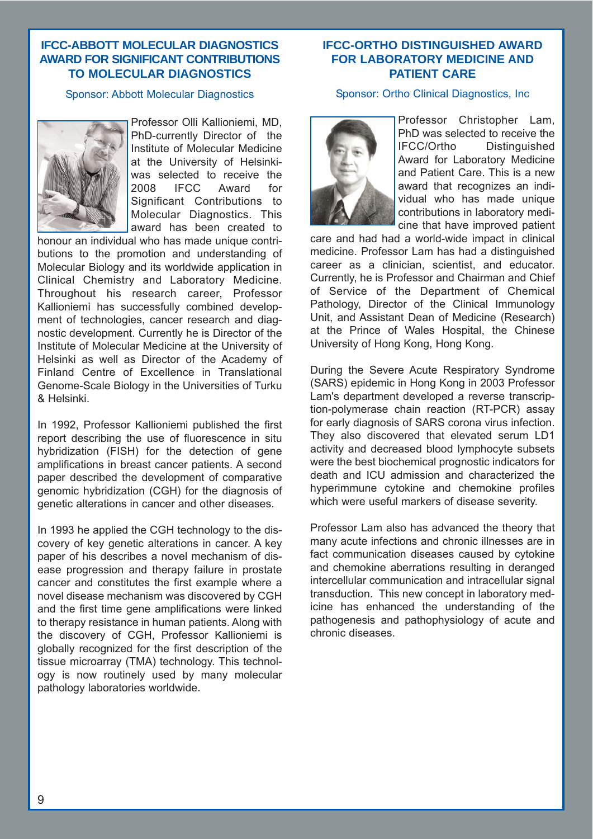#### **IFCC-ABBOTT MOLECULAR DIAGNOSTICS AWARD FOR SIGNIFICANT CONTRIBUTIONS TO MOLECULAR DIAGNOSTICS**

#### Sponsor: Abbott Molecular Diagnostics



Professor Olli Kallioniemi, MD, PhD-currently Director of the Institute of Molecular Medicine at the University of Helsinkiwas selected to receive the 2008 IFCC Award for Significant Contributions to Molecular Diagnostics. This award has been created to

honour an individual who has made unique contributions to the promotion and understanding of Molecular Biology and its worldwide application in Clinical Chemistry and Laboratory Medicine. Throughout his research career, Professor Kallioniemi has successfully combined development of technologies, cancer research and diagnostic development. Currently he is Director of the Institute of Molecular Medicine at the University of Helsinki as well as Director of the Academy of Finland Centre of Excellence in Translational Genome-Scale Biology in the Universities of Turku & Helsinki.

In 1992, Professor Kallioniemi published the first report describing the use of fluorescence in situ hybridization (FISH) for the detection of gene amplifications in breast cancer patients. A second paper described the development of comparative genomic hybridization (CGH) for the diagnosis of genetic alterations in cancer and other diseases.

In 1993 he applied the CGH technology to the discovery of key genetic alterations in cancer. A key paper of his describes a novel mechanism of disease progression and therapy failure in prostate cancer and constitutes the first example where a novel disease mechanism was discovered by CGH and the first time gene amplifications were linked to therapy resistance in human patients. Along with the discovery of CGH, Professor Kallioniemi is globally recognized for the first description of the tissue microarray (TMA) technology. This technology is now routinely used by many molecular pathology laboratories worldwide.

#### **IFCC-ORTHO DISTINGUISHED AWARD FOR LABORATORY MEDICINE AND PATIENT CARE**

#### Sponsor: Ortho Clinical Diagnostics, Inc



Professor Christopher Lam, PhD was selected to receive the IFCC/Ortho Distinguished Award for Laboratory Medicine and Patient Care. This is a new award that recognizes an individual who has made unique contributions in laboratory medicine that have improved patient

care and had had a world-wide impact in clinical medicine. Professor Lam has had a distinguished career as a clinician, scientist, and educator. Currently, he is Professor and Chairman and Chief of Service of the Department of Chemical Pathology, Director of the Clinical Immunology Unit, and Assistant Dean of Medicine (Research) at the Prince of Wales Hospital, the Chinese University of Hong Kong, Hong Kong.

During the Severe Acute Respiratory Syndrome (SARS) epidemic in Hong Kong in 2003 Professor Lam's department developed a reverse transcription-polymerase chain reaction (RT-PCR) assay for early diagnosis of SARS corona virus infection. They also discovered that elevated serum LD1 activity and decreased blood lymphocyte subsets were the best biochemical prognostic indicators for death and ICU admission and characterized the hyperimmune cytokine and chemokine profiles which were useful markers of disease severity.

Professor Lam also has advanced the theory that many acute infections and chronic illnesses are in fact communication diseases caused by cytokine and chemokine aberrations resulting in deranged intercellular communication and intracellular signal transduction. This new concept in laboratory medicine has enhanced the understanding of the pathogenesis and pathophysiology of acute and chronic diseases.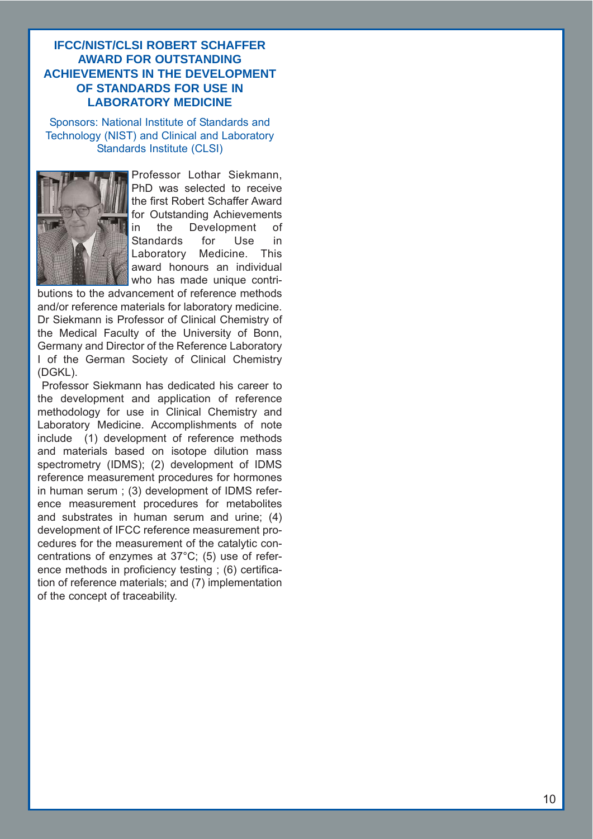#### **IFCC/NIST/CLSI ROBERT SCHAFFER AWARD FOR OUTSTANDING ACHIEVEMENTS IN THE DEVELOPMENT OF STANDARDS FOR USE IN LABORATORY MEDICINE**

Sponsors: National Institute of Standards and Technology (NIST) and Clinical and Laboratory Standards Institute (CLSI)



Professor Lothar Siekmann, PhD was selected to receive the first Robert Schaffer Award for Outstanding Achievements in the Development of Standards for Use in Laboratory Medicine. This award honours an individual who has made unique contri-

butions to the advancement of reference methods and/or reference materials for laboratory medicine. Dr Siekmann is Professor of Clinical Chemistry of the Medical Faculty of the University of Bonn, Germany and Director of the Reference Laboratory I of the German Society of Clinical Chemistry (DGKL).

Professor Siekmann has dedicated his career to the development and application of reference methodology for use in Clinical Chemistry and Laboratory Medicine. Accomplishments of note include (1) development of reference methods and materials based on isotope dilution mass spectrometry (IDMS); (2) development of IDMS reference measurement procedures for hormones in human serum ; (3) development of IDMS reference measurement procedures for metabolites and substrates in human serum and urine; (4) development of IFCC reference measurement procedures for the measurement of the catalytic concentrations of enzymes at 37°C; (5) use of reference methods in proficiency testing ; (6) certification of reference materials; and (7) implementation of the concept of traceability.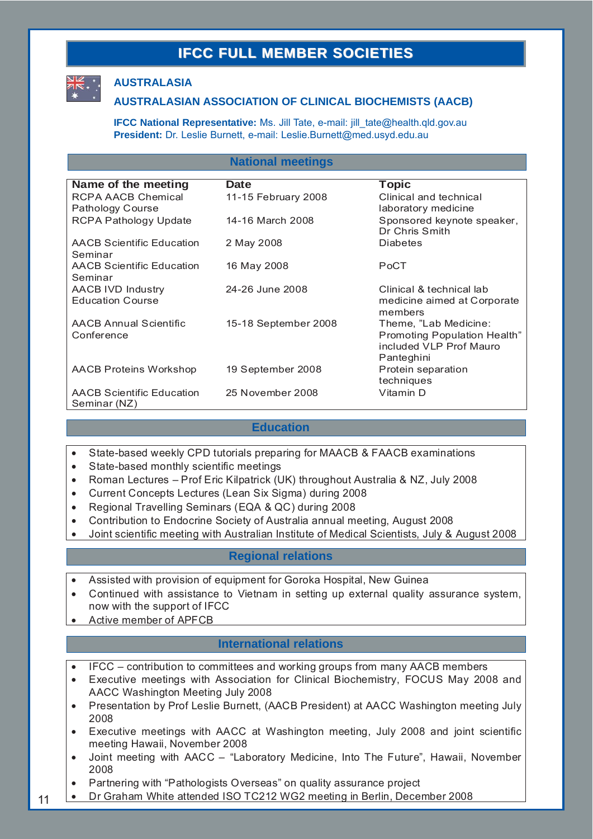# **IFCC FULL MEMBER SOCIETIES**



#### **AUSTRALASIA**

#### **AUSTRALASIAN ASSOCIATION OF CLINICAL BIOCHEMISTS (AACB)**

**IFCC National Representative:** Ms. Jill Tate, e-mail: jill\_tate@health.qld.gov.au **President:** Dr. Leslie Burnett, e-mail: Leslie.Burnett@med.usyd.edu.au

#### **National meetings**

| Name of the meeting                              | Date                 | <b>Topic</b>                                 |
|--------------------------------------------------|----------------------|----------------------------------------------|
| RCPA AACB Chemical                               | 11-15 February 2008  | Clinical and technical                       |
| Pathology Course                                 |                      | laboratory medicine                          |
| <b>RCPA Pathology Update</b>                     | 14-16 March 2008     | Sponsored keynote speaker,<br>Dr Chris Smith |
| <b>AACB Scientific Education</b><br>Seminar      | 2 May 2008           | <b>Diabetes</b>                              |
| <b>AACB Scientific Education</b>                 | 16 May 2008          | PoCT                                         |
| Seminar                                          |                      |                                              |
| AACB IVD Industry                                | 24-26 June 2008      | Clinical & technical lab                     |
| <b>Education Course</b>                          |                      | medicine aimed at Corporate<br>members       |
| <b>AACB Annual Scientific</b>                    | 15-18 September 2008 | Theme, "Lab Medicine:                        |
| Conference                                       |                      | Promoting Population Health"                 |
|                                                  |                      | included VLP Prof Mauro                      |
|                                                  |                      | Panteghini                                   |
| AACB Proteins Workshop                           | 19 September 2008    | Protein separation                           |
|                                                  |                      | techniques                                   |
| <b>AACB Scientific Education</b><br>Seminar (NZ) | 25 November 2008     | Vitamin D                                    |

#### **Education**

- State-based weekly CPD tutorials preparing for MAACB & FAACB examinations
- State-based monthly scientific meetings
- Roman Lectures Prof Eric Kilpatrick (UK) throughout Australia & NZ, July 2008
- Current Concepts Lectures (Lean Six Sigma) during 2008
- Regional Travelling Seminars (EQA & QC) during 2008
- Contribution to Endocrine Society of Australia annual meeting, August 2008
- Joint scientific meeting with Australian Institute of Medical Scientists, July & August 2008

#### **Regional relations**

- Assisted with provision of equipment for Goroka Hospital, New Guinea
- Continued with assistance to Vietnam in setting up external quality assurance system, now with the support of IFCC
- Active member of APFCB

11

#### **International relations**

- IFCC contribution to committees and working groups from many AACB members
- Executive meetings with Association for Clinical Biochemistry, FOCUS May 2008 and AACC Washington Meeting July 2008
- Presentation by Prof Leslie Burnett, (AACB President) at AACC Washington meeting July 2008
- Executive meetings with AACC at Washington meeting, July 2008 and joint scientific meeting Hawaii, November 2008
- Joint meeting with AACC "Laboratory Medicine, Into The Future", Hawaii, November 2008
- Partnering with "Pathologists Overseas" on quality assurance project
- Dr Graham White attended ISO TC212 WG2 meeting in Berlin, December 2008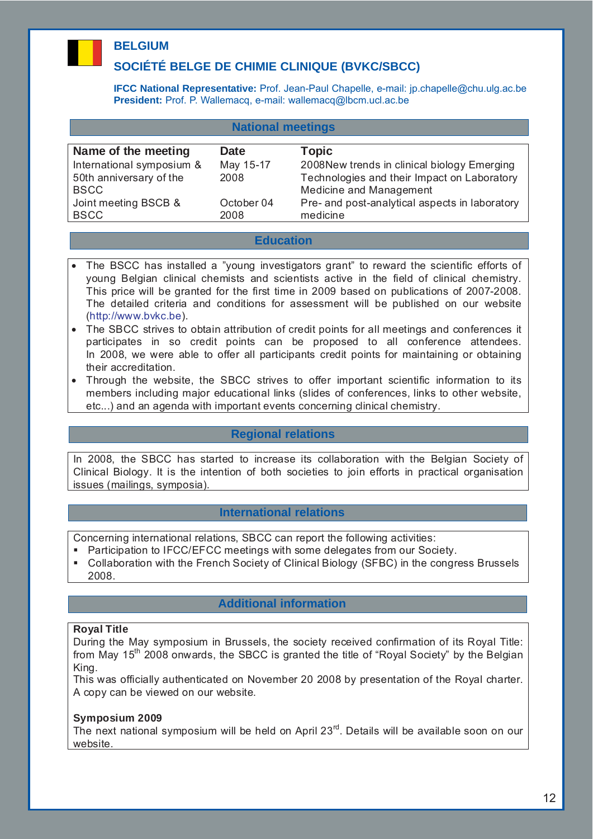# **BELGIUM**

### **SOCIÉTÉ BELGE DE CHIMIE CLINIQUE (BVKC/SBCC)**

**IFCC National Representative:** Prof. Jean-Paul Chapelle, e-mail: jp.chapelle@chu.ulg.ac.be **President:** Prof. P. Wallemacq, e-mail: wallemacq@lbcm.ucl.ac.be

| <b>National meetings</b>  |            |                                                |
|---------------------------|------------|------------------------------------------------|
| Name of the meeting       | Date       | <b>Topic</b>                                   |
| International symposium & | May 15-17  | 2008New trends in clinical biology Emerging    |
| 50th anniversary of the   | 2008       | Technologies and their Impact on Laboratory    |
| <b>BSCC</b>               |            | Medicine and Management                        |
| Joint meeting BSCB &      | October 04 | Pre- and post-analytical aspects in laboratory |
| <b>BSCC</b>               | 2008       | medicine                                       |

#### **Education**

- The BSCC has installed a "young investigators grant" to reward the scientific efforts of young Belgian clinical chemists and scientists active in the field of clinical chemistry. This price will be granted for the first time in 2009 based on publications of 2007-2008. The detailed criteria and conditions for assessment will be published on our website (http://www.bvkc.be).
- The SBCC strives to obtain attribution of credit points for all meetings and conferences it participates in so credit points can be proposed to all conference attendees. In 2008, we were able to offer all participants credit points for maintaining or obtaining their accreditation.
- Through the website, the SBCC strives to offer important scientific information to its members including major educational links (slides of conferences, links to other website, etc...) and an agenda with important events concerning clinical chemistry.

#### **Regional relations**

In 2008, the SBCC has started to increase its collaboration with the Belgian Society of Clinical Biology. It is the intention of both societies to join efforts in practical organisation issues (mailings, symposia).

#### **International relations**

Concerning international relations, SBCC can report the following activities:

- **Participation to IFCC/EFCC meetings with some delegates from our Society.**
- Collaboration with the French Society of Clinical Biology (SFBC) in the congress Brussels 2008.

#### **Additional information**

#### **Royal Title**

During the May symposium in Brussels, the society received confirmation of its Royal Title: from May 15<sup>th</sup> 2008 onwards, the SBCC is granted the title of "Royal Society" by the Belgian King.

This was officially authenticated on November 20 2008 by presentation of the Royal charter. A copy can be viewed on our website.

#### **Symposium 2009**

The next national symposium will be held on April  $23<sup>rd</sup>$ . Details will be available soon on our website.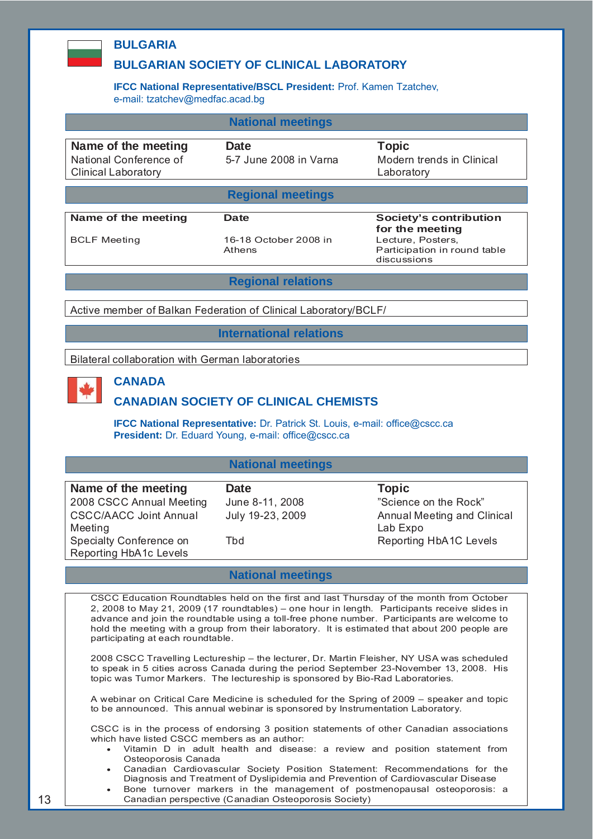#### **BULGARIA**

#### **BULGARIAN SOCIETY OF CLINICAL LABORATORY**

#### **IFCC National Representative/BSCL President:** Prof. Kamen Tzatchev, e-mail: tzatchev@medfac.acad.bg

|                                               | <b>National meetings</b>       |                                                                  |
|-----------------------------------------------|--------------------------------|------------------------------------------------------------------|
| Name of the meeting<br>National Conference of | Date<br>5-7 June 2008 in Varna | Topic<br>Modern trends in Clinical                               |
| <b>Clinical Laboratory</b>                    |                                | Laboratory                                                       |
|                                               | <b>Regional meetings</b>       |                                                                  |
| Name of the meeting                           | Date                           | Society's contribution                                           |
|                                               | 16-18 October 2008 in          | for the meeting                                                  |
| <b>BCLF Meeting</b>                           | Athens                         | Lecture, Posters,<br>Participation in round table<br>discussions |
|                                               |                                |                                                                  |

**Regional relations**

Active member of Balkan Federation of Clinical Laboratory/BCLF/

**International relations**

Bilateral collaboration with German laboratories

#### **CANADA**

#### **CANADIAN SOCIETY OF CLINICAL CHEMISTS**

**IFCC National Representative:** Dr. Patrick St. Louis, e-mail: office@cscc.ca **President:** Dr. Eduard Young, e-mail: office@cscc.ca

#### **National meetings**

| Name of the meeting           | <b>Date</b>      | <b>Topic</b>                |
|-------------------------------|------------------|-----------------------------|
| 2008 CSCC Annual Meeting      | June 8-11, 2008  | "Science on the Rock"       |
| <b>CSCC/AACC Joint Annual</b> | July 19-23, 2009 | Annual Meeting and Clinical |
| Meeting                       |                  | Lab Expo                    |
| Specialty Conference on       | Tbd              | Reporting HbA1C Levels      |
| Reporting HbA1c Levels        |                  |                             |

#### **National meetings**

CSCC Education Roundtables held on the first and last Thursday of the month from October 2, 2008 to May 21, 2009 (17 roundtables) – one hour in length. Participants receive slides in advance and join the roundtable using a toll-free phone number. Participants are welcome to hold the meeting with a group from their laboratory. It is estimated that about 200 people are participating at each roundtable.

2008 CSCC Travelling Lectureship – the lecturer, Dr. Martin Fleisher, NY USA was scheduled to speak in 5 cities across Canada during the period September 23-November 13, 2008. His topic was Tumor Markers. The lectureship is sponsored by Bio-Rad Laboratories.

A webinar on Critical Care Medicine is scheduled for the Spring of 2009 – speaker and topic to be announced. This annual webinar is sponsored by Instrumentation Laboratory.

CSCC is in the process of endorsing 3 position statements of other Canadian associations which have listed CSCC members as an author:

- Vitamin D in adult health and disease: a review and position statement from Osteoporosis Canada
- Canadian Cardiovascular Society Position Statement: Recommendations for the Diagnosis and Treatment of Dyslipidemia and Prevention of Cardiovascular Disease
- Bone turnover markers in the management of postmenopausal osteoporosis: a Canadian perspective (Canadian Osteoporosis Society)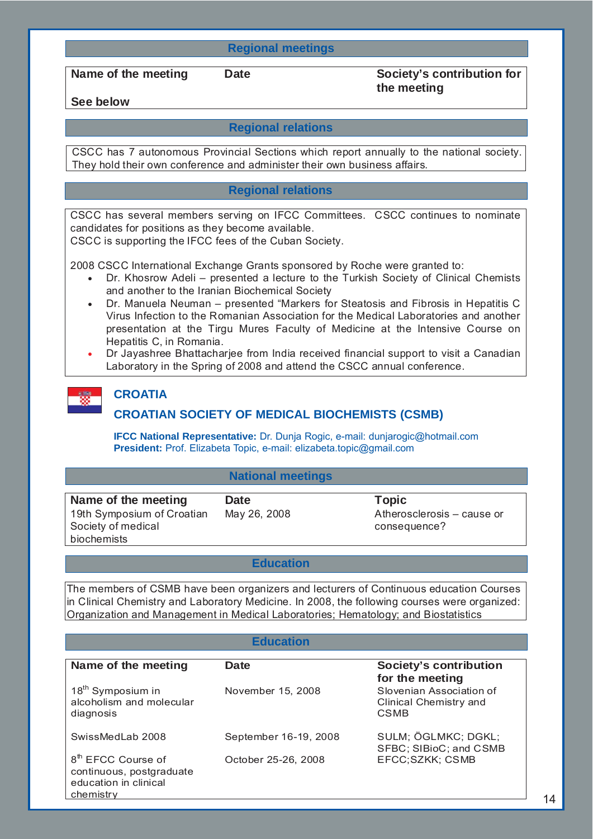#### **Regional meetings**

Name of the meeting Date Society's contribution for **the meeting** 

**See below** 

#### **Regional relations**

CSCC has 7 autonomous Provincial Sections which report annually to the national society. They hold their own conference and administer their own business affairs.

#### **Regional relations**

CSCC has several members serving on IFCC Committees. CSCC continues to nominate candidates for positions as they become available.

CSCC is supporting the IFCC fees of the Cuban Society.

2008 CSCC International Exchange Grants sponsored by Roche were granted to:

- Dr. Khosrow Adeli presented a lecture to the Turkish Society of Clinical Chemists and another to the Iranian Biochemical Society
- Dr. Manuela Neuman presented "Markers for Steatosis and Fibrosis in Hepatitis C Virus Infection to the Romanian Association for the Medical Laboratories and another presentation at the Tirgu Mures Faculty of Medicine at the Intensive Course on Hepatitis C, in Romania.
- Dr Jayashree Bhattacharjee from India received financial support to visit a Canadian Laboratory in the Spring of 2008 and attend the CSCC annual conference.

#### **CROATIA**

#### **CROATIAN SOCIETY OF MEDICAL BIOCHEMISTS (CSMB)**

**IFCC National Representative:** Dr. Dunja Rogic, e-mail: dunjarogic@hotmail.com **President:** Prof. Elizabeta Topic, e-mail: elizabeta.topic@gmail.com

#### **National meetings**

| Name of the meeting                                             | <b>Date</b>  | <b>Topic</b>                               |
|-----------------------------------------------------------------|--------------|--------------------------------------------|
| 19th Symposium of Croatian<br>Society of medical<br>biochemists | May 26, 2008 | Atherosclerosis - cause or<br>consequence? |
|                                                                 |              |                                            |

#### **Education**

The members of CSMB have been organizers and lecturers of Continuous education Courses in Clinical Chemistry and Laboratory Medicine. In 2008, the following courses were organized: Organization and Management in Medical Laboratories; Hematology; and Biostatistics

#### **Education**

| Name of the meeting                                                                              | <b>Date</b>           | <b>Society's contribution</b>                                                        |
|--------------------------------------------------------------------------------------------------|-----------------------|--------------------------------------------------------------------------------------|
| 18 <sup>th</sup> Symposium in<br>alcoholism and molecular<br>diagnosis                           | November 15, 2008     | for the meeting<br>Slovenian Association of<br>Clinical Chemistry and<br><b>CSMB</b> |
| SwissMedLab 2008                                                                                 | September 16-19, 2008 | SULM; ÖGLMKC; DGKL;<br>SFBC; SIBioC; and CSMB                                        |
| 8 <sup>th</sup> EFCC Course of<br>continuous, postgraduate<br>education in clinical<br>chemistry | October 25-26, 2008   | EFCC;SZKK; CSMB                                                                      |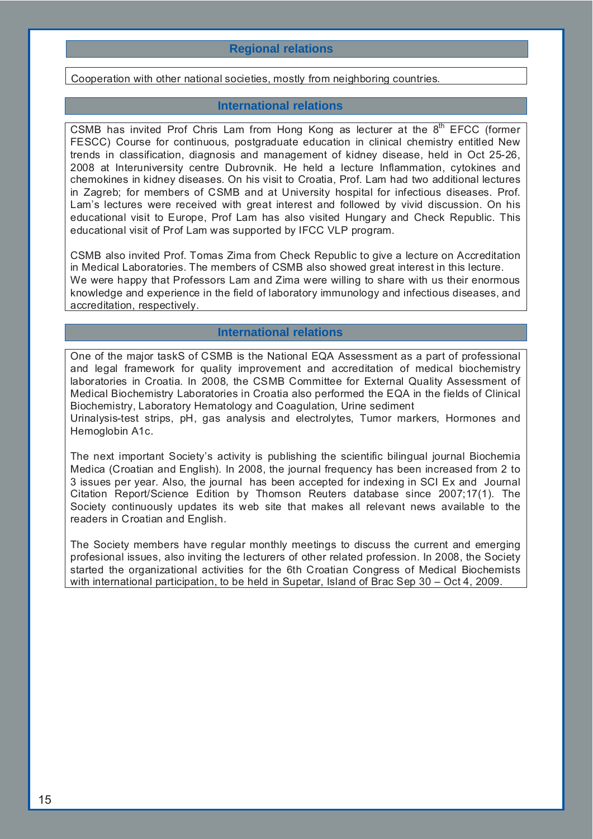#### **Regional relations**

Cooperation with other national societies, mostly from neighboring countries.

#### **International relations**

CSMB has invited Prof Chris Lam from Hong Kong as lecturer at the 8<sup>th</sup> EFCC (former FESCC) Course for continuous, postgraduate education in clinical chemistry entitled New trends in classification, diagnosis and management of kidney disease, held in Oct 25-26, 2008 at Interuniversity centre Dubrovnik. He held a lecture Inflammation, cytokines and chemokines in kidney diseases. On his visit to Croatia, Prof. Lam had two additional lectures in Zagreb; for members of CSMB and at University hospital for infectious diseases. Prof. Lam's lectures were received with great interest and followed by vivid discussion. On his educational visit to Europe, Prof Lam has also visited Hungary and Check Republic. This educational visit of Prof Lam was supported by IFCC VLP program.

CSMB also invited Prof. Tomas Zima from Check Republic to give a lecture on Accreditation in Medical Laboratories. The members of CSMB also showed great interest in this lecture. We were happy that Professors Lam and Zima were willing to share with us their enormous knowledge and experience in the field of laboratory immunology and infectious diseases, and accreditation, respectively.

#### **International relations**

One of the major taskS of CSMB is the National EQA Assessment as a part of professional and legal framework for quality improvement and accreditation of medical biochemistry laboratories in Croatia. In 2008, the CSMB Committee for External Quality Assessment of Medical Biochemistry Laboratories in Croatia also performed the EQA in the fields of Clinical Biochemistry, Laboratory Hematology and Coagulation, Urine sediment Urinalysis-test strips, pH, gas analysis and electrolytes, Tumor markers, Hormones and Hemoglobin A1c.

The next important Society's activity is publishing the scientific bilingual journal Biochemia Medica (Croatian and English). In 2008, the journal frequency has been increased from 2 to 3 issues per year. Also, the journal has been accepted for indexing in SCI Ex and Journal Citation Report/Science Edition by Thomson Reuters database since 2007;17(1). The Society continuously updates its web site that makes all relevant news available to the readers in Croatian and English.

The Society members have regular monthly meetings to discuss the current and emerging profesional issues, also inviting the lecturers of other related profession. In 2008, the Society started the organizational activities for the 6th Croatian Congress of Medical Biochemists with international participation, to be held in Supetar, Island of Brac Sep 30 – Oct 4, 2009.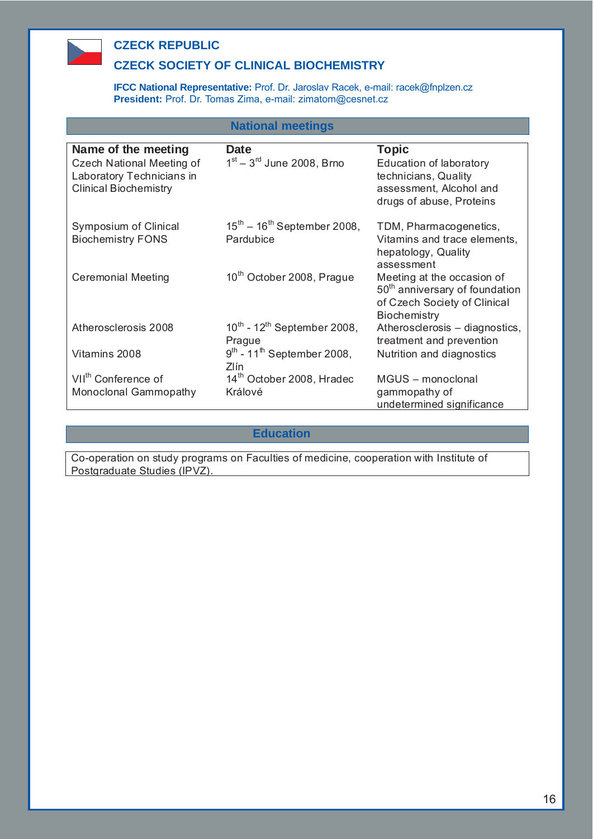

### **CZECK REPUBLIC**

#### **CZECK SOCIETY OF CLINICAL BIOCHEMISTRY**

**IFCC National Representative:** Prof. Dr. Jaroslav Racek, e-mail: racek@fnplzen.cz **President:** Prof. Dr. Tomas Zima, e-mail: zimatom@cesnet.cz

#### **National meetings**

| Name of the meeting<br>Czech National Meeting of<br>Laboratory Technicians in<br><b>Clinical Biochemistry</b> | Date<br>$1st - 3rd$ June 2008, Brno                 | <b>Topic</b><br>Education of laboratory<br>technicians, Quality<br>assessment, Alcohol and<br>drugs of abuse, Proteins          |
|---------------------------------------------------------------------------------------------------------------|-----------------------------------------------------|---------------------------------------------------------------------------------------------------------------------------------|
| Symposium of Clinical<br><b>Biochemistry FONS</b>                                                             | $15^{th} - 16^{th}$ September 2008,<br>Pardubice    | TDM, Pharmacogenetics,<br>Vitamins and trace elements,<br>hepatology, Quality<br>assessment                                     |
| <b>Ceremonial Meeting</b>                                                                                     | 10 <sup>th</sup> October 2008, Prague               | Meeting at the occasion of<br>50 <sup>th</sup> anniversary of foundation<br>of Czech Society of Clinical<br><b>Biochemistry</b> |
| Atherosclerosis 2008                                                                                          | $10^{th}$ - $12^{th}$ September 2008,<br>Prague     | Atherosclerosis - diagnostics,<br>treatment and prevention                                                                      |
| Vitamins 2008                                                                                                 | $9^{th}$ - 11 <sup>th</sup> September 2008,<br>Zlín | Nutrition and diagnostics                                                                                                       |
| VII <sup>th</sup> Conference of                                                                               | 14 <sup>th</sup> October 2008, Hradec               | MGUS - monoclonal                                                                                                               |
| Monoclonal Gammopathy                                                                                         | Králové                                             | gammopathy of                                                                                                                   |
|                                                                                                               |                                                     | undetermined significance                                                                                                       |

#### **Education**

Co-operation on study programs on Faculties of medicine, cooperation with Institute of Postgraduate Studies (IPVZ).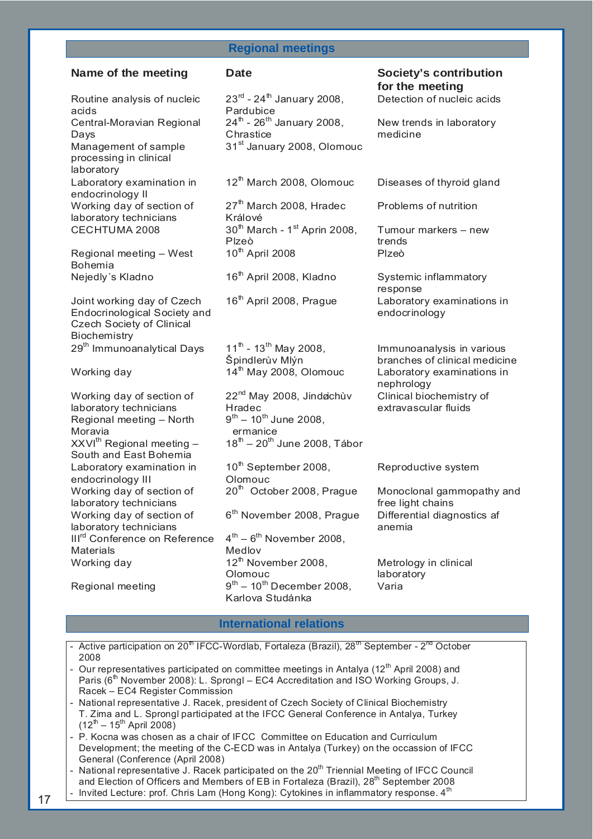#### **Regional meetings**

Routine analysis of nucleic acids Central-Moravian Regional Days Management of sample processing in clinical laboratory Laboratory examination in endocrinology II Working day of section of laboratory technicians CECHTUMA 2008  $30<sup>th</sup> March - 1<sup>st</sup> Aprin 2008$ , Regional meeting – West Bohemia Nejedly´s Kladno  $16<sup>th</sup>$  April 2008, Kladno Systemic inflammatory Joint working day of Czech Endocrinological Society and Czech Society of Clinical **Biochemistry**  $29<sup>th</sup>$  Immunoanalytical Days 11<sup>th</sup> - 13<sup>th</sup> May 2008, Working day  $14^{\text{th}}$  May 2008, Olomouc Laboratory examinations in Working day of section of laboratory technicians Regional meeting – North Moravia  $XXVI<sup>th</sup>$  Regional meeting  $-$ South and East Bohemia Laboratory examination in endocrinology III Working day of section of laboratory technicians Working day of section of laboratory technicians III<sup>rd</sup> Conference on Reference **Materials** Working day  $12<sup>th</sup>$  November 2008,

 $23^{rd}$  - 24<sup>th</sup> January 2008. Pardubice  $24^{th}$  -  $26^{th}$  January 2008, **Chrastice** 31<sup>st</sup> January 2008, Olomouc

 $12<sup>th</sup>$  March 2008, Olomouc Diseases of thyroid gland

 $27<sup>th</sup>$  March 2008, Hradec Králové Plzeò 10<sup>th</sup> April 2008 Plzeò

Špindlerùv Mlýn

22<sup>nd</sup> May 2008, Jindøichùv Hradec  $9^{th} - 10^{th}$  June 2008. ermanice  $18^{\text{th}} - 20^{\text{th}}$  June 2008, Tábor

 $10^{th}$  September 2008. Olomouc

6<sup>th</sup> November 2008, Prague Differential diagnostics af

 $4^{\text{th}} - 6^{\text{th}}$  November 2008, Medlov Olomouc Regional meeting  $9^{th} - 10^{th}$  December 2008, Karlova Studánka

**Name of the meeting bate Contribution Contribution Contribution Contribution Contribution for the meeting**  Detection of nucleic acids

New trends in laboratory

medicine

Problems of nutrition

Tumour markers – new trends

response 16<sup>th</sup> April 2008, Prague Laboratory examinations in endocrinology

> Immunoanalysis in various branches of clinical medicine nephrology Clinical biochemistry of extravascular fluids

Reproductive system

 $20<sup>th</sup>$  October 2008, Prague Monoclonal gammopathy and free light chains anemia

> Metrology in clinical laboratory Varia

#### **International relations**

Active participation on  $20^{\text{th}}$  IFCC-Wordlab, Fortaleza (Brazil),  $28^{\text{th}}$  September -  $2^{\text{nd}}$  October 2008

- Our representatives participated on committee meetings in Antalya (12<sup>th</sup> April 2008) and Paris ( $6<sup>th</sup>$  November 2008): L. Sprongl – EC4 Accreditation and ISO Working Groups, J. Racek – EC4 Register Commission
- National representative J. Racek, president of Czech Society of Clinical Biochemistry T. Zima and L. Sprongl participated at the IFCC General Conference in Antalya, Turkey  $(12^{th} - 15^{th}$  April 2008)
- P. Kocna was chosen as a chair of IFCC Committee on Education and Curriculum Development; the meeting of the C-ECD was in Antalya (Turkey) on the occassion of IFCC General (Conference (April 2008)

National representative J. Racek participated on the 20<sup>th</sup> Triennial Meeting of IFCC Council and Election of Officers and Members of EB in Fortaleza (Brazil), 28<sup>th</sup> September 2008

Invited Lecture: prof. Chris Lam (Hong Kong): Cytokines in inflammatory response. 4<sup>th</sup>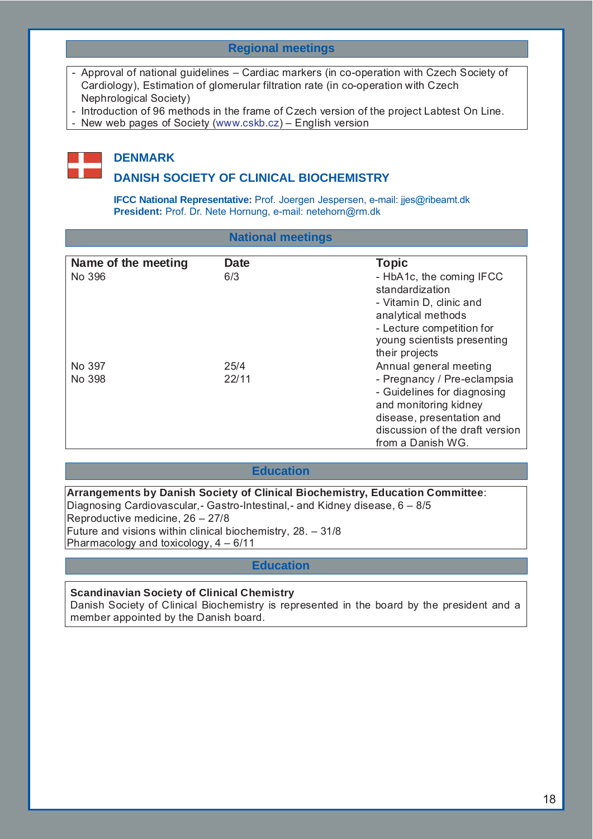#### **Regional meetings**

- Approval of national guidelines Cardiac markers (in co-operation with Czech Society of Cardiology), Estimation of glomerular filtration rate (in co-operation with Czech Nephrological Society)
- Introduction of 96 methods in the frame of Czech version of the project Labtest On Line.
- New web pages of Society (www.cskb.cz) English version



# **DENMARK**

#### **DANISH SOCIETY OF CLINICAL BIOCHEMISTRY**

**IFCC National Representative:** Prof. Joergen Jespersen, e-mail: jjes@ribeamt.dk **President:** Prof. Dr. Nete Hornung, e-mail: netehorn@rm.dk

| <b>National meetings</b> |
|--------------------------|
|                          |

| Name of the meeting | Date  | <b>Topic</b>                    |
|---------------------|-------|---------------------------------|
| No 396              | 6/3   | - HbA1c, the coming IFCC        |
|                     |       | standardization                 |
|                     |       | - Vitamin D, clinic and         |
|                     |       | analytical methods              |
|                     |       | - Lecture competition for       |
|                     |       | young scientists presenting     |
|                     |       | their projects                  |
| No 397              | 25/4  | Annual general meeting          |
| No 398              | 22/11 | - Pregnancy / Pre-eclampsia     |
|                     |       | - Guidelines for diagnosing     |
|                     |       | and monitoring kidney           |
|                     |       | disease, presentation and       |
|                     |       | discussion of the draft version |
|                     |       | from a Danish WG.               |

#### **Education**

**Arrangements by Danish Society of Clinical Biochemistry, Education Committee**: Diagnosing Cardiovascular,- Gastro-Intestinal,- and Kidney disease, 6 – 8/5 Reproductive medicine, 26 – 27/8 Future and visions within clinical biochemistry, 28. – 31/8 Pharmacology and toxicology, 4 – 6/11

#### **Education**

**Scandinavian Society of Clinical Chemistry** Danish Society of Clinical Biochemistry is represented in the board by the president and a member appointed by the Danish board.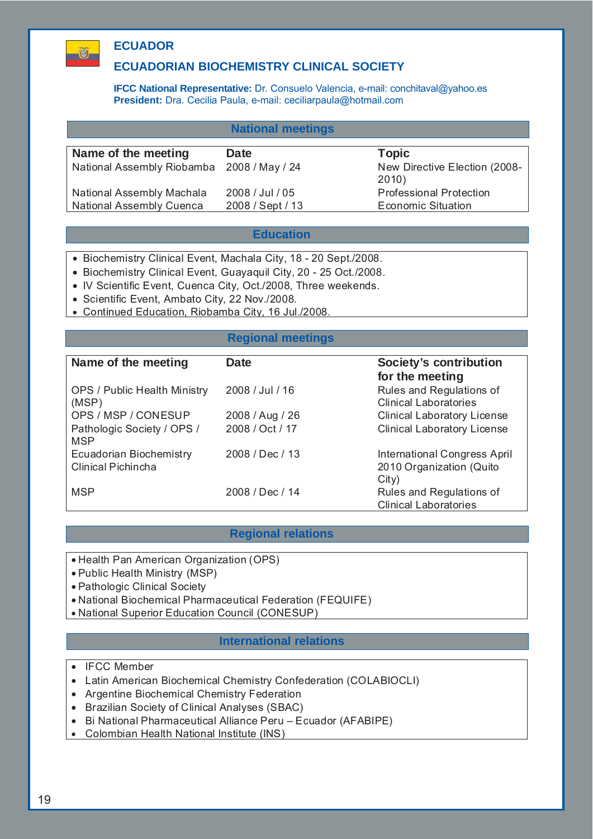# **ECUADOR**

 $\mathbf{U}$ 

#### **ECUADORIAN BIOCHEMISTRY CLINICAL SOCIETY**

**IFCC National Representative:** Dr. Consuelo Valencia, e-mail: conchitaval@yahoo.es **President:** Dra. Cecilia Paula, e-mail: ceciliarpaula@hotmail.com

#### **National meetings**

| Name of the meeting                        | <b>Date</b>      | <b>Topic</b>                           |
|--------------------------------------------|------------------|----------------------------------------|
| National Assembly Riobamba 2008 / May / 24 |                  | New Directive Election (2008-<br>2010) |
| National Assembly Machala                  | 2008 / Jul / 05  | <b>Professional Protection</b>         |
| <b>National Assembly Cuenca</b>            | 2008 / Sept / 13 | <b>Economic Situation</b>              |
|                                            |                  |                                        |

#### **Education**

- Biochemistry Clinical Event, Machala City, 18 20 Sept./2008.
- Biochemistry Clinical Event, Guayaquil City, 20 25 Oct./2008.
- IV Scientific Event, Cuenca City, Oct./2008, Three weekends.
- Scientific Event, Ambato City, 22 Nov./2008.
- Continued Education, Riobamba City, 16 Jul./2008.

#### **Regional meetings**

| Date            | Society's contribution             |
|-----------------|------------------------------------|
|                 | for the meeting                    |
| 2008 / Jul / 16 | Rules and Regulations of           |
|                 | <b>Clinical Laboratories</b>       |
| 2008 / Aug / 26 | <b>Clinical Laboratory License</b> |
| 2008 / Oct / 17 | <b>Clinical Laboratory License</b> |
|                 |                                    |
| 2008 / Dec / 13 | International Congress April       |
|                 | 2010 Organization (Quito           |
|                 | City)                              |
| 2008 / Dec / 14 | Rules and Regulations of           |
|                 | <b>Clinical Laboratories</b>       |
|                 |                                    |

#### **Regional relations**

- Health Pan American Organization (OPS)
- Public Health Ministry (MSP)
- Pathologic Clinical Society
- National Biochemical Pharmaceutical Federation (FEQUIFE)
- National Superior Education Council (CONESUP)

#### **International relations**

- IFCC Member
- Latin American Biochemical Chemistry Confederation (COLABIOCLI)
- Argentine Biochemical Chemistry Federation
- Brazilian Society of Clinical Analyses (SBAC)
- Bi National Pharmaceutical Alliance Peru Ecuador (AFABIPE)
- Colombian Health National Institute (INS)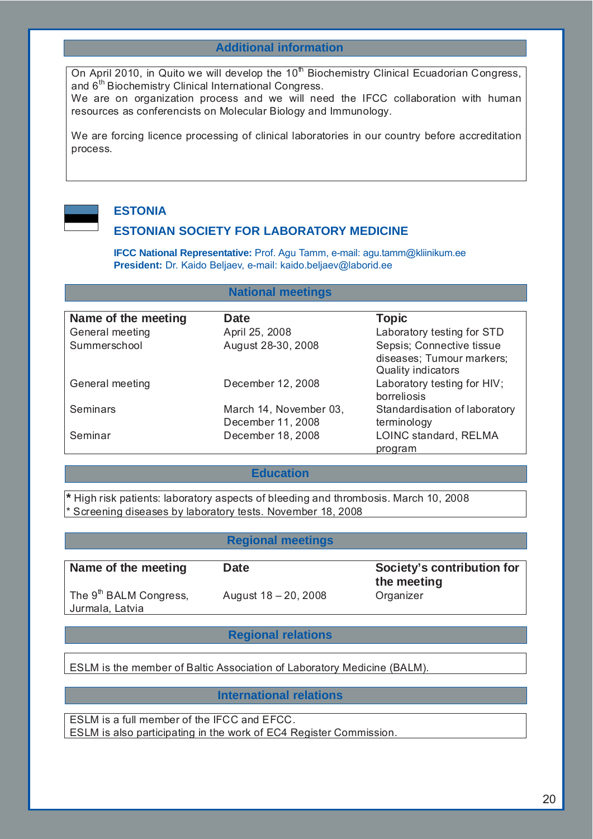#### **Additional information**

On April 2010, in Quito we will develop the 10<sup>th</sup> Biochemistry Clinical Ecuadorian Congress, and 6<sup>th</sup> Biochemistry Clinical International Congress.

We are on organization process and we will need the IFCC collaboration with human resources as conferencists on Molecular Biology and Immunology.

We are forcing licence processing of clinical laboratories in our country before accreditation process.



#### **ESTONIA**

#### **ESTONIAN SOCIETY FOR LABORATORY MEDICINE**

**IFCC National Representative:** Prof. Agu Tamm, e-mail: agu.tamm@kliinikum.ee **President:** Dr. Kaido Beljaev, e-mail: kaido.beljaev@laborid.ee

#### **National meetings**

| Name of the meeting | Date                   | <b>Topic</b>                  |
|---------------------|------------------------|-------------------------------|
| General meeting     | April 25, 2008         | Laboratory testing for STD    |
| Summerschool        | August 28-30, 2008     | Sepsis; Connective tissue     |
|                     |                        | diseases; Tumour markers;     |
|                     |                        | Quality indicators            |
| General meeting     | December 12, 2008      | Laboratory testing for HIV;   |
|                     |                        | borreliosis                   |
| <b>Seminars</b>     | March 14, November 03, | Standardisation of laboratory |
|                     | December 11, 2008      | terminology                   |
| Seminar             | December 18, 2008      | LOINC standard, RELMA         |
|                     |                        | program                       |

#### **Education**

**\*** High risk patients: laboratory aspects of bleeding and thrombosis. March 10, 2008 \* Screening diseases by laboratory tests. November 18, 2008

#### **Regional meetings**

| Name of the meeting                                   | <b>Date</b>          | Society's contribution for<br>the meeting |
|-------------------------------------------------------|----------------------|-------------------------------------------|
| The 9 <sup>th</sup> BALM Congress,<br>Jurmala, Latvia | August 18 - 20, 2008 | Organizer                                 |

#### **Regional relations**

ESLM is the member of Baltic Association of Laboratory Medicine (BALM).

#### **International relations**

ESLM is a full member of the IFCC and EFCC. ESLM is also participating in the work of EC4 Register Commission.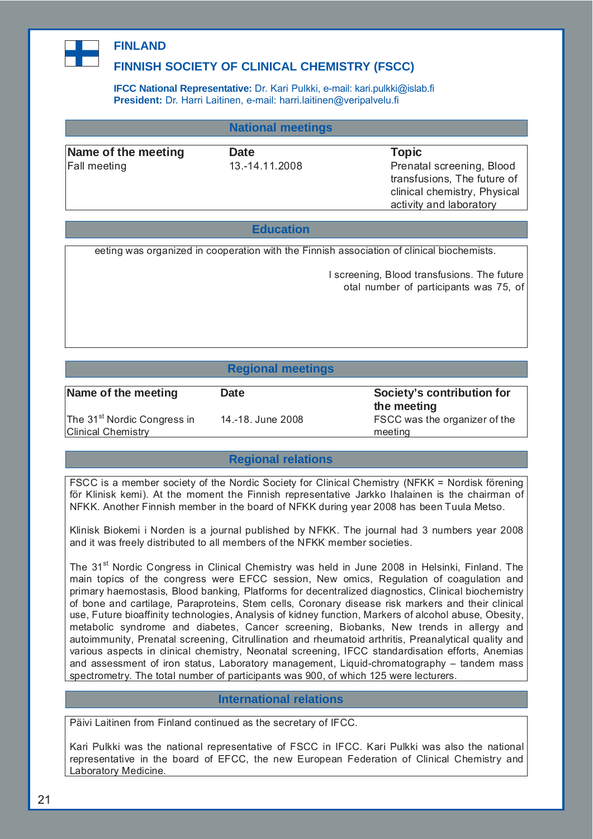

### **FINLAND**

### **FINNISH SOCIETY OF CLINICAL CHEMISTRY (FSCC)**

**IFCC National Representative:** Dr. Kari Pulkki, e-mail: kari.pulkki@islab.fi **President:** Dr. Harri Laitinen, e-mail: harri.laitinen@veripalvelu.fi

#### **National meetings**

**Name of the meeting Date Community Date Community Community Community Community Community Community Community** 

Fall meeting 13.-14.11.2008 Prenatal screening, Blood transfusions, The future of clinical chemistry, Physical activity and laboratory

#### **Education**

eeting was organized in cooperation with the Finnish association of clinical biochemists.

l screening, Blood transfusions. The future otal number of participants was 75, of

#### **Regional meetings**

| Name of the meeting                     | <b>Date</b>       | Society's contribution for<br>the meeting |
|-----------------------------------------|-------------------|-------------------------------------------|
| The 31 <sup>st</sup> Nordic Congress in | 14.-18. June 2008 | FSCC was the organizer of the             |
| <b>Clinical Chemistry</b>               |                   | meeting                                   |

#### **Regional relations**

FSCC is a member society of the Nordic Society for Clinical Chemistry (NFKK = Nordisk förening för Klinisk kemi). At the moment the Finnish representative Jarkko Ihalainen is the chairman of NFKK. Another Finnish member in the board of NFKK during year 2008 has been Tuula Metso.

Klinisk Biokemi i Norden is a journal published by NFKK. The journal had 3 numbers year 2008 and it was freely distributed to all members of the NFKK member societies.

The 31<sup>st</sup> Nordic Congress in Clinical Chemistry was held in June 2008 in Helsinki, Finland. The main topics of the congress were EFCC session, New omics, Regulation of coagulation and primary haemostasis, Blood banking, Platforms for decentralized diagnostics, Clinical biochemistry of bone and cartilage, Paraproteins, Stem cells, Coronary disease risk markers and their clinical use, Future bioaffinity technologies, Analysis of kidney function, Markers of alcohol abuse, Obesity, metabolic syndrome and diabetes, Cancer screening, Biobanks, New trends in allergy and autoimmunity, Prenatal screening, Citrullination and rheumatoid arthritis, Preanalytical quality and various aspects in clinical chemistry, Neonatal screening, IFCC standardisation efforts, Anemias and assessment of iron status, Laboratory management, Liquid-chromatography – tandem mass spectrometry. The total number of participants was 900, of which 125 were lecturers.

#### **International relations**

Päivi Laitinen from Finland continued as the secretary of IFCC.

Kari Pulkki was the national representative of FSCC in IFCC. Kari Pulkki was also the national representative in the board of EFCC, the new European Federation of Clinical Chemistry and Laboratory Medicine.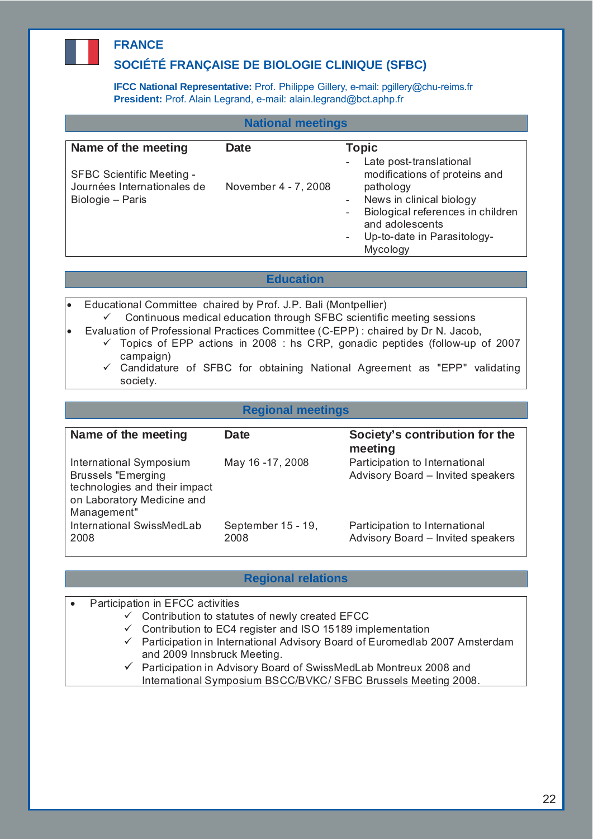# **FRANCE**

### **SOCIÉTÉ FRANÇAISE DE BIOLOGIE CLINIQUE (SFBC)**

**IFCC National Representative:** Prof. Philippe Gillery, e-mail: pgillery@chu-reims.fr **President:** Prof. Alain Legrand, e-mail: alain.legrand@bct.aphp.fr

| <b>National meetings</b>                                                            |                      |                                                                                                                                                                                                                                                                                           |  |
|-------------------------------------------------------------------------------------|----------------------|-------------------------------------------------------------------------------------------------------------------------------------------------------------------------------------------------------------------------------------------------------------------------------------------|--|
| Name of the meeting                                                                 | Date                 | <b>Topic</b><br>Late post-translational                                                                                                                                                                                                                                                   |  |
| <b>SFBC Scientific Meeting -</b><br>Journées Internationales de<br>Biologie – Paris | November 4 - 7, 2008 | $\overline{\phantom{0}}$<br>modifications of proteins and<br>pathology<br>News in clinical biology<br>$\overline{\phantom{0}}$<br>Biological references in children<br>$\overline{\phantom{a}}$<br>and adolescents<br>Up-to-date in Parasitology-<br>$\overline{\phantom{a}}$<br>Mycology |  |

#### **Education**

- Educational Committee chaired by Prof. J.P. Bali (Montpellier)  $\checkmark$  Continuous medical education through SFBC scientific meeting sessions
- Evaluation of Professional Practices Committee (C-EPP) : chaired by Dr N. Jacob,
	- $\checkmark$  Topics of EPP actions in 2008 : hs CRP, gonadic peptides (follow-up of 2007 campaign)
		- $\checkmark$  Candidature of SFBC for obtaining National Agreement as "EPP" validating society.

#### **Regional meetings**

| Name of the meeting                                                                                                                | Date                       | Society's contribution for the<br>meeting                           |
|------------------------------------------------------------------------------------------------------------------------------------|----------------------------|---------------------------------------------------------------------|
| International Symposium<br><b>Brussels "Emerging</b><br>technologies and their impact<br>on Laboratory Medicine and<br>Management" | May 16 -17, 2008           | Participation to International<br>Advisory Board - Invited speakers |
| International SwissMedLab<br>2008                                                                                                  | September 15 - 19,<br>2008 | Participation to International<br>Advisory Board - Invited speakers |

#### **Regional relations**

- Participation in EFCC activities
	- $\checkmark$  Contribution to statutes of newly created EFCC
	- $\checkmark$  Contribution to EC4 register and ISO 15189 implementation
	- $\checkmark$  Participation in International Advisory Board of Euromedlab 2007 Amsterdam and 2009 Innsbruck Meeting.
	- $\checkmark$  Participation in Advisory Board of SwissMedLab Montreux 2008 and International Symposium BSCC/BVKC/ SFBC Brussels Meeting 2008.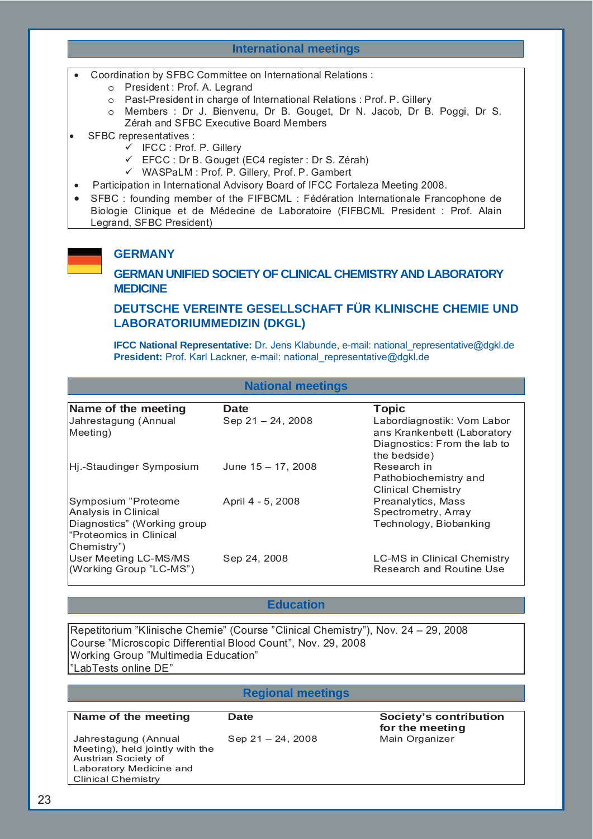#### **International meetings**

- Coordination by SFBC Committee on International Relations :
	- o President : Prof. A. Legrand
	- o Past-President in charge of International Relations : Prof. P. Gillery
	- o Members : Dr J. Bienvenu, Dr B. Gouget, Dr N. Jacob, Dr B. Poggi, Dr S. Zérah and SFBC Executive Board Members
- SFBC representatives :
	- $\checkmark$  IFCC : Prof. P. Gillery
	- $\checkmark$  EFCC : Dr B. Gouget (EC4 register : Dr S. Zérah)
	- 9 WASPaLM : Prof. P. Gillery, Prof. P. Gambert
- Participation in International Advisory Board of IFCC Fortaleza Meeting 2008.
- SFBC : founding member of the FIFBCML : Fédération Internationale Francophone de Biologie Clinique et de Médecine de Laboratoire (FIFBCML President : Prof. Alain Legrand, SFBC President)

#### **GERMANY**

**GERMAN UNIFIED SOCIETY OF CLINICAL CHEMISTRY AND LABORATORY MEDICINE**

#### **DEUTSCHE VEREINTE GESELLSCHAFT FÜR KLINISCHE CHEMIE UND LABORATORIUMMEDIZIN (DKGL)**

**IFCC National Representative:** Dr. Jens Klabunde, e-mail: national\_representative@dgkl.de **President:** Prof. Karl Lackner, e-mail: national representative@dgkl.de

#### **National meetings**

| Name of the meeting                                                                                                   | <b>Date</b>           | <b>Topic</b>                                                                                              |
|-----------------------------------------------------------------------------------------------------------------------|-----------------------|-----------------------------------------------------------------------------------------------------------|
| Jahrestagung (Annual<br>Meeting)                                                                                      | Sep $21 - 24$ , 2008  | Labordiagnostik: Vom Labor<br>ans Krankenbett (Laboratory<br>Diagnostics: From the lab to<br>the bedside) |
| Hj.-Staudinger Symposium                                                                                              | June $15 - 17$ , 2008 | Research in<br>Pathobiochemistry and<br><b>Clinical Chemistry</b>                                         |
| Symposium "Proteome<br>Analysis in Clinical<br>Diagnostics" (Working group<br>"Proteomics in Clinical<br> Chemistry") | April 4 - 5, 2008     | Preanalytics, Mass<br>Spectrometry, Array<br>Technology, Biobanking                                       |
| User Meeting LC-MS/MS<br>(Working Group "LC-MS")                                                                      | Sep 24, 2008          | <b>LC-MS in Clinical Chemistry</b><br>Research and Routine Use                                            |

### **Education**

Repetitorium "Klinische Chemie" (Course "Clinical Chemistry"), Nov. 24 – 29, 2008 Course "Microscopic Differential Blood Count", Nov. 29, 2008 Working Group "Multimedia Education" "LabTests online DE"

#### **Regional meetings**

**Name of the meeting Date Contribution Contribution Contribution Contribution Contribution** 

Jahrestagung (Annual Meeting), held jointly with the Austrian Society of Laboratory Medicine and Clinical Chemistry

Sep 21 – 24, 2008 Main Organizer

**for the meeting**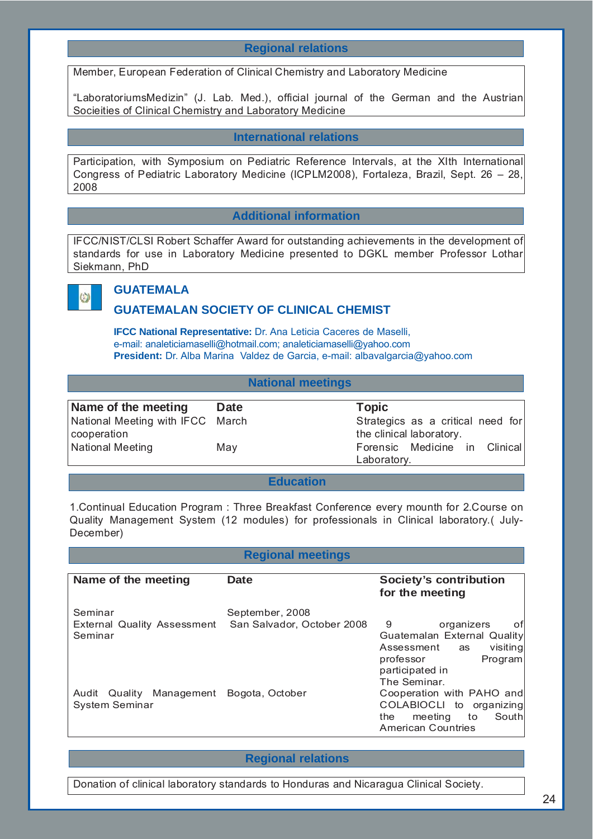#### **Regional relations**

Member, European Federation of Clinical Chemistry and Laboratory Medicine

"LaboratoriumsMedizin" (J. Lab. Med.), official journal of the German and the Austrian Socieities of Clinical Chemistry and Laboratory Medicine

#### **International relations**

Participation, with Symposium on Pediatric Reference Intervals, at the XIth International Congress of Pediatric Laboratory Medicine (ICPLM2008), Fortaleza, Brazil, Sept. 26 – 28, 2008

#### **Additional information**

IFCC/NIST/CLSI Robert Schaffer Award for outstanding achievements in the development of standards for use in Laboratory Medicine presented to DGKL member Professor Lothar Siekmann, PhD



# **GUATEMAI A**

#### **GUATEMALAN SOCIETY OF CLINICAL CHEMIST**

**IFCC National Representative:** Dr. Ana Leticia Caceres de Maselli, e-mail: analeticiamaselli@hotmail.com; analeticiamaselli@yahoo.com **President:** Dr. Alba Marina Valdez de Garcia, e-mail: albavalgarcia@yahoo.com

#### **National meetings**

| Name of the meeting              | <b>Date</b> | Topic                             |
|----------------------------------|-------------|-----------------------------------|
| National Meeting with IFCC March |             | Strategics as a critical need for |
| cooperation                      |             | the clinical laboratory.          |
| National Meeting                 | May         | Forensic Medicine in Clinical     |
|                                  |             | Laboratory.                       |

#### **Education**

1.Continual Education Program : Three Breakfast Conference every mounth for 2.Course on Quality Management System (12 modules) for professionals in Clinical laboratory.( July-December)

#### **Regional meetings**

| Name of the meeting                                      | <b>Date</b>                                   | <b>Society's contribution</b><br>for the meeting                                                                                                 |
|----------------------------------------------------------|-----------------------------------------------|--------------------------------------------------------------------------------------------------------------------------------------------------|
| Seminar<br><b>External Quality Assessment</b><br>Seminar | September, 2008<br>San Salvador, October 2008 | 9<br>organizers<br>otl<br>Guatemalan External Quality<br>visiting<br>Assessment<br>as<br>professor<br>Program<br>participated in<br>The Seminar. |
| Quality Management<br>Audit<br>System Seminar            | Bogota, October                               | Cooperation with PAHO and<br>COLABIOCLI to organizing<br>meeting<br>Southl<br>to<br>the.<br><b>American Countries</b>                            |

#### **Regional relations**

Donation of clinical laboratory standards to Honduras and Nicaragua Clinical Society.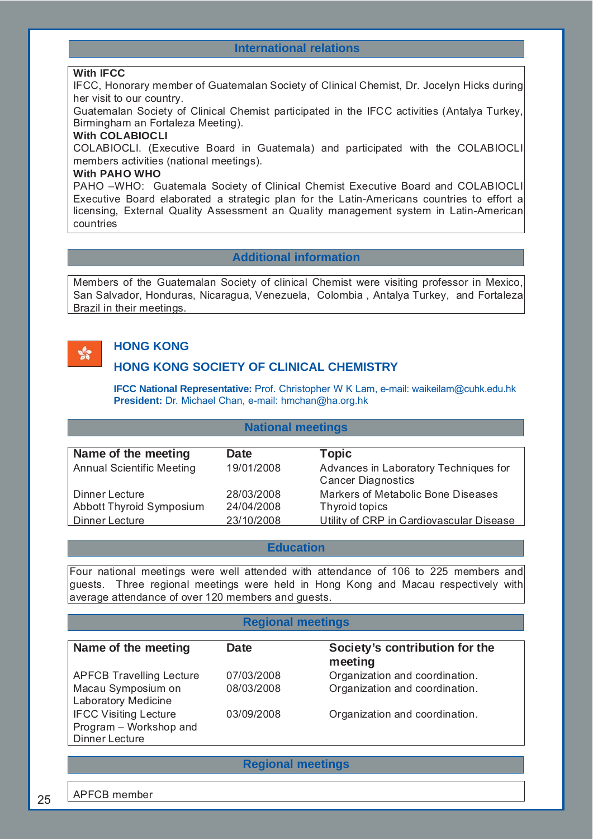#### **International relations**

#### **With IFCC**

IFCC, Honorary member of Guatemalan Society of Clinical Chemist, Dr. Jocelyn Hicks during her visit to our country.

Guatemalan Society of Clinical Chemist participated in the IFCC activities (Antalya Turkey, Birmingham an Fortaleza Meeting).

#### **With COLABIOCLI**

COLABIOCLI. (Executive Board in Guatemala) and participated with the COLABIOCLI members activities (national meetings).

#### **With PAHO WHO**

PAHO –WHO: Guatemala Society of Clinical Chemist Executive Board and COLABIOCLI Executive Board elaborated a strategic plan for the Latin-Americans countries to effort a licensing, External Quality Assessment an Quality management system in Latin-American countries

#### **Additional information**

Members of the Guatemalan Society of clinical Chemist were visiting professor in Mexico, San Salvador, Honduras, Nicaragua, Venezuela, Colombia , Antalya Turkey, and Fortaleza Brazil in their meetings.

# $\mathbf{S}^{\bullet}$

# **HONG KONG**

#### **HONG KONG SOCIETY OF CLINICAL CHEMISTRY**

**IFCC National Representative:** Prof. Christopher W K Lam, e-mail: waikeilam@cuhk.edu.hk **President:** Dr. Michael Chan, e-mail: hmchan@ha.org.hk

#### **National meetings**

| Name of the meeting              | Date       | <b>Topic</b>                             |
|----------------------------------|------------|------------------------------------------|
| <b>Annual Scientific Meeting</b> | 19/01/2008 | Advances in Laboratory Techniques for    |
|                                  |            | <b>Cancer Diagnostics</b>                |
| Dinner Lecture                   | 28/03/2008 | Markers of Metabolic Bone Diseases       |
| Abbott Thyroid Symposium         | 24/04/2008 | Thyroid topics                           |
| Dinner Lecture                   | 23/10/2008 | Utility of CRP in Cardiovascular Disease |

#### **Education**

Four national meetings were well attended with attendance of 106 to 225 members and guests. Three regional meetings were held in Hong Kong and Macau respectively with average attendance of over 120 members and guests.

#### **Regional meetings**

| Name of the meeting             | Date       | Society's contribution for the<br>meeting |
|---------------------------------|------------|-------------------------------------------|
| <b>APFCB Travelling Lecture</b> | 07/03/2008 | Organization and coordination.            |
| Macau Symposium on              | 08/03/2008 | Organization and coordination.            |
| Laboratory Medicine             |            |                                           |
| <b>IFCC Visiting Lecture</b>    | 03/09/2008 | Organization and coordination.            |
| Program - Workshop and          |            |                                           |
| Dinner Lecture                  |            |                                           |

**Regional meetings**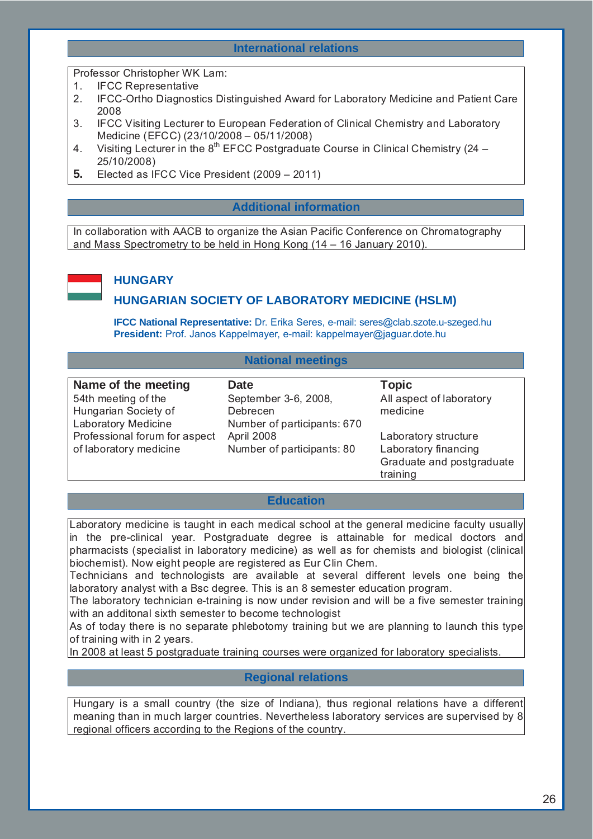#### **International relations**

Professor Christopher WK Lam:

- 1. IFCC Representative
- 2. IFCC-Ortho Diagnostics Distinguished Award for Laboratory Medicine and Patient Care 2008
- 3. IFCC Visiting Lecturer to European Federation of Clinical Chemistry and Laboratory Medicine (EFCC) (23/10/2008 – 05/11/2008)
- 4. Visiting Lecturer in the  $8<sup>th</sup>$  EFCC Postgraduate Course in Clinical Chemistry (24 25/10/2008)
- **5.** Elected as IFCC Vice President (2009 2011)

#### **Additional information**

In collaboration with AACB to organize the Asian Pacific Conference on Chromatography and Mass Spectrometry to be held in Hong Kong (14 – 16 January 2010).



### **HUNGARY**

#### **HUNGARIAN SOCIETY OF LABORATORY MEDICINE (HSLM)**

**IFCC National Representative:** Dr. Erika Seres, e-mail: seres@clab.szote.u-szeged.hu **President:** Prof. Janos Kappelmayer, e-mail: kappelmayer@jaguar.dote.hu

#### **National meetings**

54th meeting of the Hungarian Society of Laboratory Medicine Professional forum for aspect April 2008 of laboratory medicine

**Name of the meeting Date CONSERVITY DATE:** Topic September 3-6, 2008, Debrecen Number of participants: 670 Number of participants: 80

All aspect of laboratory medicine

Laboratory structure Laboratory financing Graduate and postgraduate training

#### **Education**

Laboratory medicine is taught in each medical school at the general medicine faculty usually in the pre-clinical year. Postgraduate degree is attainable for medical doctors and pharmacists (specialist in laboratory medicine) as well as for chemists and biologist (clinical biochemist). Now eight people are registered as Eur Clin Chem.

Technicians and technologists are available at several different levels one being the laboratory analyst with a Bsc degree. This is an 8 semester education program.

The laboratory technician e-training is now under revision and will be a five semester training with an additonal sixth semester to become technologist

As of today there is no separate phlebotomy training but we are planning to launch this type of training with in 2 years.

In 2008 at least 5 postgraduate training courses were organized for laboratory specialists.

#### **Regional relations**

Hungary is a small country (the size of Indiana), thus regional relations have a different meaning than in much larger countries. Nevertheless laboratory services are supervised by 8 regional officers according to the Regions of the country.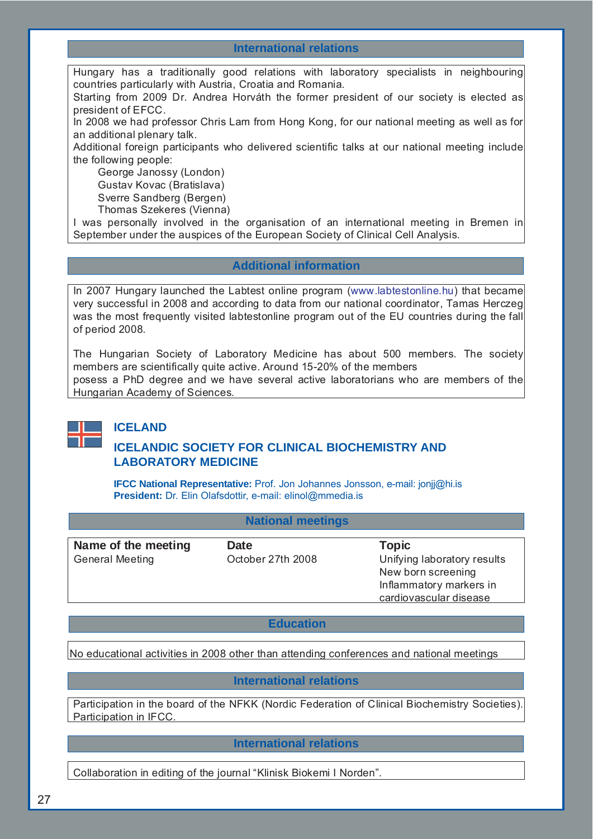#### **International relations**

Hungary has a traditionally good relations with laboratory specialists in neighbouring countries particularly with Austria, Croatia and Romania.

Starting from 2009 Dr. Andrea Horváth the former president of our society is elected as president of EFCC.

In 2008 we had professor Chris Lam from Hong Kong, for our national meeting as well as for an additional plenary talk.

Additional foreign participants who delivered scientific talks at our national meeting include the following people:

George Janossy (London) Gustav Kovac (Bratislava)

Sverre Sandberg (Bergen)

Thomas Szekeres (Vienna)

I was personally involved in the organisation of an international meeting in Bremen in September under the auspices of the European Society of Clinical Cell Analysis.

#### **Additional information**

In 2007 Hungary launched the Labtest online program (www.labtestonline.hu) that became very successful in 2008 and according to data from our national coordinator, Tamas Herczeg was the most frequently visited labtestonline program out of the EU countries during the fall of period 2008.

The Hungarian Society of Laboratory Medicine has about 500 members. The society members are scientifically quite active. Around 15-20% of the members posess a PhD degree and we have several active laboratorians who are members of the Hungarian Academy of Sciences.



#### **ICELAND**

### **ICELANDIC SOCIETY FOR CLINICAL BIOCHEMISTRY AND LABORATORY MEDICINE**

**IFCC National Representative:** Prof. Jon Johannes Jonsson, e-mail: jonjj@hi.is **President:** Dr. Elin Olafsdottir, e-mail: elinol@mmedia.is

#### **National meetings**

| Name of the meeting    | <b>Date</b>       | <b>Topic</b>                |
|------------------------|-------------------|-----------------------------|
| <b>General Meeting</b> | October 27th 2008 | Unifying laboratory results |
|                        |                   | New born screening          |
|                        |                   | Inflammatory markers in     |
|                        |                   | cardiovascular disease      |

#### **Education**

No educational activities in 2008 other than attending conferences and national meetings

#### **International relations**

Participation in the board of the NFKK (Nordic Federation of Clinical Biochemistry Societies). Participation in IFCC.

**International relations**

Collaboration in editing of the journal "Klinisk Biokemi I Norden".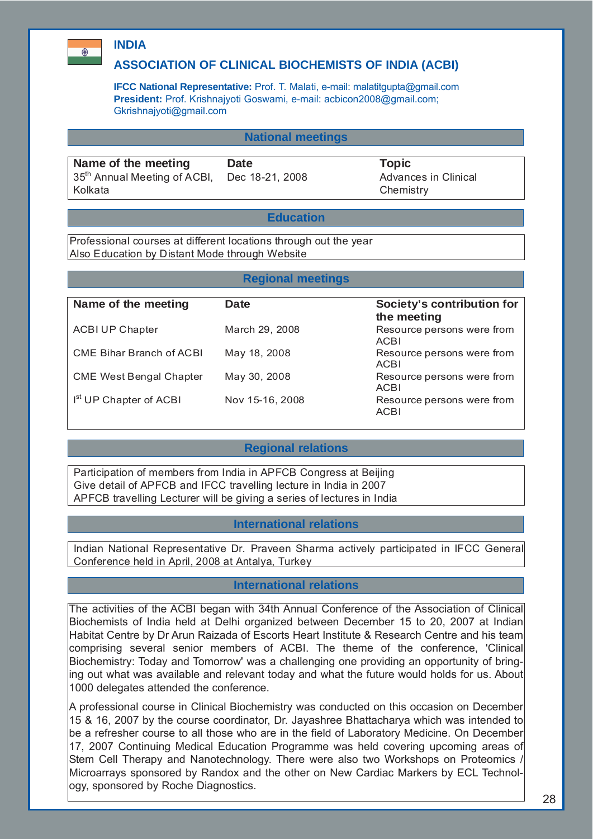### **INDIA**

 $\bullet$ 

#### **ASSOCIATION OF CLINICAL BIOCHEMISTS OF INDIA (ACBI)**

**IFCC National Representative:** Prof. T. Malati, e-mail: malatitgupta@gmail.com **President:** Prof. Krishnajyoti Goswami, e-mail: acbicon2008@gmail.com; Gkrishnajyoti@gmail.com

#### **National meetings**

**Name of the meeting bate COV Date COVER Topic COVER** 35<sup>th</sup> Annual Meeting of ACBI, Kolkata

Dec 18-21, 2008 Advances in Clinical **Chemistry** 

#### **Education**

Professional courses at different locations through out the year Also Education by Distant Mode through Website

#### **Regional meetings**

| Name of the meeting                | Date            | Society's contribution for<br>the meeting |
|------------------------------------|-----------------|-------------------------------------------|
| <b>ACBI UP Chapter</b>             | March 29, 2008  | Resource persons were from<br><b>ACBI</b> |
| CME Bihar Branch of ACBI           | May 18, 2008    | Resource persons were from<br><b>ACBI</b> |
| <b>CME West Bengal Chapter</b>     | May 30, 2008    | Resource persons were from<br>ACBI        |
| I <sup>st</sup> UP Chapter of ACBI | Nov 15-16, 2008 | Resource persons were from<br><b>ACBI</b> |

#### **Regional relations**

Participation of members from India in APFCB Congress at Beijing Give detail of APFCB and IFCC travelling lecture in India in 2007 APFCB travelling Lecturer will be giving a series of lectures in India

#### **International relations**

Indian National Representative Dr. Praveen Sharma actively participated in IFCC General Conference held in April, 2008 at Antalya, Turkey

#### **International relations**

The activities of the ACBI began with 34th Annual Conference of the Association of Clinical Biochemists of India held at Delhi organized between December 15 to 20, 2007 at Indian Habitat Centre by Dr Arun Raizada of Escorts Heart Institute & Research Centre and his team comprising several senior members of ACBI. The theme of the conference, 'Clinical Biochemistry: Today and Tomorrow' was a challenging one providing an opportunity of bringing out what was available and relevant today and what the future would holds for us. About 1000 delegates attended the conference.

A professional course in Clinical Biochemistry was conducted on this occasion on December 15 & 16, 2007 by the course coordinator, Dr. Jayashree Bhattacharya which was intended to be a refresher course to all those who are in the field of Laboratory Medicine. On December 17, 2007 Continuing Medical Education Programme was held covering upcoming areas of Stem Cell Therapy and Nanotechnology. There were also two Workshops on Proteomics Microarrays sponsored by Randox and the other on New Cardiac Markers by ECL Technology, sponsored by Roche Diagnostics.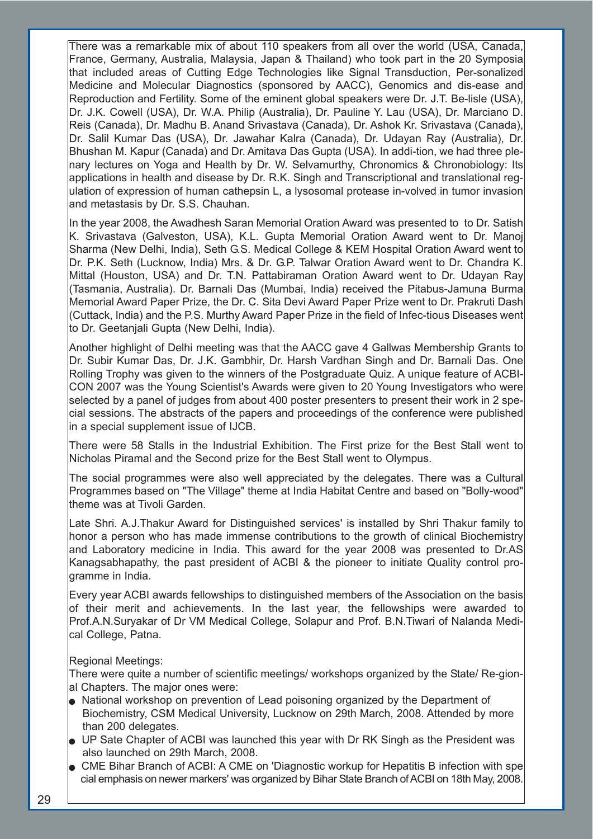There was a remarkable mix of about 110 speakers from all over the world (USA, Canada, France, Germany, Australia, Malaysia, Japan & Thailand) who took part in the 20 Symposia that included areas of Cutting Edge Technologies like Signal Transduction, Per-sonalized Medicine and Molecular Diagnostics (sponsored by AACC), Genomics and dis-ease and Reproduction and Fertility. Some of the eminent global speakers were Dr. J.T. Be-lisle (USA), Dr. J.K. Cowell (USA), Dr. W.A. Philip (Australia), Dr. Pauline Y. Lau (USA), Dr. Marciano D. Reis (Canada), Dr. Madhu B. Anand Srivastava (Canada), Dr. Ashok Kr. Srivastava (Canada), Dr. Salil Kumar Das (USA), Dr. Jawahar Kalra (Canada), Dr. Udayan Ray (Australia), Dr. Bhushan M. Kapur (Canada) and Dr. Amitava Das Gupta (USA). In addi-tion, we had three plenary lectures on Yoga and Health by Dr. W. Selvamurthy, Chronomics & Chronobiology: Its applications in health and disease by Dr. R.K. Singh and Transcriptional and translational regulation of expression of human cathepsin L, a lysosomal protease in-volved in tumor invasion and metastasis by Dr. S.S. Chauhan.

In the year 2008, the Awadhesh Saran Memorial Oration Award was presented to to Dr. Satish K. Srivastava (Galveston, USA), K.L. Gupta Memorial Oration Award went to Dr. Manoj Sharma (New Delhi, India), Seth G.S. Medical College & KEM Hospital Oration Award went to Dr. P.K. Seth (Lucknow, India) Mrs. & Dr. G.P. Talwar Oration Award went to Dr. Chandra K. Mittal (Houston, USA) and Dr. T.N. Pattabiraman Oration Award went to Dr. Udayan Ray (Tasmania, Australia). Dr. Barnali Das (Mumbai, India) received the Pitabus-Jamuna Burma Memorial Award Paper Prize, the Dr. C. Sita Devi Award Paper Prize went to Dr. Prakruti Dash (Cuttack, India) and the P.S. Murthy Award Paper Prize in the field of Infec-tious Diseases went to Dr. Geetanjali Gupta (New Delhi, India).

Another highlight of Delhi meeting was that the AACC gave 4 Gallwas Membership Grants to Dr. Subir Kumar Das, Dr. J.K. Gambhir, Dr. Harsh Vardhan Singh and Dr. Barnali Das. One Rolling Trophy was given to the winners of the Postgraduate Quiz. A unique feature of ACBI-CON 2007 was the Young Scientist's Awards were given to 20 Young Investigators who were selected by a panel of judges from about 400 poster presenters to present their work in 2 special sessions. The abstracts of the papers and proceedings of the conference were published in a special supplement issue of IJCB.

There were 58 Stalls in the Industrial Exhibition. The First prize for the Best Stall went to Nicholas Piramal and the Second prize for the Best Stall went to Olympus.

The social programmes were also well appreciated by the delegates. There was a Cultural Programmes based on "The Village" theme at India Habitat Centre and based on "Bolly-wood" theme was at Tivoli Garden.

Late Shri. A.J.Thakur Award for Distinguished services' is installed by Shri Thakur family to honor a person who has made immense contributions to the growth of clinical Biochemistry and Laboratory medicine in India. This award for the year 2008 was presented to Dr.AS Kanagsabhapathy, the past president of ACBI & the pioneer to initiate Quality control programme in India.

Every year ACBI awards fellowships to distinguished members of the Association on the basis of their merit and achievements. In the last year, the fellowships were awarded to Prof.A.N.Suryakar of Dr VM Medical College, Solapur and Prof. B.N.Tiwari of Nalanda Medical College, Patna.

#### Regional Meetings:

There were quite a number of scientific meetings/ workshops organized by the State/ Re-gional Chapters. The major ones were:

- $\bullet$  National workshop on prevention of Lead poisoning organized by the Department of Biochemistry, CSM Medical University, Lucknow on 29th March, 2008. Attended by more than 200 delegates.
- <sup>Q</sup> UP Sate Chapter of ACBI was launched this year with Dr RK Singh as the President was also launched on 29th March, 2008.
- $\bullet$  CME Bihar Branch of ACBI: A CME on 'Diagnostic workup for Hepatitis B infection with spe cial emphasis on newer markers' was organized by Bihar State Branch of ACBI on 18th May, 2008.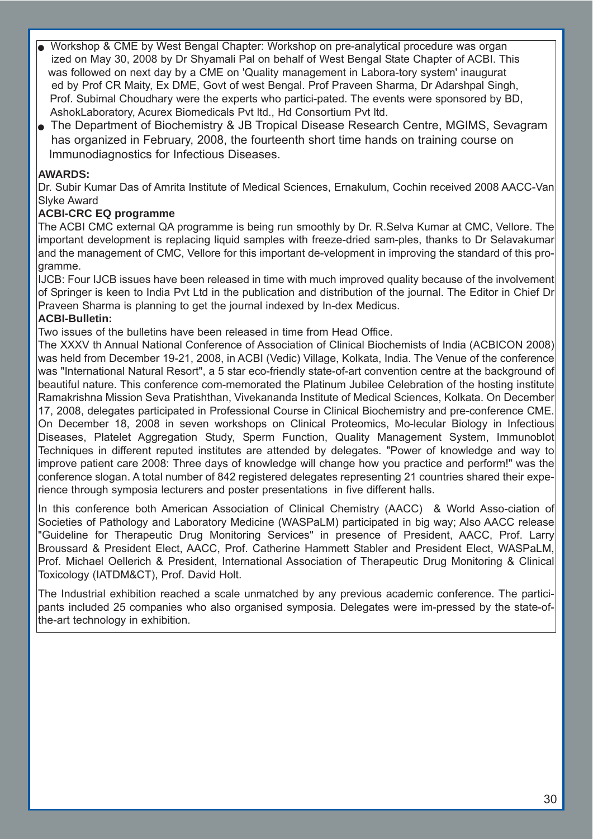- Workshop & CME by West Bengal Chapter: Workshop on pre-analytical procedure was organ ized on May 30, 2008 by Dr Shyamali Pal on behalf of West Bengal State Chapter of ACBI. This was followed on next day by a CME on 'Quality management in Labora-tory system' inaugurat ed by Prof CR Maity, Ex DME, Govt of west Bengal. Prof Praveen Sharma, Dr Adarshpal Singh, Prof. Subimal Choudhary were the experts who partici-pated. The events were sponsored by BD, AshokLaboratory, Acurex Biomedicals Pvt ltd., Hd Consortium Pvt ltd.
- <sup>Q</sup> The Department of Biochemistry & JB Tropical Disease Research Centre, MGIMS, Sevagram has organized in February, 2008, the fourteenth short time hands on training course on Immunodiagnostics for Infectious Diseases.

#### **AWARDS:**

Dr. Subir Kumar Das of Amrita Institute of Medical Sciences, Ernakulum, Cochin received 2008 AACC-Van Slyke Award

#### **ACBI-CRC EQ programme**

The ACBI CMC external QA programme is being run smoothly by Dr. R.Selva Kumar at CMC, Vellore. The important development is replacing liquid samples with freeze-dried sam-ples, thanks to Dr Selavakumar and the management of CMC, Vellore for this important de-velopment in improving the standard of this programme.

IJCB: Four IJCB issues have been released in time with much improved quality because of the involvement of Springer is keen to India Pvt Ltd in the publication and distribution of the journal. The Editor in Chief Dr Praveen Sharma is planning to get the journal indexed by In-dex Medicus.

#### **ACBI-Bulletin:**

Two issues of the bulletins have been released in time from Head Office.

The XXXV th Annual National Conference of Association of Clinical Biochemists of India (ACBICON 2008) was held from December 19-21, 2008, in ACBI (Vedic) Village, Kolkata, India. The Venue of the conference was "International Natural Resort", a 5 star eco-friendly state-of-art convention centre at the background of beautiful nature. This conference com-memorated the Platinum Jubilee Celebration of the hosting institute Ramakrishna Mission Seva Pratishthan, Vivekananda Institute of Medical Sciences, Kolkata. On December 17, 2008, delegates participated in Professional Course in Clinical Biochemistry and pre-conference CME. On December 18, 2008 in seven workshops on Clinical Proteomics, Mo-lecular Biology in Infectious Diseases, Platelet Aggregation Study, Sperm Function, Quality Management System, Immunoblot Techniques in different reputed institutes are attended by delegates. "Power of knowledge and way to improve patient care 2008: Three days of knowledge will change how you practice and perform!" was the conference slogan. A total number of 842 registered delegates representing 21 countries shared their experience through symposia lecturers and poster presentations in five different halls.

In this conference both American Association of Clinical Chemistry (AACC) & World Asso-ciation of Societies of Pathology and Laboratory Medicine (WASPaLM) participated in big way; Also AACC release "Guideline for Therapeutic Drug Monitoring Services" in presence of President, AACC, Prof. Larry Broussard & President Elect, AACC, Prof. Catherine Hammett Stabler and President Elect, WASPaLM, Prof. Michael Oellerich & President, International Association of Therapeutic Drug Monitoring & Clinical Toxicology (IATDM&CT), Prof. David Holt.

The Industrial exhibition reached a scale unmatched by any previous academic conference. The participants included 25 companies who also organised symposia. Delegates were im-pressed by the state-ofthe-art technology in exhibition.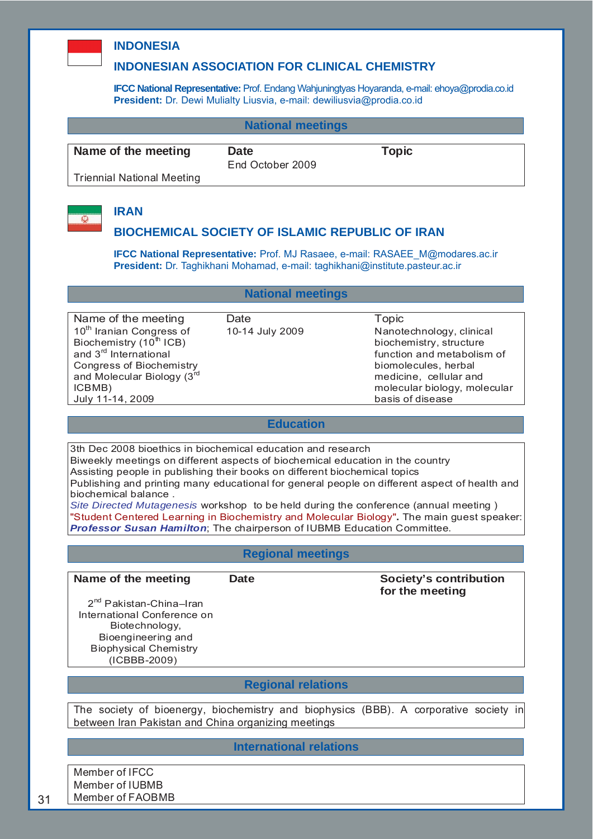

#### **INDONESIA**

#### **INDONESIAN ASSOCIATION FOR CLINICAL CHEMISTRY**

**IFCC National Representative:** Prof. Endang Wahjuningtyas Hoyaranda, e-mail: ehoya@prodia.co.id **President:** Dr. Dewi Mulialty Liusvia, e-mail: dewiliusvia@prodia.co.id

#### **National meetings**

#### **Name of the meeting bate COVE COVER Topic COVER Topic COVER Topic COVER Topic COVER Topic COVER Topic COVER Topic COVER Topic COVER Topic COVER Topic COVER Topic COVER Topic COVER Topic COVER Topic COVER Topic COVER Topic**

End October 2009

Triennial National Meeting



# **IRAN**

#### **BIOCHEMICAL SOCIETY OF ISLAMIC REPUBLIC OF IRAN**

**IFCC National Representative:** Prof. MJ Rasaee, e-mail: RASAEE\_M@modares.ac.ir **President:** Dr. Taghikhani Mohamad, e-mail: taghikhani@institute.pasteur.ac.ir

#### **National meetings**

Name of the meeting Date **Date** Topic 10<sup>th</sup> Iranian Congress of Biochemistry  $(10<sup>th</sup> ICB)$ and 3rd International Congress of Biochemistry and Molecular Biology (3rd ICBMB) July 11-14, 2009

#### 10-14 July 2009 Nanotechnology, clinical biochemistry, structure function and metabolism of biomolecules, herbal medicine, cellular and molecular biology, molecular basis of disease

#### **Education**

3th Dec 2008 bioethics in biochemical education and research

Biweekly meetings on different aspects of biochemical education in the country Assisting people in publishing their books on different biochemical topics

Publishing and printing many educational for general people on different aspect of health and

biochemical balance .

*Site Directed Mutagenesis* workshop to be held during the conference (annual meeting ) "Student Centered Learning in Biochemistry and Molecular Biology"**.** The main guest speaker: *Professor Susan Hamilton*; The chairperson of IUBMB Education Committee.

#### **Regional meetings**

#### Name of the meeting Date **Date Society's contribution for the meeting**

2<sup>nd</sup> Pakistan-China–Iran International Conference on Biotechnology, Bioengineering and Biophysical Chemistry (ICBBB-2009)

#### **Regional relations**

The society of bioenergy, biochemistry and biophysics (BBB). A corporative society in between Iran Pakistan and China organizing meetings

#### **International relations**

Member of IFCC Member of IUBMB Member of FAOBMB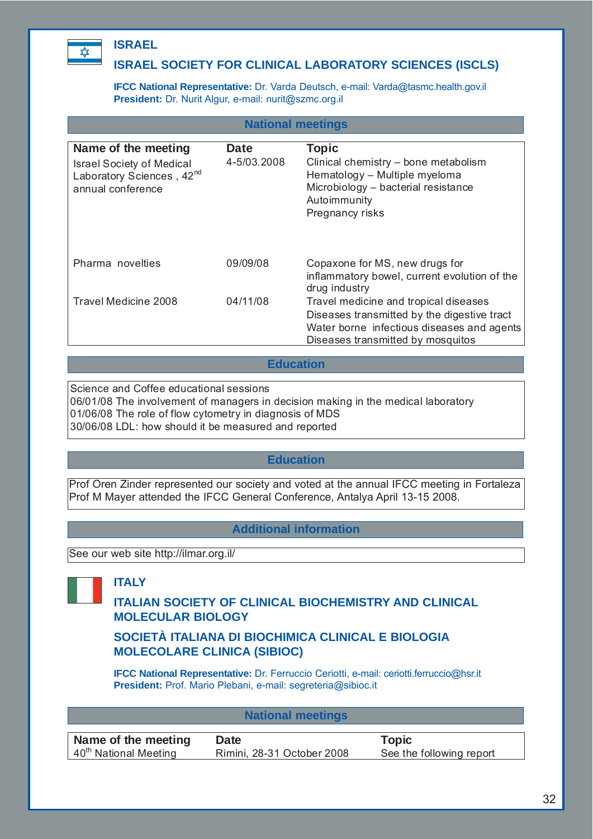

# **ISRAEL**

### **ISRAEL SOCIETY FOR CLINICAL LABORATORY SCIENCES (ISCLS)**

**IFCC National Representative:** Dr. Varda Deutsch, e-mail: Varda@tasmc.health.gov.il **President:** Dr. Nurit Algur, e-mail: nurit@szmc.org.il

| <b>National meetings</b>                                                                                              |                     |                                                                                                                                                                         |  |  |
|-----------------------------------------------------------------------------------------------------------------------|---------------------|-------------------------------------------------------------------------------------------------------------------------------------------------------------------------|--|--|
| Name of the meeting<br><b>Israel Society of Medical</b><br>Laboratory Sciences, 42 <sup>nd</sup><br>annual conference | Date<br>4-5/03.2008 | <b>Topic</b><br>Clinical chemistry - bone metabolism<br>Hematology - Multiple myeloma<br>Microbiology - bacterial resistance<br>Autoimmunity<br>Pregnancy risks         |  |  |
| Pharma novelties                                                                                                      | 09/09/08            | Copaxone for MS, new drugs for<br>inflammatory bowel, current evolution of the<br>drug industry                                                                         |  |  |
| Travel Medicine 2008                                                                                                  | 04/11/08            | Travel medicine and tropical diseases<br>Diseases transmitted by the digestive tract<br>Water borne infectious diseases and agents<br>Diseases transmitted by mosquitos |  |  |

#### **Education**

Science and Coffee educational sessions 06/01/08 The involvement of managers in decision making in the medical laboratory 01/06/08 The role of flow cytometry in diagnosis of MDS 30/06/08 LDL: how should it be measured and reported

#### **Education**

Prof Oren Zinder represented our society and voted at the annual IFCC meeting in Fortaleza Prof M Mayer attended the IFCC General Conference, Antalya April 13-15 2008.

### **Additional information**

See our web site http://ilmar.org.il/

**ITALY**

### **ITALIAN SOCIETY OF CLINICAL BIOCHEMISTRY AND CLINICAL MOLECULAR BIOLOGY**

#### **SOCIETÀ ITALIANA DI BIOCHIMICA CLINICAL E BIOLOGIA MOLECOLARE CLINICA (SIBIOC)**

**IFCC National Representative:** Dr. Ferruccio Ceriotti, e-mail: ceriotti.ferruccio@hsr.it **President:** Prof. Mario Plebani, e-mail: segreteria@sibioc.it

| <b>National meetings</b>          |                            |                          |  |
|-----------------------------------|----------------------------|--------------------------|--|
| Name of the meeting               | Date                       | Topic                    |  |
|                                   |                            |                          |  |
| 40 <sup>th</sup> National Meeting | Rimini, 28-31 October 2008 | See the following report |  |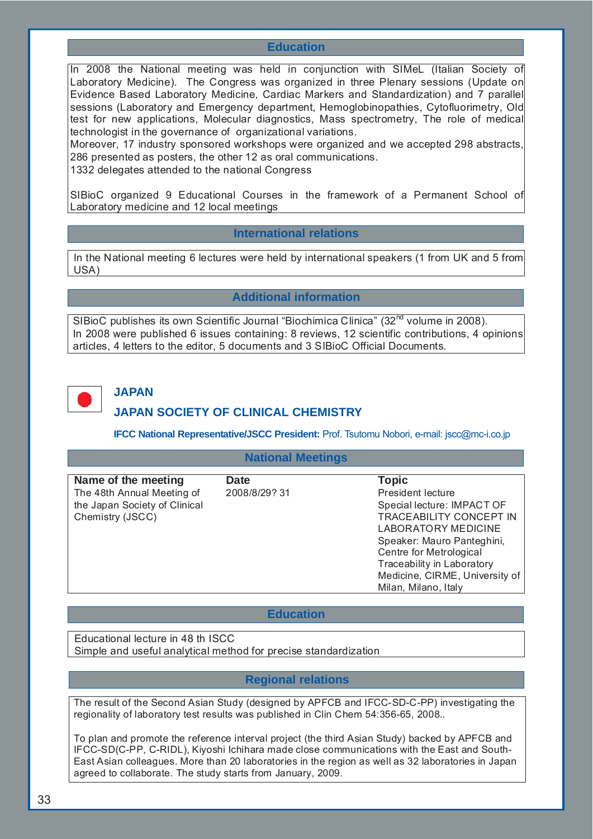#### **Education**

In 2008 the National meeting was held in conjunction with SIMeL (Italian Society of Laboratory Medicine). The Congress was organized in three Plenary sessions (Update on Evidence Based Laboratory Medicine, Cardiac Markers and Standardization) and 7 parallel sessions (Laboratory and Emergency department, Hemoglobinopathies, Cytofluorimetry, Old test for new applications, Molecular diagnostics, Mass spectrometry, The role of medical technologist in the governance of organizational variations.

Moreover, 17 industry sponsored workshops were organized and we accepted 298 abstracts, 286 presented as posters, the other 12 as oral communications.

1332 delegates attended to the national Congress

SIBioC organized 9 Educational Courses in the framework of a Permanent School of Laboratory medicine and 12 local meetings

#### **International relations**

In the National meeting 6 lectures were held by international speakers (1 from UK and 5 from USA)

#### **Additional information**

SIBioC publishes its own Scientific Journal "Biochimica Clinica" (32<sup>nd</sup> volume in 2008). In 2008 were published 6 issues containing: 8 reviews, 12 scientific contributions, 4 opinions articles, 4 letters to the editor, 5 documents and 3 SIBioC Official Documents.



#### **JAPAN**

#### **JAPAN SOCIETY OF CLINICAL CHEMISTRY**

**IFCC National Representative/JSCC President:** Prof. Tsutomu Nobori, e-mail: jscc@mc-i.co.jp

#### **National Meetings**

| Name of the meeting           | Date          | <b>Topic</b>                   |
|-------------------------------|---------------|--------------------------------|
| The 48th Annual Meeting of    | 2008/8/29? 31 | President lecture              |
| the Japan Society of Clinical |               | Special lecture: IMPACT OF     |
| Chemistry (JSCC)              |               | TRACEABILITY CONCEPT IN        |
|                               |               | LABORATORY MEDICINE            |
|                               |               | Speaker: Mauro Panteghini,     |
|                               |               | Centre for Metrological        |
|                               |               | Traceability in Laboratory     |
|                               |               | Medicine, CIRME, University of |
|                               |               | Milan, Milano, Italy           |

#### **Education**

Educational lecture in 48 th ISCC Simple and useful analytical method for precise standardization

#### **Regional relations**

The result of the Second Asian Study (designed by APFCB and IFCC-SD-C-PP) investigating the regionality of laboratory test results was published in Clin Chem 54:356-65, 2008..

To plan and promote the reference interval project (the third Asian Study) backed by APFCB and IFCC-SD(C-PP, C-RIDL), Kiyoshi Ichihara made close communications with the East and South-East Asian colleagues. More than 20 laboratories in the region as well as 32 laboratories in Japan agreed to collaborate. The study starts from January, 2009.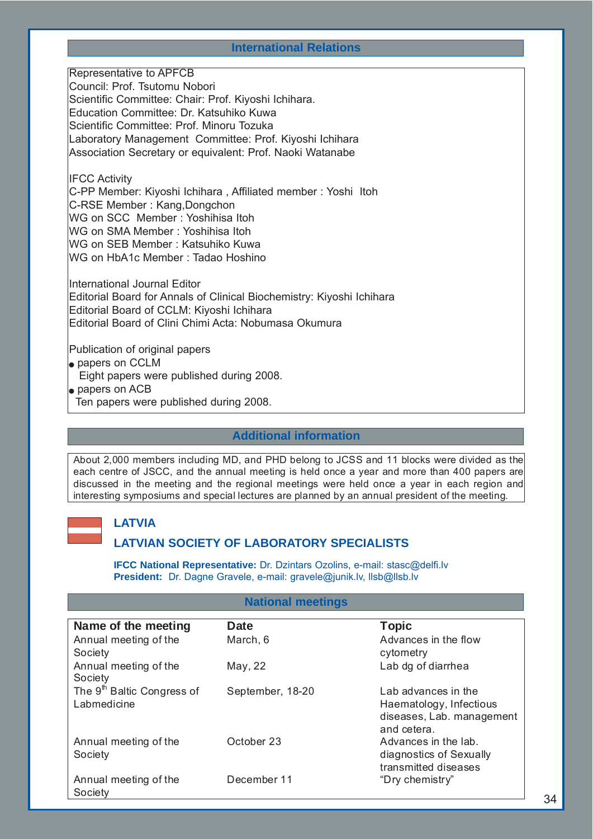#### **International Relations**

Representative to APFCB Council: Prof. Tsutomu Nobori Scientific Committee: Chair: Prof. Kiyoshi Ichihara. Education Committee: Dr. Katsuhiko Kuwa Scientific Committee: Prof. Minoru Tozuka Laboratory Management Committee: Prof. Kiyoshi Ichihara Association Secretary or equivalent: Prof. Naoki Watanabe

IFCC Activity

C-PP Member: Kiyoshi Ichihara , Affiliated member : Yoshi Itoh C-RSE Member : Kang,Dongchon WG on SCC Member : Yoshihisa Itoh WG on SMA Member : Yoshihisa Itoh

WG on SEB Member : Katsuhiko Kuwa

WG on HbA1c Member : Tadao Hoshino

International Journal Editor Editorial Board for Annals of Clinical Biochemistry: Kiyoshi Ichihara Editorial Board of CCLM: Kiyoshi Ichihara Editorial Board of Clini Chimi Acta: Nobumasa Okumura

Publication of original papers

- $\bullet$  papers on CCLM
- Eight papers were published during 2008.
- $\bullet$  papers on ACB
- Ten papers were published during 2008.

#### **Additional information**

About 2,000 members including MD, and PHD belong to JCSS and 11 blocks were divided as the each centre of JSCC, and the annual meeting is held once a year and more than 400 papers are discussed in the meeting and the regional meetings were held once a year in each region and interesting symposiums and special lectures are planned by an annual president of the meeting.

#### **LATVIA**

#### **LATVIAN SOCIETY OF LABORATORY SPECIALISTS**

**IFCC National Representative:** Dr. Dzintars Ozolins, e-mail: stasc@delfi.lv **President:** Dr. Dagne Gravele, e-mail: gravele@junik.lv, llsb@llsb.lv

#### **National meetings**

| Name of the meeting                                   | <b>Date</b>      | <b>Topic</b>                                                                               |
|-------------------------------------------------------|------------------|--------------------------------------------------------------------------------------------|
| Annual meeting of the<br>Society                      | March, 6         | Advances in the flow<br>cytometry                                                          |
| Annual meeting of the<br>Society                      | May, 22          | Lab dg of diarrhea                                                                         |
| The 9 <sup>th</sup> Baltic Congress of<br>Labmedicine | September, 18-20 | Lab advances in the<br>Haematology, Infectious<br>diseases, Lab. management<br>and cetera. |
| Annual meeting of the<br>Society                      | October 23       | Advances in the lab.<br>diagnostics of Sexually<br>transmitted diseases                    |
| Annual meeting of the<br>Society                      | December 11      | "Dry chemistry"                                                                            |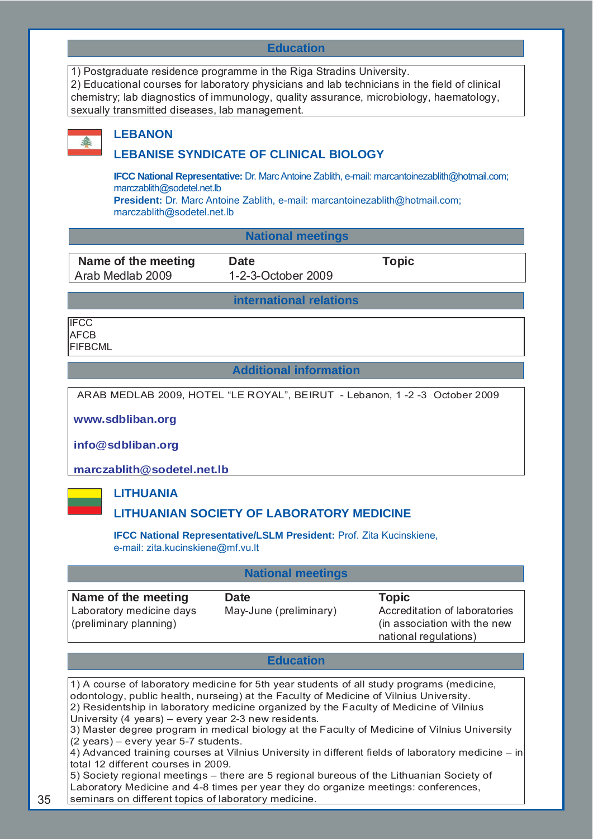#### **Education**

| 1) Postgraduate residence programme in the Riga Stradins University.                          |
|-----------------------------------------------------------------------------------------------|
| 2) Educational courses for laboratory physicians and lab technicians in the field of clinical |
| chemistry; lab diagnostics of immunology, quality assurance, microbiology, haematology,       |
| sexually transmitted diseases, lab management.                                                |
|                                                                                               |



#### **LEBANON**

#### **LEBANISE SYNDICATE OF CLINICAL BIOLOGY**

**IFCC National Representative:** Dr. Marc Antoine Zablith, e-mail: marcantoinezablith@hotmail.com; marczablith@sodetel.net.lb **President:** Dr. Marc Antoine Zablith, e-mail: marcantoinezablith@hotmail.com;

marczablith@sodetel.net.lb

#### **National meetings**

**Name of the meeting Date CONGLERY CONGREGATE:** Topic Arab Medlab 2009 1-2-3-October 2009

**international relations**

**IFCC AFCB** FIFBCML

#### **Additional information**

ARAB MEDLAB 2009, HOTEL "LE ROYAL", BEIRUT - Lebanon, 1 -2 -3 October 2009

**www.sdbliban.org**

**info@sdbliban.org**

**marczablith@sodetel.net.lb**

#### **LITHUANIA**

#### **LITHUANIAN SOCIETY OF LABORATORY MEDICINE**

**IFCC National Representative/LSLM President:** Prof. Zita Kucinskiene, e-mail: zita.kucinskiene@mf.vu.lt

#### **National meetings**

**Name of the meeting Date Constraint Date Constraint Constraint Propic** Laboratory medicine days (preliminary planning) May-June (preliminary) Accreditation of laboratories (in association with the new national regulations)

#### **Education**

1) A course of laboratory medicine for 5th year students of all study programs (medicine, odontology, public health, nurseing) at the Faculty of Medicine of Vilnius University. 2) Residentship in laboratory medicine organized by the Faculty of Medicine of Vilnius University (4 years) – every year 2-3 new residents. 3) Master degree program in medical biology at the Faculty of Medicine of Vilnius University (2 years) – every year 5-7 students. 4) Advanced training courses at Vilnius University in different fields of laboratory medicine – in total 12 different courses in 2009. 5) Society regional meetings – there are 5 regional bureous of the Lithuanian Society of Laboratory Medicine and 4-8 times per year they do organize meetings: conferences,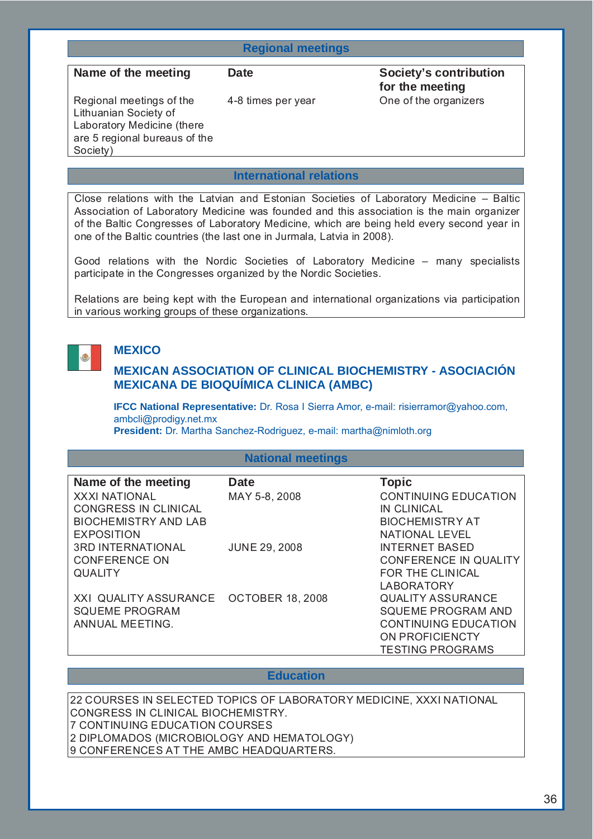#### **Regional meetings**

Name of the meeting **Date Date Society's contribution for the meeting**  4-8 times per year One of the organizers

Regional meetings of the Lithuanian Society of Laboratory Medicine (there are 5 regional bureaus of the Society)

#### **International relations**

Close relations with the Latvian and Estonian Societies of Laboratory Medicine – Baltic Association of Laboratory Medicine was founded and this association is the main organizer of the Baltic Congresses of Laboratory Medicine, which are being held every second year in one of the Baltic countries (the last one in Jurmala, Latvia in 2008).

Good relations with the Nordic Societies of Laboratory Medicine – many specialists participate in the Congresses organized by the Nordic Societies.

Relations are being kept with the European and international organizations via participation in various working groups of these organizations.



#### **MEXICO**

#### **MEXICAN ASSOCIATION OF CLINICAL BIOCHEMISTRY - ASOCIACIÓN MEXICANA DE BIOQUÍMICA CLINICA (AMBC)**

**IFCC National Representative:** Dr. Rosa I Sierra Amor, e-mail: risierramor@yahoo.com, ambcli@prodigy.net.mx **President:** Dr. Martha Sanchez-Rodriguez, e-mail: martha@nimloth.org

#### **National meetings**

| Name of the meeting                    | <b>Date</b>          | <b>Topic</b>                |
|----------------------------------------|----------------------|-----------------------------|
| <b>XXXI NATIONAL</b>                   | MAY 5-8, 2008        | <b>CONTINUING EDUCATION</b> |
| <b>CONGRESS IN CLINICAL</b>            |                      | <b>IN CLINICAL</b>          |
| <b>BIOCHEMISTRY AND LAB</b>            |                      | <b>BIOCHEMISTRY AT</b>      |
| <b>EXPOSITION</b>                      |                      | <b>NATIONAL LEVEL</b>       |
| <b>3RD INTERNATIONAL</b>               | <b>JUNE 29, 2008</b> | <b>INTERNET BASED</b>       |
| <b>CONFERENCE ON</b>                   |                      | CONFERENCE IN QUALITY       |
| <b>QUALITY</b>                         |                      | FOR THE CLINICAL            |
|                                        |                      | <b>LABORATORY</b>           |
| XXI QUALITY ASSURANCE OCTOBER 18, 2008 |                      | <b>QUALITY ASSURANCE</b>    |
| <b>SQUEME PROGRAM</b>                  |                      | <b>SQUEME PROGRAM AND</b>   |
| ANNUAL MEETING.                        |                      | <b>CONTINUING EDUCATION</b> |
|                                        |                      | ON PROFICIENCTY             |
|                                        |                      | <b>TESTING PROGRAMS</b>     |

#### **Education**

22 COURSES IN SELECTED TOPICS OF LABORATORY MEDICINE, XXXI NATIONAL CONGRESS IN CLINICAL BIOCHEMISTRY. 7 CONTINUING EDUCATION COURSES 2 DIPLOMADOS (MICROBIOLOGY AND HEMATOLOGY) 9 CONFERENCES AT THE AMBC HEADQUARTERS.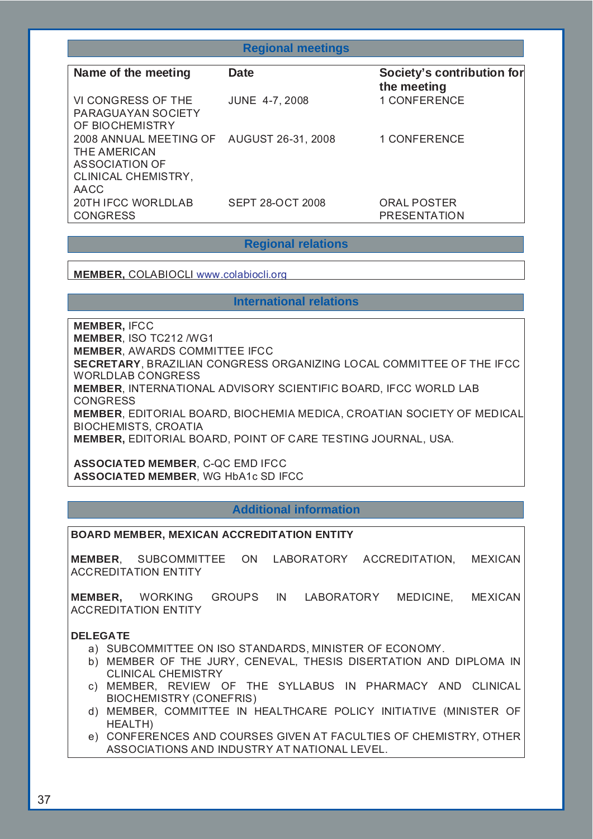| <b>Regional meetings</b>                                                                                         |                         |                                           |  |
|------------------------------------------------------------------------------------------------------------------|-------------------------|-------------------------------------------|--|
| Name of the meeting                                                                                              | <b>Date</b>             | Society's contribution for<br>the meeting |  |
| VI CONGRESS OF THE<br><b>PARAGUAYAN SOCIETY</b><br>OF BIOCHEMISTRY                                               | <b>JUNE 4-7, 2008</b>   | <b>1 CONFERENCE</b>                       |  |
| 2008 ANNUAL MEETING OF AUGUST 26-31, 2008<br>THE AMERICAN<br><b>ASSOCIATION OF</b><br><b>CLINICAL CHEMISTRY,</b> |                         | <b>1 CONFERENCE</b>                       |  |
| AACC<br>20TH IFCC WORLDLAB<br><b>CONGRESS</b>                                                                    | <b>SEPT 28-OCT 2008</b> | <b>ORAL POSTER</b><br><b>PRESENTATION</b> |  |

## **Regional relations**

**MEMBER,** COLABIOCLI www.colabiocli.org

## **International relations**

**MEMBER,** IFCC **MEMBER**, ISO TC212 /WG1 **MEMBER**, AWARDS COMMITTEE IFCC **SECRETARY**, BRAZILIAN CONGRESS ORGANIZING LOCAL COMMITTEE OF THE IFCC WORLDLAB CONGRESS **MEMBER**, INTERNATIONAL ADVISORY SCIENTIFIC BOARD, IFCC WORLD LAB CONGRESS **MEMBER**, EDITORIAL BOARD, BIOCHEMIA MEDICA, CROATIAN SOCIETY OF MEDICAL BIOCHEMISTS, CROATIA **MEMBER,** EDITORIAL BOARD, POINT OF CARE TESTING JOURNAL, USA.

**ASSOCIATED MEMBER**, C-QC EMD IFCC **ASSOCIATED MEMBER**, WG HbA1c SD IFCC

## **Additional information**

#### **BOARD MEMBER, MEXICAN ACCREDITATION ENTITY**

**MEMBER**, SUBCOMMITTEE ON LABORATORY ACCREDITATION, MEXICAN ACCREDITATION ENTITY

**MEMBER,** WORKING GROUPS IN LABORATORY MEDICINE, MEXICAN ACCREDITATION ENTITY

#### **DELEGATE**

- a) SUBCOMMITTEE ON ISO STANDARDS, MINISTER OF ECONOMY.
- b) MEMBER OF THE JURY, CENEVAL, THESIS DISERTATION AND DIPLOMA IN CLINICAL CHEMISTRY
- c) MEMBER, REVIEW OF THE SYLLABUS IN PHARMACY AND CLINICAL BIOCHEMISTRY (CONEFRIS)
- d) MEMBER, COMMITTEE IN HEALTHCARE POLICY INITIATIVE (MINISTER OF HEALTH)
- e) CONFERENCES AND COURSES GIVEN AT FACULTIES OF CHEMISTRY, OTHER ASSOCIATIONS AND INDUSTRY AT NATIONAL LEVEL.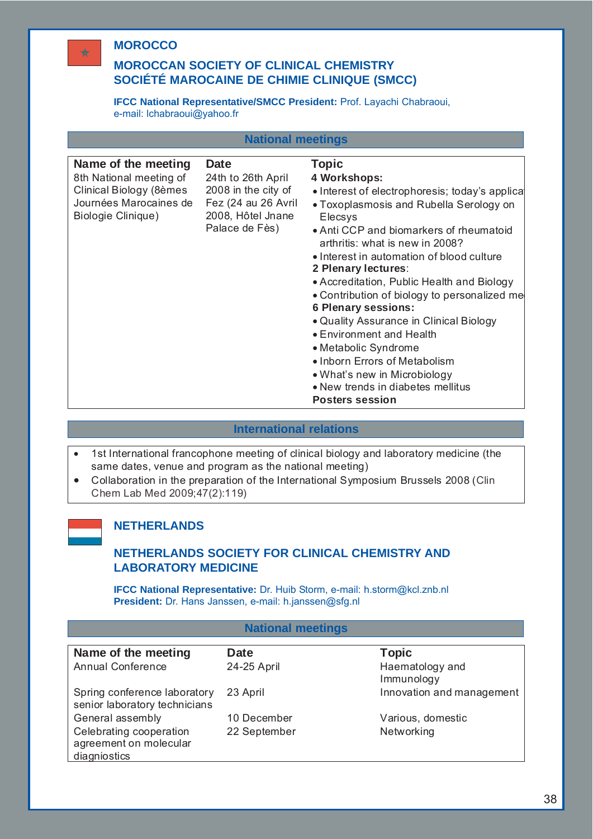# **MOROCCO**

## **MOROCCAN SOCIETY OF CLINICAL CHEMISTRY SOCIÉTÉ MAROCAINE DE CHIMIE CLINIQUE (SMCC)**

**IFCC National Representative/SMCC President:** Prof. Layachi Chabraoui, e-mail: lchabraoui@yahoo.fr

|                                                                                                                           | <b>National meetings</b>                                                                                               |                                                                                                                                                                                                                                                                                                                                                                                                                                                                                                                                                                                                                                                           |
|---------------------------------------------------------------------------------------------------------------------------|------------------------------------------------------------------------------------------------------------------------|-----------------------------------------------------------------------------------------------------------------------------------------------------------------------------------------------------------------------------------------------------------------------------------------------------------------------------------------------------------------------------------------------------------------------------------------------------------------------------------------------------------------------------------------------------------------------------------------------------------------------------------------------------------|
| Name of the meeting<br>8th National meeting of<br>Clinical Biology (8èmes<br>Journées Marocaines de<br>Biologie Clinique) | <b>Date</b><br>24th to 26th April<br>2008 in the city of<br>Fez (24 au 26 Avril<br>2008, Hôtel Jnane<br>Palace de Fès) | <b>Topic</b><br>4 Workshops:<br>• Interest of electrophoresis; today's applical<br>• Toxoplasmosis and Rubella Serology on<br><b>Elecsys</b><br>• Anti CCP and biomarkers of rheumatoid<br>arthritis: what is new in 2008?<br>• Interest in automation of blood culture<br>2 Plenary lectures:<br>• Accreditation, Public Health and Biology<br>• Contribution of biology to personalized me<br><b>6 Plenary sessions:</b><br>• Quality Assurance in Clinical Biology<br>• Environment and Health<br>• Metabolic Syndrome<br>• Inborn Errors of Metabolism<br>• What's new in Microbiology<br>• New trends in diabetes mellitus<br><b>Posters session</b> |

## **International relations**

- 1st International francophone meeting of clinical biology and laboratory medicine (the same dates, venue and program as the national meeting)
- Collaboration in the preparation of the International Symposium Brussels 2008 (Clin Chem Lab Med 2009;47(2):119)



## **NETHERLANDS**

# **NETHERLANDS SOCIETY FOR CLINICAL CHEMISTRY AND LABORATORY MEDICINE**

**IFCC National Representative:** Dr. Huib Storm, e-mail: h.storm@kcl.znb.nl **President:** Dr. Hans Janssen, e-mail: h.janssen@sfg.nl

## **National meetings**

| Name of the meeting                                           | <b>Date</b>  | <b>Topic</b>                  |
|---------------------------------------------------------------|--------------|-------------------------------|
| <b>Annual Conference</b>                                      | 24-25 April  | Haematology and<br>Immunology |
| Spring conference laboratory<br>senior laboratory technicians | 23 April     | Innovation and management     |
| General assembly                                              | 10 December  | Various, domestic             |
| Celebrating cooperation                                       | 22 September | Networking                    |
| agreement on molecular                                        |              |                               |
| diagniostics                                                  |              |                               |

 $\star$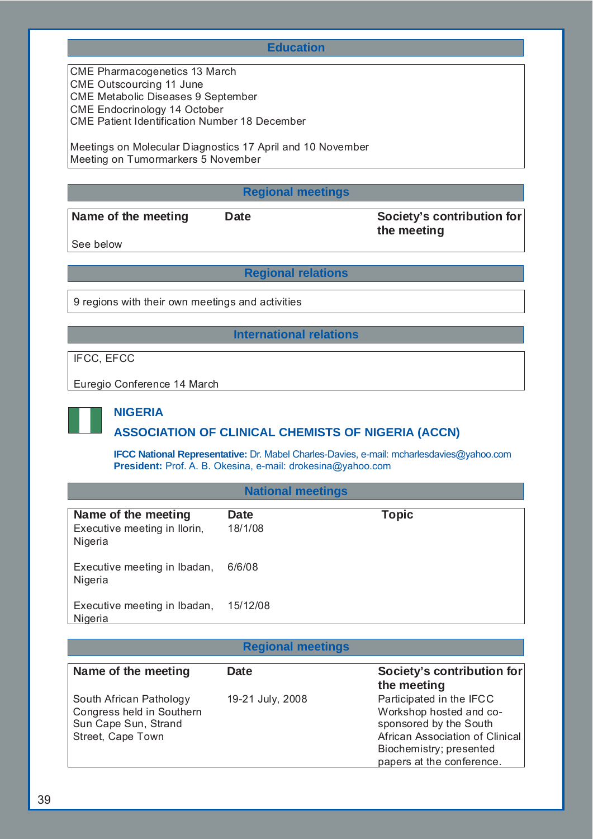#### **Education**

CME Pharmacogenetics 13 March CME Outscourcing 11 June CME Metabolic Diseases 9 September CME Endocrinology 14 October CME Patient Identification Number 18 December

Meetings on Molecular Diagnostics 17 April and 10 November Meeting on Tumormarkers 5 November

## **Regional meetings**

Name of the meeting Date **Date Society's contribution for the meeting** 

See below

**Regional relations**

9 regions with their own meetings and activities

## **International relations**

IFCC, EFCC

Euregio Conference 14 March



# **NIGERIA**

# **ASSOCIATION OF CLINICAL CHEMISTS OF NIGERIA (ACCN)**

**IFCC National Representative:** Dr. Mabel Charles-Davies, e-mail: mcharlesdavies@yahoo.com **President:** Prof. A. B. Okesina, e-mail: drokesina@yahoo.com

## **National meetings**

| Name of the meeting<br>Executive meeting in Ilorin,<br>Nigeria | Date<br>18/1/08 | <b>Topic</b> |
|----------------------------------------------------------------|-----------------|--------------|
| Executive meeting in Ibadan,<br>Nigeria                        | 6/6/08          |              |
| Executive meeting in Ibadan,<br>Nigeria                        | 15/12/08        |              |

## **Regional meetings**

| Name of the meeting                                                                               | <b>Date</b>      | Society's contribution for<br>the meeting                                                                                                                                |
|---------------------------------------------------------------------------------------------------|------------------|--------------------------------------------------------------------------------------------------------------------------------------------------------------------------|
| South African Pathology<br>Congress held in Southern<br>Sun Cape Sun, Strand<br>Street, Cape Town | 19-21 July, 2008 | Participated in the IFCC<br>Workshop hosted and co-<br>sponsored by the South<br>African Association of Clinical<br>Biochemistry; presented<br>papers at the conference. |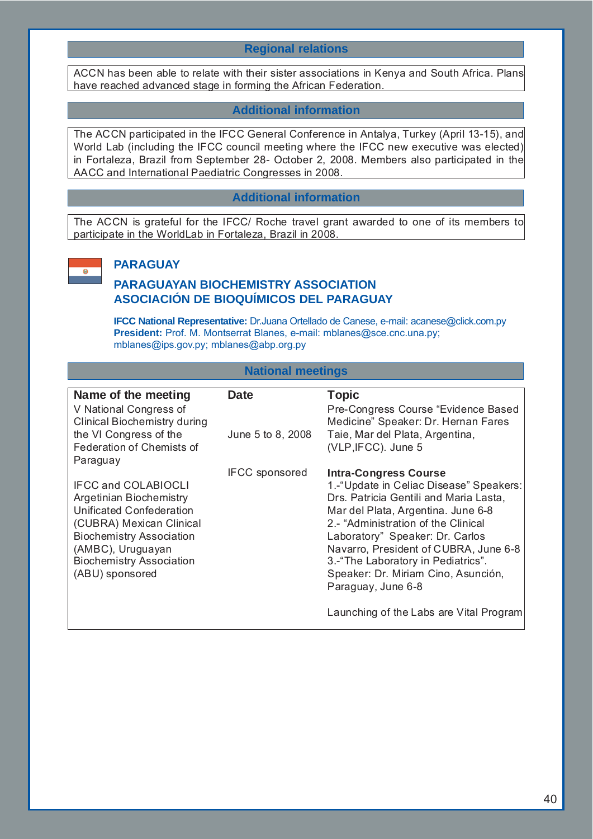# **Regional relations**

ACCN has been able to relate with their sister associations in Kenya and South Africa. Plans have reached advanced stage in forming the African Federation.

## **Additional information**

The ACCN participated in the IFCC General Conference in Antalya, Turkey (April 13-15), and World Lab (including the IFCC council meeting where the IFCC new executive was elected) in Fortaleza, Brazil from September 28- October 2, 2008. Members also participated in the AACC and International Paediatric Congresses in 2008.

## **Additional information**

The ACCN is grateful for the IFCC/ Roche travel grant awarded to one of its members to participate in the WorldLab in Fortaleza, Brazil in 2008.



# **PARAGUAY**

# **PARAGUAYAN BIOCHEMISTRY ASSOCIATION ASOCIACIÓN DE BIOQUÍMICOS DEL PARAGUAY**

**IFCC National Representative:** Dr.Juana Ortellado de Canese, e-mail: acanese@click.com.py **President:** Prof. M. Montserrat Blanes, e-mail: mblanes@sce.cnc.una.py; mblanes@ips.gov.py; mblanes@abp.org.py

## **National meetings**

| Name of the meeting<br>V National Congress of<br><b>Clinical Biochemistry during</b>                                                                                                                                               | <b>Date</b>           | <b>Topic</b><br>Pre-Congress Course "Evidence Based<br>Medicine" Speaker: Dr. Hernan Fares                                                                                                                                                                                                                                                                                                                               |
|------------------------------------------------------------------------------------------------------------------------------------------------------------------------------------------------------------------------------------|-----------------------|--------------------------------------------------------------------------------------------------------------------------------------------------------------------------------------------------------------------------------------------------------------------------------------------------------------------------------------------------------------------------------------------------------------------------|
| the VI Congress of the<br>Federation of Chemists of<br>Paraguay                                                                                                                                                                    | June 5 to 8, 2008     | Taie, Mar del Plata, Argentina,<br>(VLP, IFCC). June 5                                                                                                                                                                                                                                                                                                                                                                   |
| <b>IFCC and COLABIOCLI</b><br><b>Argetinian Biochemistry</b><br>Unificated Confederation<br>(CUBRA) Mexican Clinical<br><b>Biochemistry Association</b><br>(AMBC), Uruguayan<br><b>Biochemistry Association</b><br>(ABU) sponsored | <b>IFCC</b> sponsored | <b>Intra-Congress Course</b><br>1.-"Update in Celiac Disease" Speakers:<br>Drs. Patricia Gentili and Maria Lasta,<br>Mar del Plata, Argentina. June 6-8<br>2.- "Administration of the Clinical<br>Laboratory" Speaker: Dr. Carlos<br>Navarro, President of CUBRA, June 6-8<br>3.-"The Laboratory in Pediatrics".<br>Speaker: Dr. Miriam Cino, Asunción,<br>Paraguay, June 6-8<br>Launching of the Labs are Vital Program |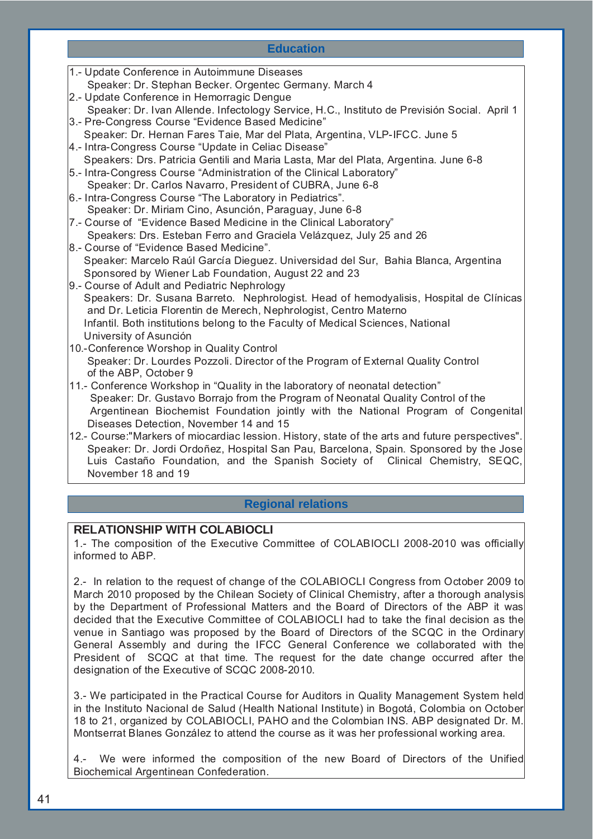## **Education**

| 1.- Update Conference in Autoimmune Diseases                                                      |
|---------------------------------------------------------------------------------------------------|
| Speaker: Dr. Stephan Becker. Orgentec Germany. March 4                                            |
| 2.- Update Conference in Hemorragic Dengue                                                        |
| Speaker: Dr. Ivan Allende. Infectology Service, H.C., Instituto de Previsión Social. April 1      |
| 3.- Pre-Congress Course "Evidence Based Medicine"                                                 |
| Speaker: Dr. Hernan Fares Taie, Mar del Plata, Argentina, VLP-IFCC. June 5                        |
| 4.- Intra-Congress Course "Update in Celiac Disease"                                              |
| Speakers: Drs. Patricia Gentili and Maria Lasta, Mar del Plata, Argentina. June 6-8               |
| 5.- Intra-Congress Course "Administration of the Clinical Laboratory"                             |
| Speaker: Dr. Carlos Navarro, President of CUBRA, June 6-8                                         |
| 6.- Intra-Congress Course "The Laboratory in Pediatrics".                                         |
| Speaker: Dr. Miriam Cino, Asunción, Paraguay, June 6-8                                            |
| 7.- Course of "Evidence Based Medicine in the Clinical Laboratory"                                |
| Speakers: Drs. Esteban Ferro and Graciela Velázquez, July 25 and 26                               |
| 8.- Course of "Evidence Based Medicine".                                                          |
| Speaker: Marcelo Raúl García Dieguez. Universidad del Sur, Bahia Blanca, Argentina                |
| Sponsored by Wiener Lab Foundation, August 22 and 23                                              |
| 9.- Course of Adult and Pediatric Nephrology                                                      |
| Speakers: Dr. Susana Barreto. Nephrologist. Head of hemodyalisis, Hospital de Clínicas            |
| and Dr. Leticia Florentin de Merech, Nephrologist, Centro Materno                                 |
| Infantil. Both institutions belong to the Faculty of Medical Sciences, National                   |
| University of Asunción                                                                            |
| 10.-Conference Worshop in Quality Control                                                         |
| Speaker: Dr. Lourdes Pozzoli. Director of the Program of External Quality Control                 |
| of the ABP, October 9                                                                             |
| 11.- Conference Workshop in "Quality in the laboratory of neonatal detection"                     |
| Speaker: Dr. Gustavo Borrajo from the Program of Neonatal Quality Control of the                  |
| Argentinean Biochemist Foundation jointly with the National Program of Congenital                 |
| Diseases Detection, November 14 and 15                                                            |
| 12.- Course: "Markers of miocardiac lession. History, state of the arts and future perspectives". |
| Speaker: Dr. Jordi Ordoñez, Hospital San Pau, Barcelona, Spain. Sponsored by the Jose             |
| Luis Castaño Foundation, and the Spanish Society of Clinical Chemistry, SEQC,                     |
| November 18 and 19                                                                                |
|                                                                                                   |

# **Regional relations**

# **RELATIONSHIP WITH COLABIOCLI**

1.- The composition of the Executive Committee of COLABIOCLI 2008-2010 was officially informed to ABP.

2.- In relation to the request of change of the COLABIOCLI Congress from October 2009 to March 2010 proposed by the Chilean Society of Clinical Chemistry, after a thorough analysis by the Department of Professional Matters and the Board of Directors of the ABP it was decided that the Executive Committee of COLABIOCLI had to take the final decision as the venue in Santiago was proposed by the Board of Directors of the SCQC in the Ordinary General Assembly and during the IFCC General Conference we collaborated with the President of SCQC at that time. The request for the date change occurred after the designation of the Executive of SCQC 2008-2010.

3.- We participated in the Practical Course for Auditors in Quality Management System held in the Instituto Nacional de Salud (Health National Institute) in Bogotá, Colombia on October 18 to 21, organized by COLABIOCLI, PAHO and the Colombian INS. ABP designated Dr. M. Montserrat Blanes González to attend the course as it was her professional working area.

4.- We were informed the composition of the new Board of Directors of the Unified Biochemical Argentinean Confederation.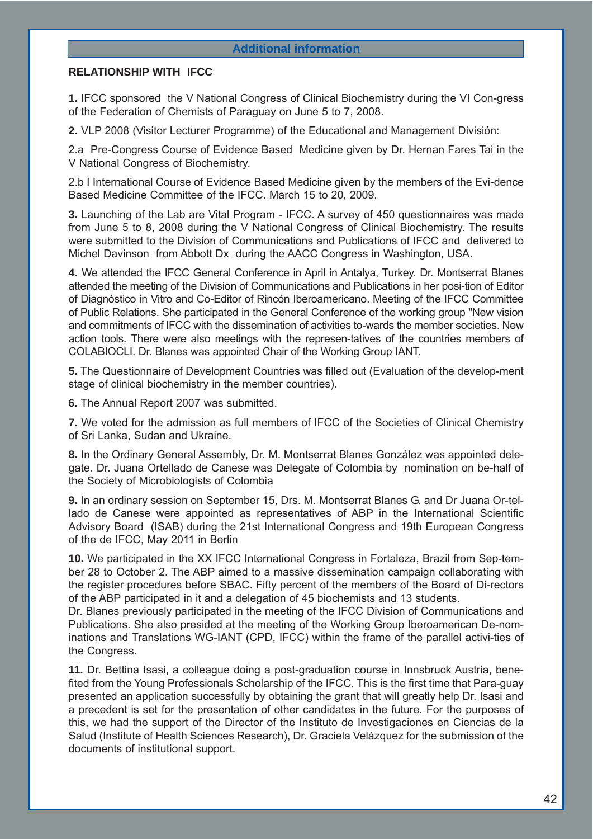## **Additional information**

## **RELATIONSHIP WITH IFCC**

**1.** IFCC sponsored the V National Congress of Clinical Biochemistry during the VI Con-gress of the Federation of Chemists of Paraguay on June 5 to 7, 2008.

**2.** VLP 2008 (Visitor Lecturer Programme) of the Educational and Management División:

2.a Pre-Congress Course of Evidence Based Medicine given by Dr. Hernan Fares Tai in the V National Congress of Biochemistry.

2.b I International Course of Evidence Based Medicine given by the members of the Evi-dence Based Medicine Committee of the IFCC. March 15 to 20, 2009.

**3.** Launching of the Lab are Vital Program - IFCC. A survey of 450 questionnaires was made from June 5 to 8, 2008 during the V National Congress of Clinical Biochemistry. The results were submitted to the Division of Communications and Publications of IFCC and delivered to Michel Davinson from Abbott Dx during the AACC Congress in Washington, USA.

**4.** We attended the IFCC General Conference in April in Antalya, Turkey. Dr. Montserrat Blanes attended the meeting of the Division of Communications and Publications in her posi-tion of Editor of Diagnóstico in Vitro and Co-Editor of Rincón Iberoamericano. Meeting of the IFCC Committee of Public Relations. She participated in the General Conference of the working group "New vision and commitments of IFCC with the dissemination of activities to-wards the member societies. New action tools. There were also meetings with the represen-tatives of the countries members of COLABIOCLI. Dr. Blanes was appointed Chair of the Working Group IANT.

**5.** The Questionnaire of Development Countries was filled out (Evaluation of the develop-ment stage of clinical biochemistry in the member countries).

**6.** The Annual Report 2007 was submitted.

**7.** We voted for the admission as full members of IFCC of the Societies of Clinical Chemistry of Sri Lanka, Sudan and Ukraine.

**8.** In the Ordinary General Assembly, Dr. M. Montserrat Blanes González was appointed delegate. Dr. Juana Ortellado de Canese was Delegate of Colombia by nomination on be-half of the Society of Microbiologists of Colombia

**9.** In an ordinary session on September 15, Drs. M. Montserrat Blanes G. and Dr Juana Or-tellado de Canese were appointed as representatives of ABP in the International Scientific Advisory Board (ISAB) during the 21st International Congress and 19th European Congress of the de IFCC, May 2011 in Berlin

**10.** We participated in the XX IFCC International Congress in Fortaleza, Brazil from Sep-tember 28 to October 2. The ABP aimed to a massive dissemination campaign collaborating with the register procedures before SBAC. Fifty percent of the members of the Board of Di-rectors of the ABP participated in it and a delegation of 45 biochemists and 13 students.

Dr. Blanes previously participated in the meeting of the IFCC Division of Communications and Publications. She also presided at the meeting of the Working Group Iberoamerican De-nominations and Translations WG-IANT (CPD, IFCC) within the frame of the parallel activi-ties of the Congress.

**11.** Dr. Bettina Isasi, a colleague doing a post-graduation course in Innsbruck Austria, benefited from the Young Professionals Scholarship of the IFCC. This is the first time that Para-guay presented an application successfully by obtaining the grant that will greatly help Dr. Isasi and a precedent is set for the presentation of other candidates in the future. For the purposes of this, we had the support of the Director of the Instituto de Investigaciones en Ciencias de la Salud (Institute of Health Sciences Research), Dr. Graciela Velázquez for the submission of the documents of institutional support.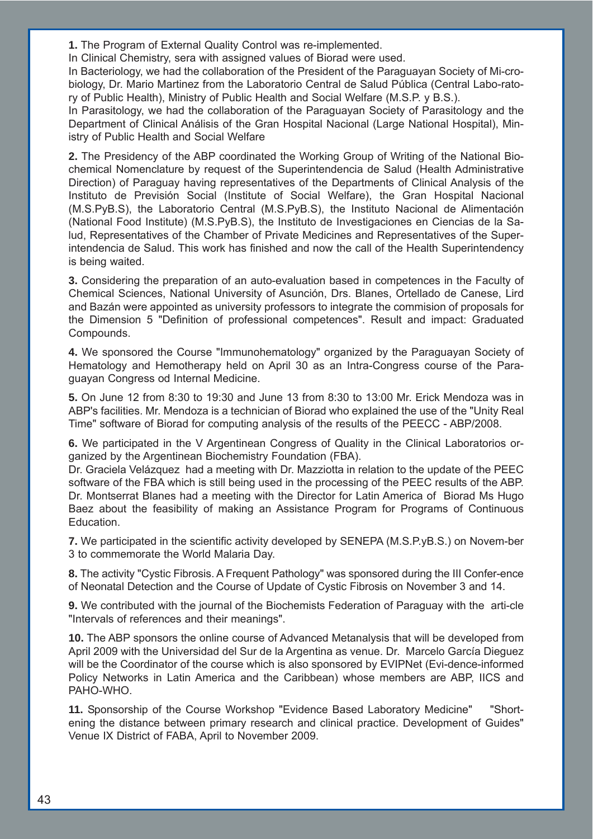**1.** The Program of External Quality Control was re-implemented.

In Clinical Chemistry, sera with assigned values of Biorad were used.

In Bacteriology, we had the collaboration of the President of the Paraguayan Society of Mi-crobiology, Dr. Mario Martinez from the Laboratorio Central de Salud Pública (Central Labo-ratory of Public Health), Ministry of Public Health and Social Welfare (M.S.P. y B.S.).

In Parasitology, we had the collaboration of the Paraguayan Society of Parasitology and the Department of Clinical Análisis of the Gran Hospital Nacional (Large National Hospital), Ministry of Public Health and Social Welfare

**2.** The Presidency of the ABP coordinated the Working Group of Writing of the National Biochemical Nomenclature by request of the Superintendencia de Salud (Health Administrative Direction) of Paraguay having representatives of the Departments of Clinical Analysis of the Instituto de Previsión Social (Institute of Social Welfare), the Gran Hospital Nacional (M.S.PyB.S), the Laboratorio Central (M.S.PyB.S), the Instituto Nacional de Alimentación (National Food Institute) (M.S.PyB.S), the Instituto de Investigaciones en Ciencias de la Salud, Representatives of the Chamber of Private Medicines and Representatives of the Superintendencia de Salud. This work has finished and now the call of the Health Superintendency is being waited.

**3.** Considering the preparation of an auto-evaluation based in competences in the Faculty of Chemical Sciences, National University of Asunción, Drs. Blanes, Ortellado de Canese, Lird and Bazán were appointed as university professors to integrate the commision of proposals for the Dimension 5 "Definition of professional competences". Result and impact: Graduated Compounds.

**4.** We sponsored the Course "Immunohematology" organized by the Paraguayan Society of Hematology and Hemotherapy held on April 30 as an Intra-Congress course of the Paraguayan Congress od Internal Medicine.

**5.** On June 12 from 8:30 to 19:30 and June 13 from 8:30 to 13:00 Mr. Erick Mendoza was in ABP's facilities. Mr. Mendoza is a technician of Biorad who explained the use of the "Unity Real Time" software of Biorad for computing analysis of the results of the PEECC - ABP/2008.

**6.** We participated in the V Argentinean Congress of Quality in the Clinical Laboratorios organized by the Argentinean Biochemistry Foundation (FBA).

Dr. Graciela Velázquez had a meeting with Dr. Mazziotta in relation to the update of the PEEC software of the FBA which is still being used in the processing of the PEEC results of the ABP. Dr. Montserrat Blanes had a meeting with the Director for Latin America of Biorad Ms Hugo Baez about the feasibility of making an Assistance Program for Programs of Continuous Education.

**7.** We participated in the scientific activity developed by SENEPA (M.S.P.yB.S.) on Novem-ber 3 to commemorate the World Malaria Day.

**8.** The activity "Cystic Fibrosis. A Frequent Pathology" was sponsored during the III Confer-ence of Neonatal Detection and the Course of Update of Cystic Fibrosis on November 3 and 14.

**9.** We contributed with the journal of the Biochemists Federation of Paraguay with the arti-cle "Intervals of references and their meanings".

**10.** The ABP sponsors the online course of Advanced Metanalysis that will be developed from April 2009 with the Universidad del Sur de la Argentina as venue. Dr. Marcelo García Dieguez will be the Coordinator of the course which is also sponsored by EVIPNet (Evi-dence-informed Policy Networks in Latin America and the Caribbean) whose members are ABP, IICS and PAHO-WHO.

**11.** Sponsorship of the Course Workshop "Evidence Based Laboratory Medicine" "Shortening the distance between primary research and clinical practice. Development of Guides" Venue IX District of FABA, April to November 2009.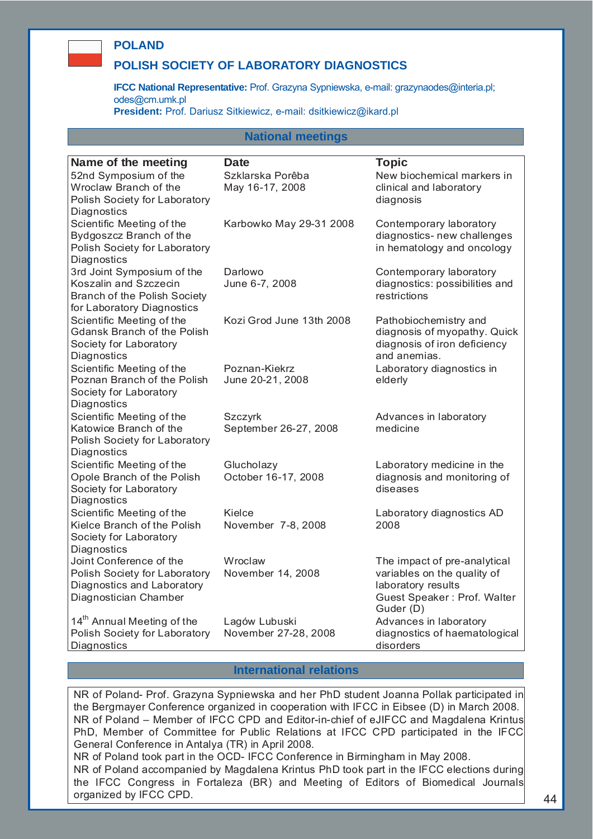## **POLAND**

## **POLISH SOCIETY OF LABORATORY DIAGNOSTICS**

**IFCC National Representative:** Prof. Grazyna Sypniewska, e-mail: grazynaodes@interia.pl; odes@cm.umk.pl

**President:** Prof. Dariusz Sitkiewicz, e-mail: dsitkiewicz@ikard.pl

## **National meetings**

| Name of the meeting                    | <b>Date</b>              | <b>Topic</b>                   |
|----------------------------------------|--------------------------|--------------------------------|
| 52nd Symposium of the                  | Szklarska Porêba         | New biochemical markers in     |
| Wroclaw Branch of the                  | May 16-17, 2008          | clinical and laboratory        |
| Polish Society for Laboratory          |                          | diagnosis                      |
| Diagnostics                            |                          |                                |
| Scientific Meeting of the              | Karbowko May 29-31 2008  | Contemporary laboratory        |
| Bydgoszcz Branch of the                |                          | diagnostics- new challenges    |
|                                        |                          |                                |
| Polish Society for Laboratory          |                          | in hematology and oncology     |
| Diagnostics                            |                          |                                |
| 3rd Joint Symposium of the             | Darlowo                  | Contemporary laboratory        |
| Koszalin and Szczecin                  | June 6-7, 2008           | diagnostics: possibilities and |
| Branch of the Polish Society           |                          | restrictions                   |
| for Laboratory Diagnostics             |                          |                                |
| Scientific Meeting of the              | Kozi Grod June 13th 2008 | Pathobiochemistry and          |
| <b>Gdansk Branch of the Polish</b>     |                          | diagnosis of myopathy. Quick   |
| Society for Laboratory                 |                          | diagnosis of iron deficiency   |
| Diagnostics                            |                          | and anemias.                   |
| Scientific Meeting of the              | Poznan-Kiekrz            | Laboratory diagnostics in      |
| Poznan Branch of the Polish            | June 20-21, 2008         | elderly                        |
| Society for Laboratory                 |                          |                                |
| Diagnostics                            |                          |                                |
|                                        |                          |                                |
| Scientific Meeting of the              | Szczyrk                  | Advances in laboratory         |
| Katowice Branch of the                 | September 26-27, 2008    | medicine                       |
| Polish Society for Laboratory          |                          |                                |
| Diagnostics                            |                          |                                |
| Scientific Meeting of the              | Glucholazy               | Laboratory medicine in the     |
| Opole Branch of the Polish             | October 16-17, 2008      | diagnosis and monitoring of    |
| Society for Laboratory                 |                          | diseases                       |
| Diagnostics                            |                          |                                |
| Scientific Meeting of the              | Kielce                   | Laboratory diagnostics AD      |
| Kielce Branch of the Polish            | November 7-8, 2008       | 2008                           |
| Society for Laboratory                 |                          |                                |
| Diagnostics                            |                          |                                |
| Joint Conference of the                | Wroclaw                  | The impact of pre-analytical   |
| Polish Society for Laboratory          | November 14, 2008        | variables on the quality of    |
| Diagnostics and Laboratory             |                          | laboratory results             |
| Diagnostician Chamber                  |                          | Guest Speaker: Prof. Walter    |
|                                        |                          | Guder (D)                      |
| 14 <sup>th</sup> Annual Meeting of the | Lagów Lubuski            | Advances in laboratory         |
| Polish Society for Laboratory          | November 27-28, 2008     | diagnostics of haematological  |
| Diagnostics                            |                          | disorders                      |

#### **International relations**

NR of Poland- Prof. Grazyna Sypniewska and her PhD student Joanna Pollak participated in the Bergmayer Conference organized in cooperation with IFCC in Eibsee (D) in March 2008. NR of Poland – Member of IFCC CPD and Editor-in-chief of eJIFCC and Magdalena Krintus PhD, Member of Committee for Public Relations at IFCC CPD participated in the IFCC General Conference in Antalya (TR) in April 2008.

NR of Poland took part in the OCD- IFCC Conference in Birmingham in May 2008. NR of Poland accompanied by Magdalena Krintus PhD took part in the IFCC elections during the IFCC Congress in Fortaleza (BR) and Meeting of Editors of Biomedical Journals organized by IFCC CPD.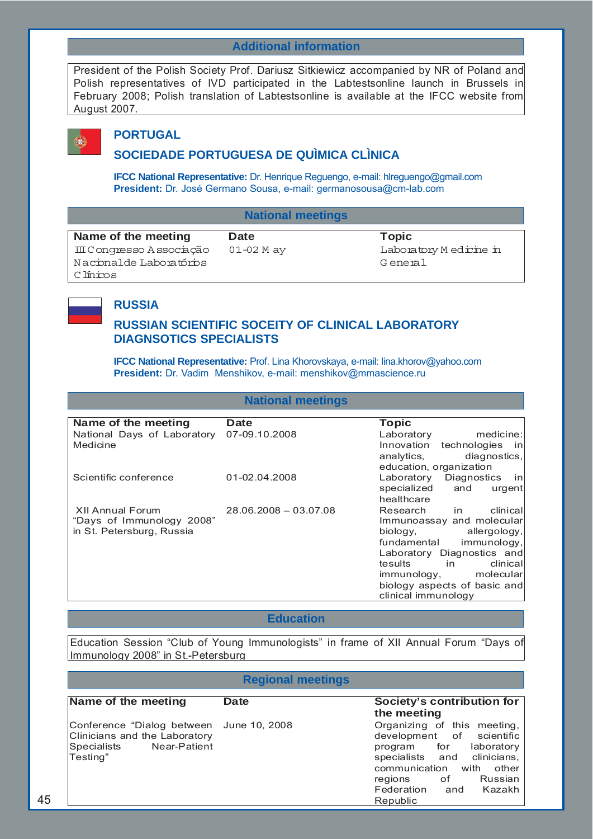# **Additional information**

President of the Polish Society Prof. Dariusz Sitkiewicz accompanied by NR of Poland and Polish representatives of IVD participated in the Labtestsonline launch in Brussels in February 2008; Polish translation of Labtestsonline is available at the IFCC website from August 2007.



## **PORTUGAL**

# **SOCIEDADE PORTUGUESA DE QUÌMICA CLÌNICA**

**IFCC National Representative:** Dr. Henrique Reguengo, e-mail: hlreguengo@gmail.com **President:** Dr. José Germano Sousa, e-mail: germanosousa@cm-lab.com

| <b>National meetings</b> |
|--------------------------|
|                          |

| Name of the meeting       | Date       | Topic                  |
|---------------------------|------------|------------------------|
| III Conqresso A ssociação | 01-02 M ay | Laboratory Medicine in |
| Nacional de Laboratórios  |            | General                |
| C línicos                 |            |                        |

# **RUSSIA**

# **RUSSIAN SCIENTIFIC SOCEITY OF CLINICAL LABORATORY DIAGNSOTICS SPECIALISTS**

**IFCC National Representative:** Prof. Lina Khorovskaya, e-mail: lina.khorov@yahoo.com **President:** Dr. Vadim Menshikov, e-mail: menshikov@mmascience.ru

## **National meetings**

| Name of the meeting         | <b>Date</b>           | <b>Topic</b>                            |
|-----------------------------|-----------------------|-----------------------------------------|
| National Days of Laboratory | 07-09.10.2008         | medicine:<br>Laboratory                 |
| Medicine                    |                       | Innovation<br>technologies<br><i>in</i> |
|                             |                       | diagnostics,<br>analytics,              |
|                             |                       | education, organization                 |
| Scientific conference       | 01-02.04.2008         | Laboratory<br>Diagnostics<br><i>in</i>  |
|                             |                       | specialized<br>and<br>urgent            |
|                             |                       | healthcare                              |
| XII Annual Forum            | 28.06.2008 - 03.07.08 | clinical<br>Research<br>in.             |
| "Days of Immunology 2008"   |                       | Immunoassay and molecular               |
| in St. Petersburg, Russia   |                       | biology,<br>allergology,                |
|                             |                       | immunology,<br>fundamental              |
|                             |                       | Laboratory Diagnostics and              |
|                             |                       | in.<br>clinical<br>tesults              |
|                             |                       | immunology,<br>molecular                |
|                             |                       | biology aspects of basic and            |
|                             |                       | clinical immunology                     |

## **Education**

Education Session "Club of Young Immunologists" in frame of XII Annual Forum "Days of Immunology 2008" in St.-Petersburg

## **Regional meetings**

| Name of the meeting                                                                                                  | <b>Date</b> | Society's contribution for<br>the meeting                                                                                                                                                                                     |
|----------------------------------------------------------------------------------------------------------------------|-------------|-------------------------------------------------------------------------------------------------------------------------------------------------------------------------------------------------------------------------------|
| Conference "Dialog between June 10, 2008<br>Clinicians and the Laboratory<br>Near-Patient<br>Specialists<br>Testing" |             | Organizing of this meeting,<br>development of scientific<br>program for<br>laboratory<br>specialists and clinicians,<br>communication<br>with<br>other<br>Russian<br>regions<br>оf<br>Federation<br>Kazakh<br>and<br>Republic |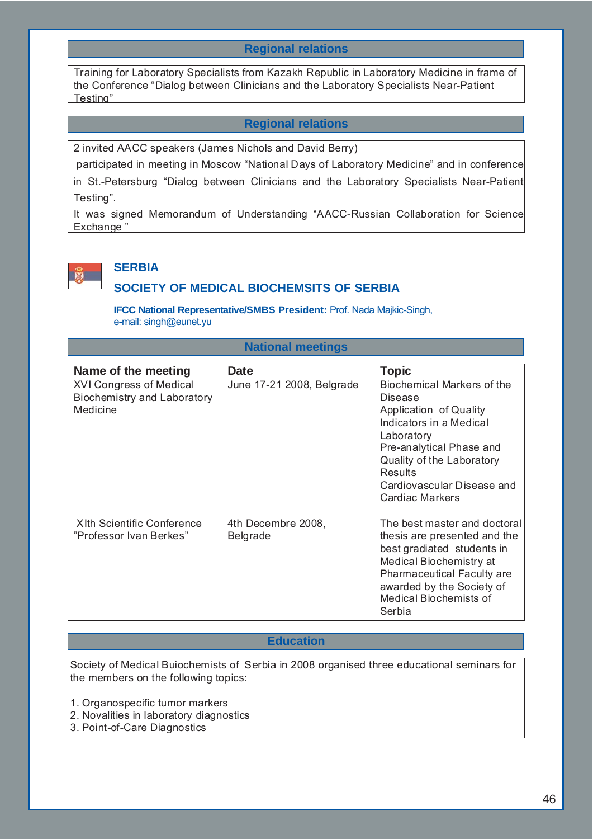# **Regional relations**

Training for Laboratory Specialists from Kazakh Republic in Laboratory Medicine in frame of the Conference "Dialog between Clinicians and the Laboratory Specialists Near-Patient Testing"

## **Regional relations**

2 invited AACC speakers (James Nichols and David Berry)

 participated in meeting in Moscow "National Days of Laboratory Medicine" and in conference in St.-Petersburg "Dialog between Clinicians and the Laboratory Specialists Near-Patient Testing".

It was signed Memorandum of Understanding "AACC-Russian Collaboration for Science Exchange "



# **SERBIA**

#### **SOCIETY OF MEDICAL BIOCHEMSITS OF SERBIA**

**IFCC National Representative/SMBS President:** Prof. Nada Majkic-Singh, e-mail: singh@eunet.yu

| <b>National meetings</b>                                                                                |                                          |                                                                                                                                                                                                                                                                    |  |
|---------------------------------------------------------------------------------------------------------|------------------------------------------|--------------------------------------------------------------------------------------------------------------------------------------------------------------------------------------------------------------------------------------------------------------------|--|
| Name of the meeting<br><b>XVI Congress of Medical</b><br><b>Biochemistry and Laboratory</b><br>Medicine | <b>Date</b><br>June 17-21 2008, Belgrade | <b>Topic</b><br><b>Biochemical Markers of the</b><br><b>Disease</b><br>Application of Quality<br>Indicators in a Medical<br>Laboratory<br>Pre-analytical Phase and<br>Quality of the Laboratory<br><b>Results</b><br>Cardiovascular Disease and<br>Cardiac Markers |  |
| <b>XIth Scientific Conference</b><br>"Professor Ivan Berkes"                                            | 4th Decembre 2008,<br><b>Belgrade</b>    | The best master and doctoral<br>thesis are presented and the<br>best gradiated students in<br>Medical Biochemistry at<br>Pharmaceutical Faculty are<br>awarded by the Society of<br>Medical Biochemists of<br>Serbia                                               |  |

#### **Education**

Society of Medical Buiochemists of Serbia in 2008 organised three educational seminars for the members on the following topics:

- 1. Organospecific tumor markers
- 2. Novalities in laboratory diagnostics
- 3. Point-of-Care Diagnostics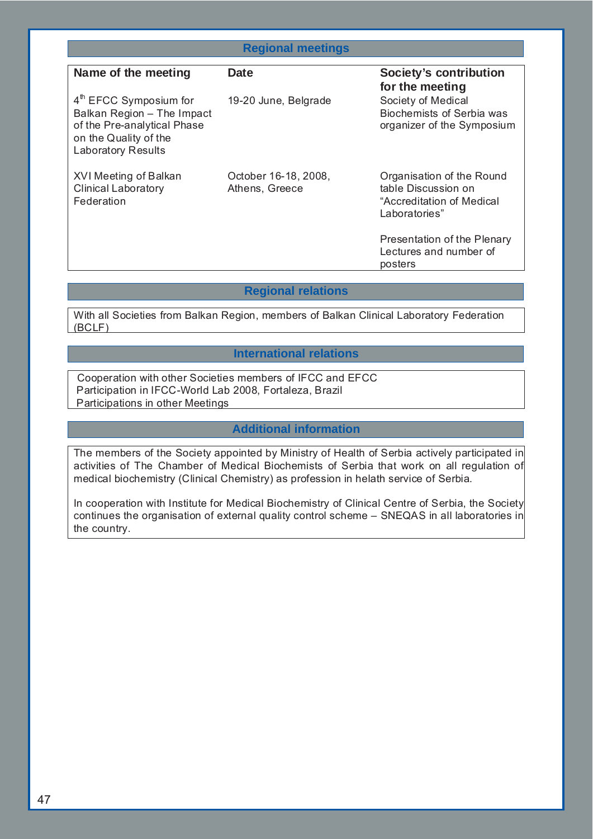| <b>Regional meetings</b>                                                                                                                    |                                        |                                                                                                |
|---------------------------------------------------------------------------------------------------------------------------------------------|----------------------------------------|------------------------------------------------------------------------------------------------|
| Name of the meeting                                                                                                                         | Date                                   | Society's contribution<br>for the meeting                                                      |
| $4th$ EFCC Symposium for<br>Balkan Region - The Impact<br>of the Pre-analytical Phase<br>on the Quality of the<br><b>Laboratory Results</b> | 19-20 June, Belgrade                   | Society of Medical<br>Biochemists of Serbia was<br>organizer of the Symposium                  |
| XVI Meeting of Balkan<br><b>Clinical Laboratory</b><br>Federation                                                                           | October 16-18, 2008,<br>Athens, Greece | Organisation of the Round<br>table Discussion on<br>"Accreditation of Medical<br>Laboratories" |
|                                                                                                                                             |                                        | Presentation of the Plenary<br>Lectures and number of<br>posters                               |

## **Regional relations**

With all Societies from Balkan Region, members of Balkan Clinical Laboratory Federation (BCLF)

## **International relations**

Cooperation with other Societies members of IFCC and EFCC Participation in IFCC-World Lab 2008, Fortaleza, Brazil Participations in other Meetings

## **Additional information**

The members of the Society appointed by Ministry of Health of Serbia actively participated in activities of The Chamber of Medical Biochemists of Serbia that work on all regulation of medical biochemistry (Clinical Chemistry) as profession in helath service of Serbia.

In cooperation with Institute for Medical Biochemistry of Clinical Centre of Serbia, the Society continues the organisation of external quality control scheme – SNEQAS in all laboratories in the country.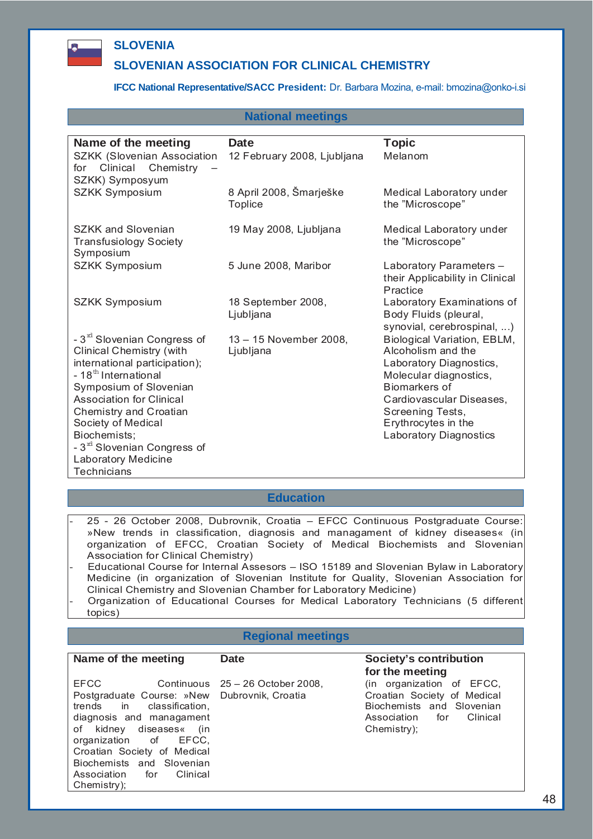

# **SLOVENIA**

# **SLOVENIAN ASSOCIATION FOR CLINICAL CHEMISTRY**

#### **IFCC National Representative/SACC President:** Dr. Barbara Mozina, e-mail: bmozina@onko-i.si

#### **National meetings**

| Name of the meeting                                                                                                                                                                                                                                                                                                                            | <b>Date</b>                               | <b>Topic</b><br>Melanom                                                                                                                                                                                                  |
|------------------------------------------------------------------------------------------------------------------------------------------------------------------------------------------------------------------------------------------------------------------------------------------------------------------------------------------------|-------------------------------------------|--------------------------------------------------------------------------------------------------------------------------------------------------------------------------------------------------------------------------|
| <b>SZKK (Slovenian Association</b><br>Clinical Chemistry<br>for<br>SZKK) Symposyum                                                                                                                                                                                                                                                             | 12 February 2008, Ljubljana               |                                                                                                                                                                                                                          |
| <b>SZKK Symposium</b>                                                                                                                                                                                                                                                                                                                          | 8 April 2008, Šmarješke<br><b>Toplice</b> | Medical Laboratory under<br>the "Microscope"                                                                                                                                                                             |
| SZKK and Slovenian<br><b>Transfusiology Society</b><br>Symposium                                                                                                                                                                                                                                                                               | 19 May 2008, Ljubljana                    | Medical Laboratory under<br>the "Microscope"                                                                                                                                                                             |
| SZKK Symposium                                                                                                                                                                                                                                                                                                                                 | 5 June 2008, Maribor                      | Laboratory Parameters -<br>their Applicability in Clinical<br>Practice                                                                                                                                                   |
| <b>SZKK Symposium</b>                                                                                                                                                                                                                                                                                                                          | 18 September 2008,<br>Ljubljana           | Laboratory Examinations of<br>Body Fluids (pleural,<br>synovial, cerebrospinal, )                                                                                                                                        |
| - 3 <sup>rd</sup> Slovenian Congress of<br><b>Clinical Chemistry (with</b><br>international participation);<br>- 18 <sup>th</sup> International<br>Symposium of Slovenian<br><b>Association for Clinical</b><br>Chemistry and Croatian<br>Society of Medical<br>Biochemists;<br>- 3 <sup>rd</sup> Slovenian Congress of<br>Laboratory Medicine | 13 - 15 November 2008,<br>Ljubljana       | Biological Variation, EBLM,<br>Alcoholism and the<br>Laboratory Diagnostics,<br>Molecular diagnostics,<br>Biomarkers of<br>Cardiovascular Diseases,<br>Screening Tests,<br>Erythrocytes in the<br>Laboratory Diagnostics |

**Technicians** 

#### **Education**

- 25 26 October 2008, Dubrovnik, Croatia EFCC Continuous Postgraduate Course: »New trends in classification, diagnosis and managament of kidney diseases« (in organization of EFCC, Croatian Society of Medical Biochemists and Slovenian Association for Clinical Chemistry)
- Educational Course for Internal Assesors ISO 15189 and Slovenian Bylaw in Laboratory Medicine (in organization of Slovenian Institute for Quality, Slovenian Association for Clinical Chemistry and Slovenian Chamber for Laboratory Medicine)
- Organization of Educational Courses for Medical Laboratory Technicians (5 different topics)

## **Regional meetings**

#### Name of the meeting **Date Date** Society's contribution

EFCC Continuous 25 – 26 October 2008, Postgraduate Course: »New Dubrovnik, Croatia trends in classification, diagnosis and managament of kidney diseases« (in organization of EFCC, Croatian Society of Medical Biochemists and Slovenian Association for Clinical Chemistry);

# **for the meeting**

(in organization of EFCC, Croatian Society of Medical Biochemists and Slovenian Association for Clinical Chemistry);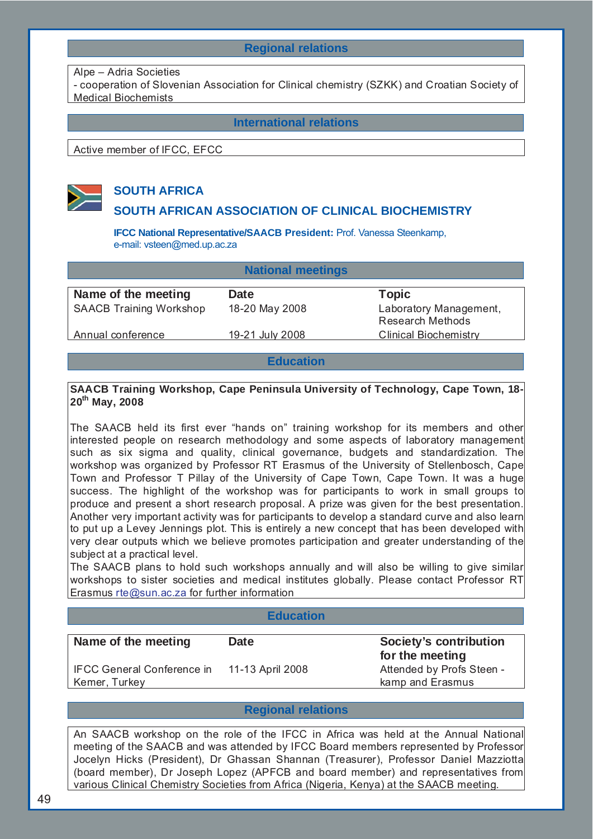# **Regional relations**

#### Alpe – Adria Societies

- cooperation of Slovenian Association for Clinical chemistry (SZKK) and Croatian Society of Medical Biochemists

**International relations**

Active member of IFCC, EFCC



# **SOUTH AFRICA**

## **SOUTH AFRICAN ASSOCIATION OF CLINICAL BIOCHEMISTRY**

**IFCC National Representative/SAACB President:** Prof. Vanessa Steenkamp, e-mail: vsteen@med.up.ac.za

| <b>National meetings</b>       |                 |                                                   |  |
|--------------------------------|-----------------|---------------------------------------------------|--|
| Name of the meeting            | <b>Date</b>     | <b>Topic</b>                                      |  |
| <b>SAACB Training Workshop</b> | 18-20 May 2008  | Laboratory Management,<br><b>Research Methods</b> |  |
| Annual conference              | 19-21 July 2008 | <b>Clinical Biochemistry</b>                      |  |
|                                |                 |                                                   |  |

## **Education**

## **SAACB Training Workshop, Cape Peninsula University of Technology, Cape Town, 18- 20th May, 2008**

The SAACB held its first ever "hands on" training workshop for its members and other interested people on research methodology and some aspects of laboratory management such as six sigma and quality, clinical governance, budgets and standardization. The workshop was organized by Professor RT Erasmus of the University of Stellenbosch, Cape Town and Professor T Pillay of the University of Cape Town, Cape Town. It was a huge success. The highlight of the workshop was for participants to work in small groups to produce and present a short research proposal. A prize was given for the best presentation. Another very important activity was for participants to develop a standard curve and also learn to put up a Levey Jennings plot. This is entirely a new concept that has been developed with very clear outputs which we believe promotes participation and greater understanding of the subject at a practical level.

The SAACB plans to hold such workshops annually and will also be willing to give similar workshops to sister societies and medical institutes globally. Please contact Professor RT Erasmus rte@sun.ac.za for further information

#### **Education**

| Name of the meeting                         | <b>Date</b>      | <b>Society's contribution</b><br>for the meeting |
|---------------------------------------------|------------------|--------------------------------------------------|
| IFCC General Conference in<br>Kemer, Turkey | 11-13 April 2008 | Attended by Profs Steen -<br>kamp and Erasmus    |

## **Regional relations**

An SAACB workshop on the role of the IFCC in Africa was held at the Annual National meeting of the SAACB and was attended by IFCC Board members represented by Professor Jocelyn Hicks (President), Dr Ghassan Shannan (Treasurer), Professor Daniel Mazziotta (board member), Dr Joseph Lopez (APFCB and board member) and representatives from various Clinical Chemistry Societies from Africa (Nigeria, Kenya) at the SAACB meeting.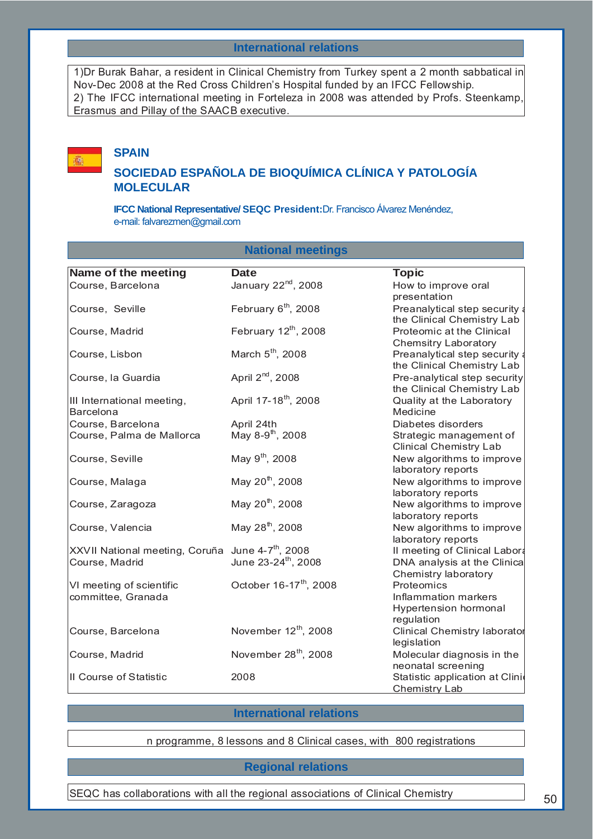#### **International relations**

1)Dr Burak Bahar, a resident in Clinical Chemistry from Turkey spent a 2 month sabbatical in Nov-Dec 2008 at the Red Cross Children's Hospital funded by an IFCC Fellowship. 2) The IFCC international meeting in Forteleza in 2008 was attended by Profs. Steenkamp, Erasmus and Pillay of the SAACB executive.

# **SPAIN**

禪

# **SOCIEDAD ESPAÑOLA DE BIOQUÍMICA CLÍNICA Y PATOLOGÍA MOLECULAR**

**IFCC National Representative/ SEQC President:**Dr. Francisco Álvarez Menéndez, e-mail: falvarezmen@gmail.com

## **National meetings**

| Name of the meeting            | <b>Date</b>                        | <b>Topic</b>                        |
|--------------------------------|------------------------------------|-------------------------------------|
|                                | January 22 <sup>nd</sup> , 2008    |                                     |
| Course, Barcelona              |                                    | How to improve oral<br>presentation |
|                                |                                    |                                     |
| Course, Seville                | February 6 <sup>th</sup> , 2008    | Preanalytical step security a       |
|                                |                                    | the Clinical Chemistry Lab          |
| Course, Madrid                 | February $12^{th}$ , 2008          | Proteomic at the Clinical           |
|                                |                                    | <b>Chemsitry Laboratory</b>         |
| Course, Lisbon                 | March 5 <sup>th</sup> , 2008       | Preanalytical step security a       |
|                                |                                    | the Clinical Chemistry Lab          |
| Course, la Guardia             | April 2 <sup>nd</sup> , 2008       | Pre-analytical step security        |
|                                |                                    | the Clinical Chemistry Lab          |
| III International meeting,     | April 17-18 <sup>th</sup> , 2008   | Quality at the Laboratory           |
| <b>Barcelona</b>               |                                    | Medicine                            |
| Course, Barcelona              | April 24th                         | Diabetes disorders                  |
| Course, Palma de Mallorca      | May 8-9 <sup>th</sup> , 2008       | Strategic management of             |
|                                |                                    | <b>Clinical Chemistry Lab</b>       |
| Course, Seville                | May 9 <sup>th</sup> , 2008         | New algorithms to improve           |
|                                |                                    | laboratory reports                  |
| Course, Malaga                 | May 20 <sup>th</sup> , 2008        | New algorithms to improve           |
|                                |                                    | laboratory reports                  |
| Course, Zaragoza               | May 20 <sup>th</sup> , 2008        | New algorithms to improve           |
|                                |                                    | laboratory reports                  |
| Course, Valencia               | May 28 <sup>th</sup> , 2008        | New algorithms to improve           |
|                                |                                    | laboratory reports                  |
| XXVII National meeting, Coruña | June 4-7 <sup>th</sup> , 2008      | Il meeting of Clinical Labora       |
| Course, Madrid                 | June 23-24 <sup>th</sup> , 2008    | DNA analysis at the Clinica         |
|                                |                                    | Chemistry laboratory                |
| VI meeting of scientific       | October 16-17 <sup>th</sup> , 2008 | Proteomics                          |
| committee, Granada             |                                    | Inflammation markers                |
|                                |                                    | Hypertension hormonal               |
|                                |                                    | regulation                          |
| Course, Barcelona              | November 12 <sup>th</sup> , 2008   | Clinical Chemistry laborator        |
|                                |                                    | legislation                         |
| Course, Madrid                 | November 28 <sup>th</sup> , 2008   | Molecular diagnosis in the          |
|                                |                                    | neonatal screening                  |
| Il Course of Statistic         | 2008                               | Statistic application at Clinio     |
|                                |                                    | Chemistry Lab                       |

## **International relations**

n programme, 8 lessons and 8 Clinical cases, with 800 registrations

#### **Regional relations**

SEQC has collaborations with all the regional associations of Clinical Chemistry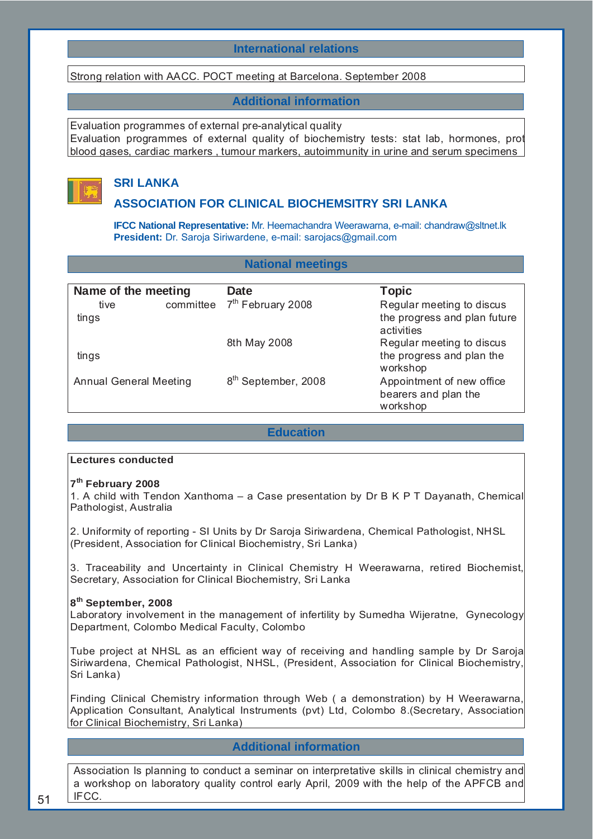## **International relations**

Strong relation with AACC. POCT meeting at Barcelona. September 2008

## **Additional information**

Evaluation programmes of external pre-analytical quality Evaluation programmes of external quality of biochemistry tests: stat lab, hormones, prot blood gases, cardiac markers , tumour markers, autoimmunity in urine and serum specimens



# **SRI LANKA**

## **ASSOCIATION FOR CLINICAL BIOCHEMSITRY SRI LANKA**

**IFCC National Representative:** Mr. Heemachandra Weerawarna, e-mail: chandraw@sltnet.lk **President:** Dr. Saroja Siriwardene, e-mail: sarojacs@gmail.com

## **National meetings**

| Name of the meeting           |           | <b>Date</b>                     | <b>Topic</b>                               |
|-------------------------------|-----------|---------------------------------|--------------------------------------------|
| tive                          | committee | 7 <sup>th</sup> February 2008   | Regular meeting to discus                  |
| tings                         |           |                                 | the progress and plan future<br>activities |
|                               |           | 8th May 2008                    | Regular meeting to discus                  |
| tings                         |           |                                 | the progress and plan the<br>workshop      |
| <b>Annual General Meeting</b> |           | 8 <sup>th</sup> September, 2008 | Appointment of new office                  |
|                               |           |                                 | bearers and plan the                       |
|                               |           |                                 | workshop                                   |

# **Education**

#### **Lectures conducted**

## **7th February 2008**

1. A child with Tendon Xanthoma – a Case presentation by Dr B K P T Dayanath, Chemical Pathologist, Australia

2. Uniformity of reporting - SI Units by Dr Saroja Siriwardena, Chemical Pathologist, NHSL (President, Association for Clinical Biochemistry, Sri Lanka)

3. Traceability and Uncertainty in Clinical Chemistry H Weerawarna, retired Biochemist, Secretary, Association for Clinical Biochemistry, Sri Lanka

#### **8th September, 2008**

Laboratory involvement in the management of infertility by Sumedha Wijeratne, Gynecology Department, Colombo Medical Faculty, Colombo

Tube project at NHSL as an efficient way of receiving and handling sample by Dr Saroja Siriwardena, Chemical Pathologist, NHSL, (President, Association for Clinical Biochemistry, Sri Lanka)

Finding Clinical Chemistry information through Web ( a demonstration) by H Weerawarna, Application Consultant, Analytical Instruments (pvt) Ltd, Colombo 8.(Secretary, Association for Clinical Biochemistry, Sri Lanka)

## **Additional information**

Association Is planning to conduct a seminar on interpretative skills in clinical chemistry and a workshop on laboratory quality control early April, 2009 with the help of the APFCB and IFCC.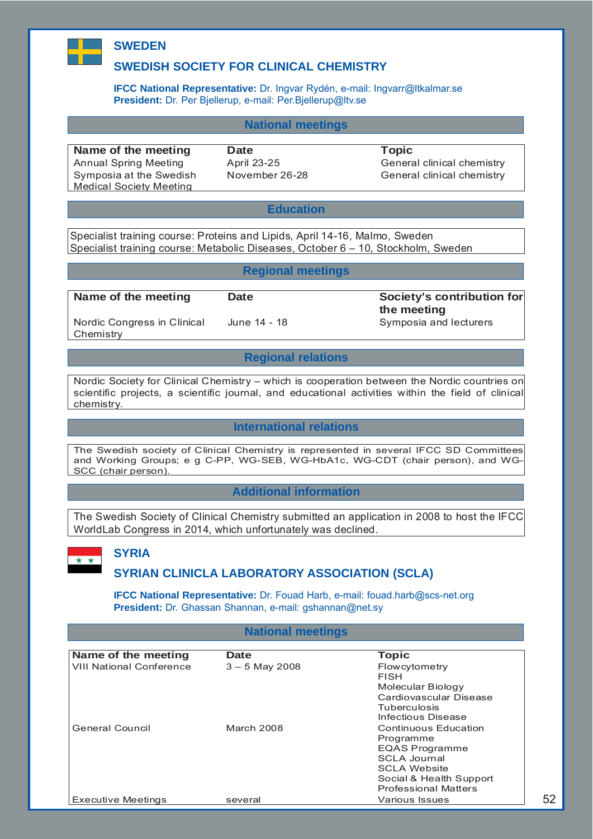# **SWEDEN**

# **SWEDISH SOCIETY FOR CLINICAL CHEMISTRY**

**IFCC National Representative:** Dr. Ingvar Rydén, e-mail: Ingvarr@ltkalmar.se **President:** Dr. Per Bjellerup, e-mail: Per.Bjellerup@ltv.se

## **National meetings**

**Name of the meeting Date CONSERVITY DATE:** Topic Symposia at the Swedish Medical Society Meeting

Annual Spring Meeting <br>
April 23-25 General clinical chemistry November 26-28 General clinical chemistry

#### **Education**

Specialist training course: Proteins and Lipids, April 14-16, Malmo, Sweden Specialist training course: Metabolic Diseases, October 6 – 10, Stockholm, Sweden

## **Regional meetings**

Nordic Congress in Clinical **Chemistry** 

**Name of the meeting Date Contribution Contribution for a set of the meeting Date Contribution for the meeting**  June 14 - 18 Symposia and lecturers

52

## **Regional relations**

Nordic Society for Clinical Chemistry – which is cooperation between the Nordic countries on scientific projects, a scientific journal, and educational activities within the field of clinical chemistry.

## **International relations**

The Swedish society of Clinical Chemistry is represented in several IFCC SD Committees and Working Groups; e g C-PP, WG-SEB, WG-HbA1c, WG-CDT (chair person), and WG-SCC (chair person).

## **Additional information**

The Swedish Society of Clinical Chemistry submitted an application in 2008 to host the IFCC WorldLab Congress in 2014, which unfortunately was declined.



# **SYRIA**

# **SYRIAN CLINICLA LABORATORY ASSOCIATION (SCLA)**

**IFCC National Representative:** Dr. Fouad Harb, e-mail: fouad.harb@scs-net.org **President:** Dr. Ghassan Shannan, e-mail: gshannan@net.sy

#### **National meetings**

| Name of the meeting             | <b>Date</b>      | <b>Topic</b>                |
|---------------------------------|------------------|-----------------------------|
| <b>VIII National Conference</b> | $3 - 5$ May 2008 | Flowcytometry               |
|                                 |                  | <b>FISH</b>                 |
|                                 |                  | Molecular Biology           |
|                                 |                  | Cardiovascular Disease      |
|                                 |                  | <b>Tuberculosis</b>         |
|                                 |                  | Infectious Disease          |
| General Council                 | March 2008       | Continuous Education        |
|                                 |                  | Programme                   |
|                                 |                  | <b>EQAS Programme</b>       |
|                                 |                  | SCLA Journal                |
|                                 |                  | <b>SCLA Website</b>         |
|                                 |                  | Social & Health Support     |
|                                 |                  | <b>Professional Matters</b> |
| Executive Meetings              | several          | Various Issues              |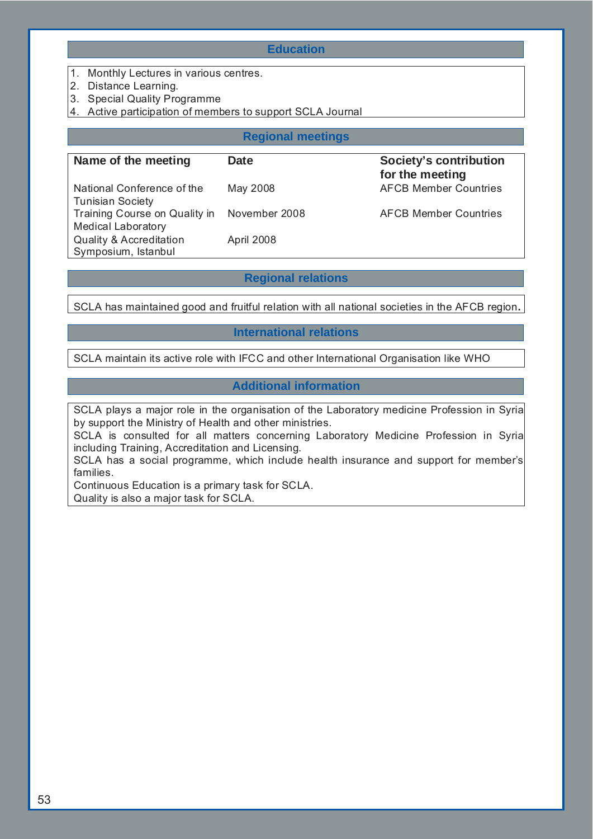## **Education**

- 1. Monthly Lectures in various centres.
- 2. Distance Learning.
- 3. Special Quality Programme
- 4. Active participation of members to support SCLA Journal

# **Regional meetings**

| Name of the meeting                                        | <b>Date</b>   | <b>Society's contribution</b><br>for the meeting |
|------------------------------------------------------------|---------------|--------------------------------------------------|
| National Conference of the<br><b>Tunisian Society</b>      | May 2008      | <b>AFCB Member Countries</b>                     |
| Training Course on Quality in<br><b>Medical Laboratory</b> | November 2008 | <b>AFCB Member Countries</b>                     |
| <b>Quality &amp; Accreditation</b><br>Symposium, Istanbul  | April 2008    |                                                  |

## **Regional relations**

SCLA has maintained good and fruitful relation with all national societies in the AFCB region**.** 

## **International relations**

SCLA maintain its active role with IFCC and other International Organisation like WHO

## **Additional information**

SCLA plays a major role in the organisation of the Laboratory medicine Profession in Syria by support the Ministry of Health and other ministries.

SCLA is consulted for all matters concerning Laboratory Medicine Profession in Syria including Training, Accreditation and Licensing.

SCLA has a social programme, which include health insurance and support for member's families.

Continuous Education is a primary task for SCLA. Quality is also a major task for SCLA.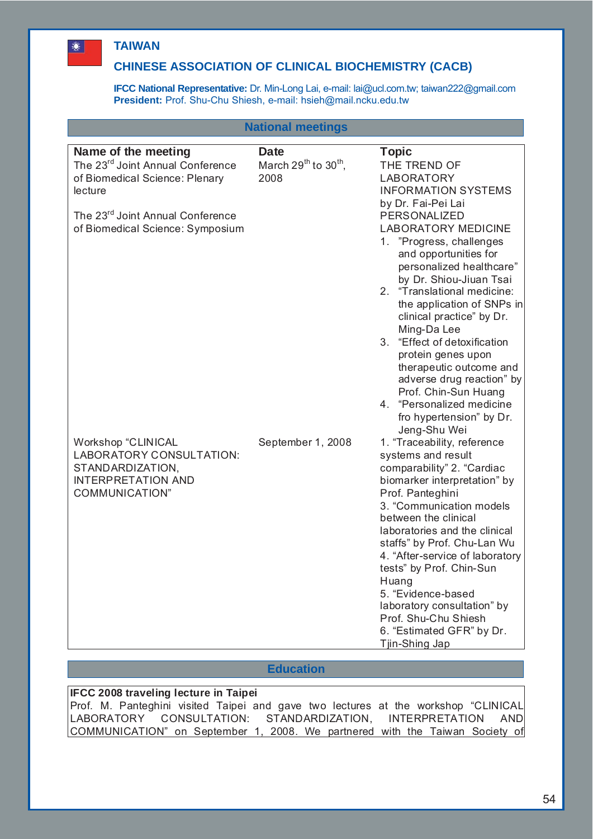# **TAIWAN**

邀

# **CHINESE ASSOCIATION OF CLINICAL BIOCHEMISTRY (CACB)**

**IFCC National Representative:** Dr. Min-Long Lai, e-mail: lai@ucl.com.tw; taiwan222@gmail.com **President:** Prof. Shu-Chu Shiesh, e-mail: hsieh@mail.ncku.edu.tw

|                                                                                                                                                                  | <b>National meetings</b>                              |                                                                                                                                                                                                                                                                                                                                                                                                                                                                |
|------------------------------------------------------------------------------------------------------------------------------------------------------------------|-------------------------------------------------------|----------------------------------------------------------------------------------------------------------------------------------------------------------------------------------------------------------------------------------------------------------------------------------------------------------------------------------------------------------------------------------------------------------------------------------------------------------------|
| Name of the meeting<br>The 23 <sup>rd</sup> Joint Annual Conference<br>of Biomedical Science: Plenary<br>lecture<br>The 23 <sup>rd</sup> Joint Annual Conference | <b>Date</b><br>March $29^{th}$ to $30^{th}$ ,<br>2008 | <b>Topic</b><br>THE TREND OF<br><b>LABORATORY</b><br><b>INFORMATION SYSTEMS</b><br>by Dr. Fai-Pei Lai<br>PERSONALIZED                                                                                                                                                                                                                                                                                                                                          |
| of Biomedical Science: Symposium                                                                                                                                 |                                                       | <b>LABORATORY MEDICINE</b><br>1. "Progress, challenges<br>and opportunities for<br>personalized healthcare"<br>by Dr. Shiou-Jiuan Tsai<br>2. "Translational medicine:<br>the application of SNPs in<br>clinical practice" by Dr.<br>Ming-Da Lee<br>3. "Effect of detoxification<br>protein genes upon<br>therapeutic outcome and<br>adverse drug reaction" by<br>Prof. Chin-Sun Huang<br>4. "Personalized medicine<br>fro hypertension" by Dr.<br>Jeng-Shu Wei |
| Workshop "CLINICAL<br>LABORATORY CONSULTATION:<br>STANDARDIZATION,<br><b>INTERPRETATION AND</b><br>COMMUNICATION"                                                | September 1, 2008                                     | 1. "Traceability, reference<br>systems and result<br>comparability" 2. "Cardiac<br>biomarker interpretation" by<br>Prof. Panteghini<br>3. "Communication models<br>between the clinical<br>laboratories and the clinical<br>staffs" by Prof. Chu-Lan Wu<br>4. "After-service of laboratory<br>tests" by Prof. Chin-Sun<br>Huang<br>5. "Evidence-based<br>laboratory consultation" by<br>Prof. Shu-Chu Shiesh<br>6. "Estimated GFR" by Dr.<br>Tjin-Shing Jap    |

## **Education**

# **IFCC 2008 traveling lecture in Taipei**

Prof. M. Panteghini visited Taipei and gave two lectures at the workshop "CLINICAL LABORATORY CONSULTATION: STANDARDIZATION, INTERPRETATION AND COMMUNICATION" on September 1, 2008. We partnered with the Taiwan Society of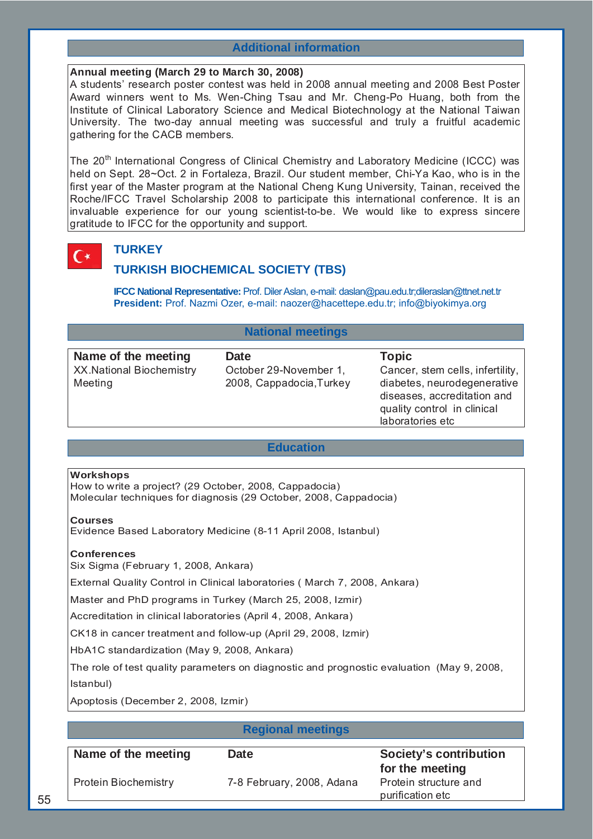## **Additional information**

## **Annual meeting (March 29 to March 30, 2008)**

A students' research poster contest was held in 2008 annual meeting and 2008 Best Poster Award winners went to Ms. Wen-Ching Tsau and Mr. Cheng-Po Huang, both from the Institute of Clinical Laboratory Science and Medical Biotechnology at the National Taiwan University. The two-day annual meeting was successful and truly a fruitful academic gathering for the CACB members.

The 20<sup>th</sup> International Congress of Clinical Chemistry and Laboratory Medicine (ICCC) was held on Sept. 28~Oct. 2 in Fortaleza, Brazil. Our student member, Chi-Ya Kao, who is in the first year of the Master program at the National Cheng Kung University, Tainan, received the Roche/IFCC Travel Scholarship 2008 to participate this international conference. It is an invaluable experience for our young scientist-to-be. We would like to express sincere gratitude to IFCC for the opportunity and support.

# **TURKEY**

C∗

# **TURKISH BIOCHEMICAL SOCIETY (TBS)**

**IFCC National Representative:** Prof. Diler Aslan, e-mail: daslan@pau.edu.tr;dileraslan@ttnet.net.tr **President:** Prof. Nazmi Ozer, e-mail: naozer@hacettepe.edu.tr; info@biyokimya.org

## **National meetings**

| Name of the meeting                        | <b>Date</b>                                        | <b>Topic</b>                                                                                                                                      |
|--------------------------------------------|----------------------------------------------------|---------------------------------------------------------------------------------------------------------------------------------------------------|
| <b>XX.National Biochemistry</b><br>Meeting | October 29-November 1,<br>2008, Cappadocia, Turkey | Cancer, stem cells, infertility,<br>diabetes, neurodegenerative<br>diseases, accreditation and<br>quality control in clinical<br>laboratories etc |
|                                            |                                                    |                                                                                                                                                   |

## **Education**

#### **Workshops**

How to write a project? (29 October, 2008, Cappadocia) Molecular techniques for diagnosis (29 October, 2008, Cappadocia)

#### **Courses**

Evidence Based Laboratory Medicine (8-11 April 2008, Istanbul)

#### **Conferences**

Six Sigma (February 1, 2008, Ankara)

External Quality Control in Clinical laboratories ( March 7, 2008, Ankara)

Master and PhD programs in Turkey (March 25, 2008, Izmir)

Accreditation in clinical laboratories (April 4, 2008, Ankara)

CK18 in cancer treatment and follow-up (April 29, 2008, Izmir)

HbA1C standardization (May 9, 2008, Ankara)

The role of test quality parameters on diagnostic and prognostic evaluation (May 9, 2008, Istanbul)

Apoptosis (December 2, 2008, Izmir)

#### **Regional meetings**

| Name of the meeting  | <b>Date</b>               | Society's contribution<br>for the meeting |
|----------------------|---------------------------|-------------------------------------------|
| Protein Biochemistry | 7-8 February, 2008, Adana | Protein structure and<br>purification etc |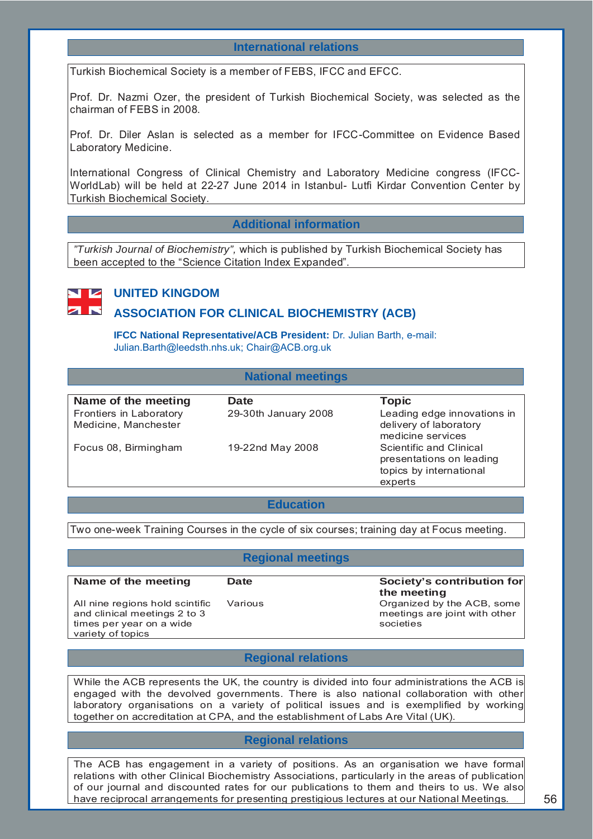## **International relations**

Turkish Biochemical Society is a member of FEBS, IFCC and EFCC.

Prof. Dr. Nazmi Ozer, the president of Turkish Biochemical Society, was selected as the chairman of FEBS in 2008.

Prof. Dr. Diler Aslan is selected as a member for IFCC-Committee on Evidence Based Laboratory Medicine.

International Congress of Clinical Chemistry and Laboratory Medicine congress (IFCC-WorldLab) will be held at 22-27 June 2014 in Istanbul- Lutfi Kirdar Convention Center by Turkish Biochemical Society.

# **Additional information**

*"Turkish Journal of Biochemistry",* which is published by Turkish Biochemical Society has been accepted to the "Science Citation Index Expanded".



# **UNITED KINGDOM**

## **ASSOCIATION FOR CLINICAL BIOCHEMISTRY (ACB)**

**IFCC National Representative/ACB President:** Dr. Julian Barth, e-mail: Julian.Barth@leedsth.nhs.uk; Chair@ACB.org.uk

## **National meetings**

| Name of the meeting                             | <b>Date</b>          | <b>Topic</b>                                                                              |
|-------------------------------------------------|----------------------|-------------------------------------------------------------------------------------------|
| Frontiers in Laboratory<br>Medicine, Manchester | 29-30th January 2008 | Leading edge innovations in<br>delivery of laboratory<br>medicine services                |
| Focus 08, Birmingham                            | 19-22nd May 2008     | Scientific and Clinical<br>presentations on leading<br>topics by international<br>experts |

## **Education**

Two one-week Training Courses in the cycle of six courses; training day at Focus meeting.

| <b>Regional meetings</b>                                                                                         |                                                      |                                                                          |  |
|------------------------------------------------------------------------------------------------------------------|------------------------------------------------------|--------------------------------------------------------------------------|--|
| Name of the meeting                                                                                              | Date                                                 | Society's contribution for<br>the meeting                                |  |
| All nine regions hold scintific<br>and clinical meetings 2 to 3<br>times per year on a wide<br>variety of topics | Various                                              | Organized by the ACB, some<br>meetings are joint with other<br>societies |  |
|                                                                                                                  | <b>Product and a state of the state of the state</b> |                                                                          |  |

## **Regional relations**

While the ACB represents the UK, the country is divided into four administrations the ACB is engaged with the devolved governments. There is also national collaboration with other laboratory organisations on a variety of political issues and is exemplified by working together on accreditation at CPA, and the establishment of Labs Are Vital (UK).

## **Regional relations**

The ACB has engagement in a variety of positions. As an organisation we have formal relations with other Clinical Biochemistry Associations, particularly in the areas of publication of our journal and discounted rates for our publications to them and theirs to us. We also have reciprocal arrangements for presenting prestigious lectures at our National Meetings.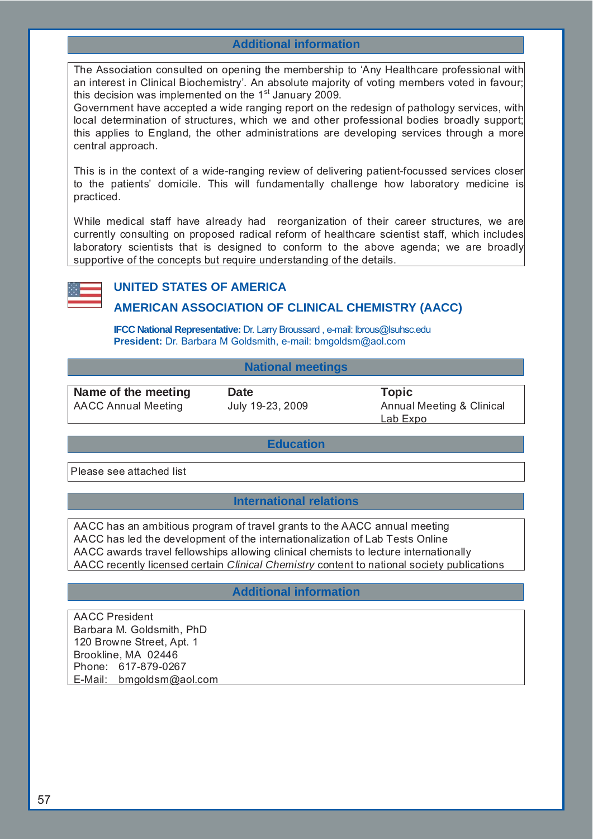# **Additional information**

The Association consulted on opening the membership to 'Any Healthcare professional with an interest in Clinical Biochemistry'. An absolute majority of voting members voted in favour; this decision was implemented on the  $1<sup>st</sup>$  January 2009.

Government have accepted a wide ranging report on the redesign of pathology services, with local determination of structures, which we and other professional bodies broadly support; this applies to England, the other administrations are developing services through a more central approach.

This is in the context of a wide-ranging review of delivering patient-focussed services closer to the patients' domicile. This will fundamentally challenge how laboratory medicine is practiced.

While medical staff have already had reorganization of their career structures, we are currently consulting on proposed radical reform of healthcare scientist staff, which includes laboratory scientists that is designed to conform to the above agenda; we are broadly supportive of the concepts but require understanding of the details.



# **UNITED STATES OF AMERICA**

# **AMERICAN ASSOCIATION OF CLINICAL CHEMISTRY (AACC)**

**IFCC National Representative:** Dr. Larry Broussard , e-mail: lbrous@lsuhsc.edu **President:** Dr. Barbara M Goldsmith, e-mail: bmgoldsm@aol.com

## **National meetings**

**Name of the meeting bate COVID-Topic COVID-Topic COVID-Topic COVID-Topic COVID-Topic COVID-Topic COVID-Topic COVID-Topic COVID-Topic COVID-Topic COVID-Topic COVID-Topic COVID-Topic COVID-Topic COVID-Topic COVID-Topic COVI** 

AACC Annual Meeting July 19-23, 2009 Annual Meeting & Clinical Lab Expo

## **Education**

Please see attached list

# **International relations**

AACC has an ambitious program of travel grants to the AACC annual meeting AACC has led the development of the internationalization of Lab Tests Online AACC awards travel fellowships allowing clinical chemists to lecture internationally AACC recently licensed certain *Clinical Chemistry* content to national society publications

# **Additional information**

AACC President Barbara M. Goldsmith, PhD 120 Browne Street, Apt. 1 Brookline, MA 02446 Phone: 617-879-0267 E-Mail: bmgoldsm@aol.com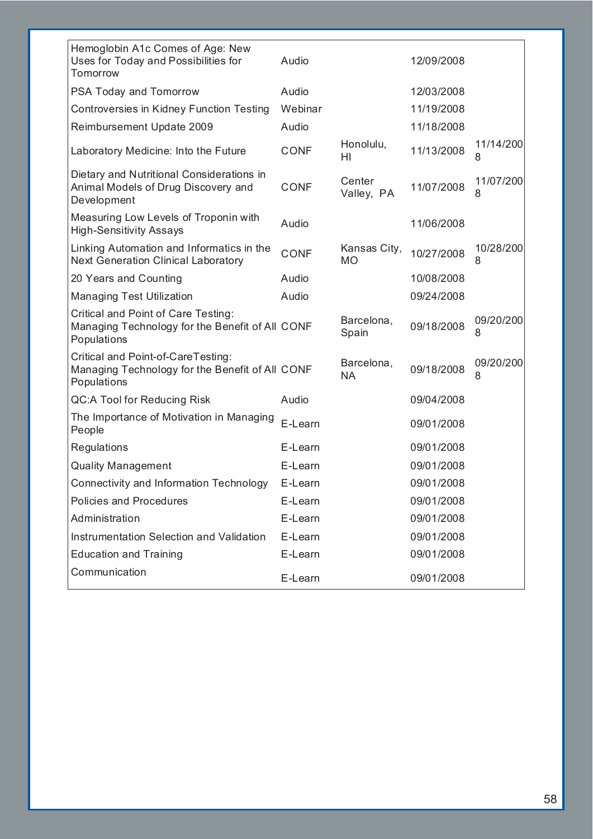| Hemoglobin A1c Comes of Age: New<br>Uses for Today and Possibilities for<br>Tomorrow                  | Audio       |                           | 12/09/2008 |                |
|-------------------------------------------------------------------------------------------------------|-------------|---------------------------|------------|----------------|
| PSA Today and Tomorrow                                                                                | Audio       |                           | 12/03/2008 |                |
| Controversies in Kidney Function Testing                                                              | Webinar     |                           | 11/19/2008 |                |
| Reimbursement Update 2009                                                                             | Audio       |                           | 11/18/2008 |                |
| Laboratory Medicine: Into the Future                                                                  | <b>CONF</b> | Honolulu,<br>ΗI           | 11/13/2008 | 11/14/200<br>8 |
| Dietary and Nutritional Considerations in<br>Animal Models of Drug Discovery and<br>Development       | <b>CONF</b> | Center<br>Valley, PA      | 11/07/2008 | 11/07/200<br>8 |
| Measuring Low Levels of Troponin with<br><b>High-Sensitivity Assays</b>                               | Audio       |                           | 11/06/2008 |                |
| Linking Automation and Informatics in the<br><b>Next Generation Clinical Laboratory</b>               | <b>CONF</b> | Kansas City,<br><b>MO</b> | 10/27/2008 | 10/28/200<br>8 |
| 20 Years and Counting                                                                                 | Audio       |                           | 10/08/2008 |                |
| <b>Managing Test Utilization</b>                                                                      | Audio       |                           | 09/24/2008 |                |
| Critical and Point of Care Testing:<br>Managing Technology for the Benefit of All CONF<br>Populations |             | Barcelona,<br>Spain       | 09/18/2008 | 09/20/200<br>8 |
| Critical and Point-of-CareTesting:<br>Managing Technology for the Benefit of All CONF<br>Populations  |             | Barcelona,<br><b>NA</b>   | 09/18/2008 | 09/20/200<br>8 |
| <b>QC:A Tool for Reducing Risk</b>                                                                    | Audio       |                           | 09/04/2008 |                |
| The Importance of Motivation in Managing<br>People                                                    | E-Learn     |                           | 09/01/2008 |                |
| Regulations                                                                                           | E-Learn     |                           | 09/01/2008 |                |
| <b>Quality Management</b>                                                                             | E-Learn     |                           | 09/01/2008 |                |
| Connectivity and Information Technology                                                               | E-Learn     |                           | 09/01/2008 |                |
| Policies and Procedures                                                                               | E-Learn     |                           | 09/01/2008 |                |
| Administration                                                                                        | E-Learn     |                           | 09/01/2008 |                |
| Instrumentation Selection and Validation                                                              | E-Learn     |                           | 09/01/2008 |                |
| <b>Education and Training</b>                                                                         | E-Learn     |                           | 09/01/2008 |                |
| Communication                                                                                         | E-Learn     |                           | 09/01/2008 |                |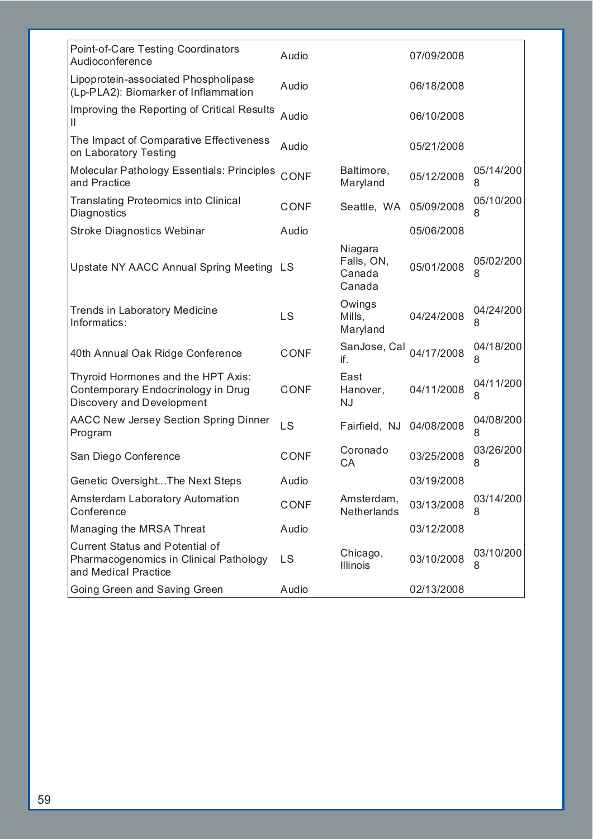| Point-of-Care Testing Coordinators<br>Audioconference                                                        | Audio       |                                           | 07/09/2008 |                |
|--------------------------------------------------------------------------------------------------------------|-------------|-------------------------------------------|------------|----------------|
| Lipoprotein-associated Phospholipase<br>(Lp-PLA2): Biomarker of Inflammation                                 | Audio       |                                           | 06/18/2008 |                |
| Improving the Reporting of Critical Results<br>Ш                                                             | Audio       |                                           | 06/10/2008 |                |
| The Impact of Comparative Effectiveness<br>on Laboratory Testing                                             | Audio       |                                           | 05/21/2008 |                |
| Molecular Pathology Essentials: Principles<br>and Practice                                                   | CONF        | Baltimore,<br>Maryland                    | 05/12/2008 | 05/14/200<br>8 |
| <b>Translating Proteomics into Clinical</b><br>Diagnostics                                                   | <b>CONF</b> | Seattle, WA                               | 05/09/2008 | 05/10/200<br>8 |
| <b>Stroke Diagnostics Webinar</b>                                                                            | Audio       |                                           | 05/06/2008 |                |
| Upstate NY AACC Annual Spring Meeting                                                                        | LS.         | Niagara<br>Falls, ON,<br>Canada<br>Canada | 05/01/2008 | 05/02/200<br>8 |
| <b>Trends in Laboratory Medicine</b><br>Informatics:                                                         | LS          | Owings<br>Mills,<br>Maryland              | 04/24/2008 | 04/24/200<br>8 |
| 40th Annual Oak Ridge Conference                                                                             | <b>CONF</b> | SanJose, Cal<br>if.                       | 04/17/2008 | 04/18/200<br>8 |
| Thyroid Hormones and the HPT Axis:<br>Contemporary Endocrinology in Drug<br><b>Discovery and Development</b> | CONF        | East<br>Hanover,<br><b>NJ</b>             | 04/11/2008 | 04/11/200<br>8 |
| <b>AACC New Jersey Section Spring Dinner</b><br>Program                                                      | LS          | Fairfield, NJ 04/08/2008                  |            | 04/08/200<br>8 |
| San Diego Conference                                                                                         | <b>CONF</b> | Coronado<br>CA                            | 03/25/2008 | 03/26/200<br>8 |
| Genetic OversightThe Next Steps                                                                              | Audio       |                                           | 03/19/2008 |                |
| Amsterdam Laboratory Automation<br>Conference                                                                | <b>CONF</b> | Amsterdam,<br>Netherlands                 | 03/13/2008 | 03/14/200<br>8 |
| Managing the MRSA Threat                                                                                     | Audio       |                                           | 03/12/2008 |                |
| <b>Current Status and Potential of</b><br>Pharmacogenomics in Clinical Pathology<br>and Medical Practice     | LS          | Chicago,<br><b>Illinois</b>               | 03/10/2008 | 03/10/200<br>8 |
| Going Green and Saving Green                                                                                 | Audio       |                                           | 02/13/2008 |                |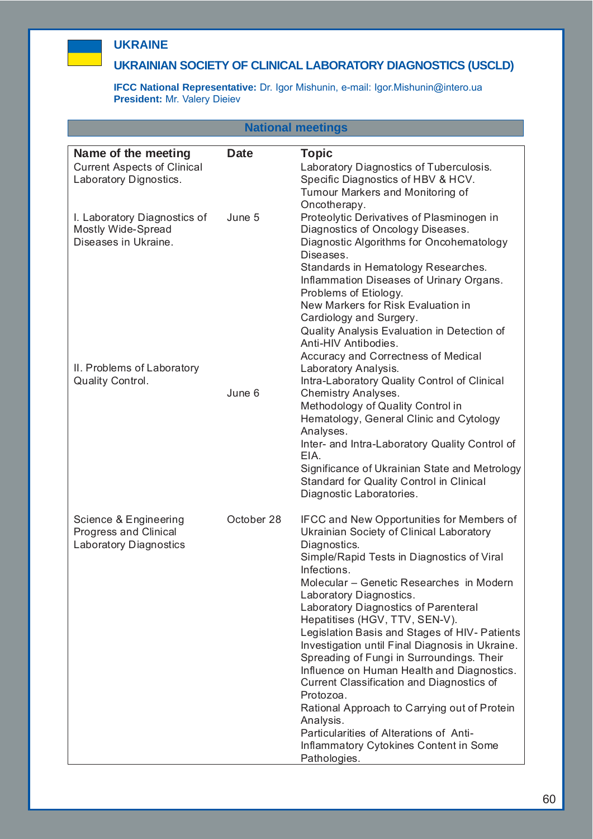

# **UKRAINE**

# **UKRAINIAN SOCIETY OF CLINICAL LABORATORY DIAGNOSTICS (USCLD)**

**IFCC National Representative:** Dr. Igor Mishunin, e-mail: Igor.Mishunin@intero.ua **President:** Mr. Valery Dieiev

| <b>National meetings</b>                                                            |             |                                                                                                                                                                                                                                                                                                                                                                                                                                                                                                                                                                                                                                                                                                                                                       |  |  |
|-------------------------------------------------------------------------------------|-------------|-------------------------------------------------------------------------------------------------------------------------------------------------------------------------------------------------------------------------------------------------------------------------------------------------------------------------------------------------------------------------------------------------------------------------------------------------------------------------------------------------------------------------------------------------------------------------------------------------------------------------------------------------------------------------------------------------------------------------------------------------------|--|--|
| Name of the meeting<br><b>Current Aspects of Clinical</b><br>Laboratory Dignostics. | <b>Date</b> | <b>Topic</b><br>Laboratory Diagnostics of Tuberculosis.<br>Specific Diagnostics of HBV & HCV.<br>Tumour Markers and Monitoring of<br>Oncotherapy.                                                                                                                                                                                                                                                                                                                                                                                                                                                                                                                                                                                                     |  |  |
| I. Laboratory Diagnostics of<br>Mostly Wide-Spread<br>Diseases in Ukraine.          | June 5      | Proteolytic Derivatives of Plasminogen in<br>Diagnostics of Oncology Diseases.<br>Diagnostic Algorithms for Oncohematology<br>Diseases.<br>Standards in Hematology Researches.<br>Inflammation Diseases of Urinary Organs.<br>Problems of Etiology.<br>New Markers for Risk Evaluation in<br>Cardiology and Surgery.<br>Quality Analysis Evaluation in Detection of<br>Anti-HIV Antibodies.<br>Accuracy and Correctness of Medical                                                                                                                                                                                                                                                                                                                    |  |  |
| II. Problems of Laboratory<br>Quality Control.                                      | June 6      | Laboratory Analysis.<br>Intra-Laboratory Quality Control of Clinical<br>Chemistry Analyses.<br>Methodology of Quality Control in<br>Hematology, General Clinic and Cytology<br>Analyses.<br>Inter- and Intra-Laboratory Quality Control of<br>EIA.<br>Significance of Ukrainian State and Metrology<br>Standard for Quality Control in Clinical<br>Diagnostic Laboratories.                                                                                                                                                                                                                                                                                                                                                                           |  |  |
| Science & Engineering<br>Progress and Clinical<br><b>Laboratory Diagnostics</b>     | October 28  | <b>IFCC and New Opportunities for Members of</b><br>Ukrainian Society of Clinical Laboratory<br>Diagnostics.<br>Simple/Rapid Tests in Diagnostics of Viral<br>Infections.<br>Molecular - Genetic Researches in Modern<br>Laboratory Diagnostics.<br>Laboratory Diagnostics of Parenteral<br>Hepatitises (HGV, TTV, SEN-V).<br>Legislation Basis and Stages of HIV- Patients<br>Investigation until Final Diagnosis in Ukraine.<br>Spreading of Fungi in Surroundings. Their<br>Influence on Human Health and Diagnostics.<br>Current Classification and Diagnostics of<br>Protozoa.<br>Rational Approach to Carrying out of Protein<br>Analysis.<br>Particularities of Alterations of Anti-<br>Inflammatory Cytokines Content in Some<br>Pathologies. |  |  |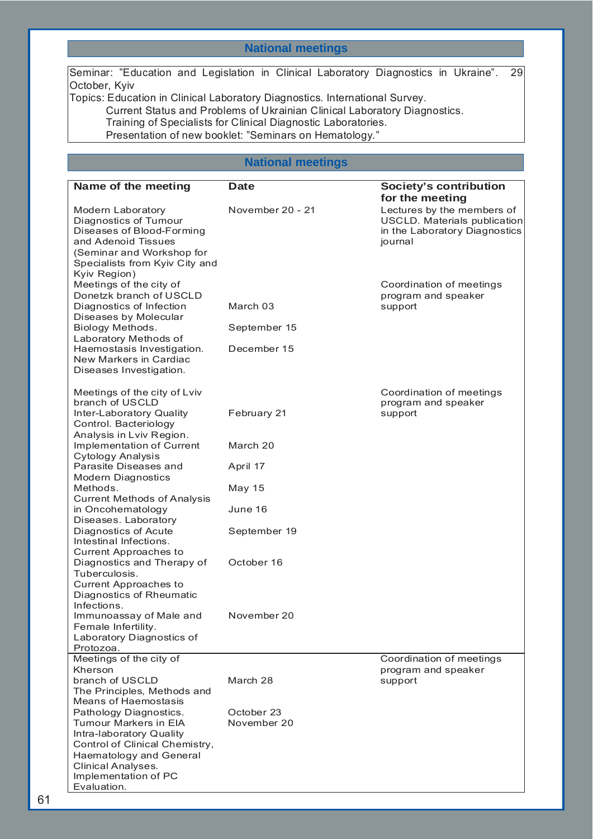# **National meetings**

Seminar: "Education and Legislation in Clinical Laboratory Diagnostics in Ukraine". 29 October, Kyiv

Topics: Education in Clinical Laboratory Diagnostics. International Survey. Current Status and Problems of Ukrainian Clinical Laboratory Diagnostics. Training of Specialists for Clinical Diagnostic Laboratories. Presentation of new booklet: "Seminars on Hematology."

# **National meetings**

| Name of the meeting                                                                                                                                                           | <b>Date</b>      | Society's contribution                                                                                 |
|-------------------------------------------------------------------------------------------------------------------------------------------------------------------------------|------------------|--------------------------------------------------------------------------------------------------------|
|                                                                                                                                                                               |                  | for the meeting                                                                                        |
| Modern Laboratory<br>Diagnostics of Tumour<br>Diseases of Blood-Forming<br>and Adenoid Tissues<br>(Seminar and Workshop for<br>Specialists from Kyiv City and<br>Kyiv Region) | November 20 - 21 | Lectures by the members of<br>USCLD. Materials publication<br>in the Laboratory Diagnostics<br>journal |
| Meetings of the city of                                                                                                                                                       |                  | Coordination of meetings                                                                               |
| Donetzk branch of USCLD<br>Diagnostics of Infection<br>Diseases by Molecular                                                                                                  | March 03         | program and speaker<br>support                                                                         |
| Biology Methods.<br>Laboratory Methods of                                                                                                                                     | September 15     |                                                                                                        |
| Haemostasis Investigation.<br>New Markers in Cardiac<br>Diseases Investigation.                                                                                               | December 15      |                                                                                                        |
|                                                                                                                                                                               |                  |                                                                                                        |
| Meetings of the city of Lviv<br>branch of USCLD                                                                                                                               |                  | Coordination of meetings<br>program and speaker                                                        |
| Inter-Laboratory Quality<br>Control. Bacteriology<br>Analysis in Lviv Region.                                                                                                 | February 21      | support                                                                                                |
| Implementation of Current<br><b>Cytology Analysis</b>                                                                                                                         | March 20         |                                                                                                        |
| Parasite Diseases and<br><b>Modern Diagnostics</b>                                                                                                                            | April 17         |                                                                                                        |
| Methods.                                                                                                                                                                      | <b>May 15</b>    |                                                                                                        |
| <b>Current Methods of Analysis</b><br>in Oncohematology<br>Diseases. Laboratory                                                                                               | June 16          |                                                                                                        |
| Diagnostics of Acute<br>Intestinal Infections.                                                                                                                                | September 19     |                                                                                                        |
| <b>Current Approaches to</b><br>Diagnostics and Therapy of<br>Tuberculosis.                                                                                                   | October 16       |                                                                                                        |
| <b>Current Approaches to</b>                                                                                                                                                  |                  |                                                                                                        |
| Diagnostics of Rheumatic<br>Infections.                                                                                                                                       |                  |                                                                                                        |
| Immunoassay of Male and<br>Female Infertility.                                                                                                                                | November 20      |                                                                                                        |
| Laboratory Diagnostics of                                                                                                                                                     |                  |                                                                                                        |
| Protozoa.<br>Meetings of the city of                                                                                                                                          |                  | Coordination of meetings                                                                               |
| Kherson                                                                                                                                                                       |                  | program and speaker                                                                                    |
| branch of USCLD                                                                                                                                                               | March 28         | support                                                                                                |
| The Principles, Methods and<br><b>Means of Haemostasis</b>                                                                                                                    |                  |                                                                                                        |
| Pathology Diagnostics.                                                                                                                                                        | October 23       |                                                                                                        |
| <b>Tumour Markers in EIA</b>                                                                                                                                                  | November 20      |                                                                                                        |
| Intra-laboratory Quality                                                                                                                                                      |                  |                                                                                                        |
| Control of Clinical Chemistry,                                                                                                                                                |                  |                                                                                                        |
| Haematology and General<br>Clinical Analyses.                                                                                                                                 |                  |                                                                                                        |
| Implementation of PC                                                                                                                                                          |                  |                                                                                                        |
| Evaluation.                                                                                                                                                                   |                  |                                                                                                        |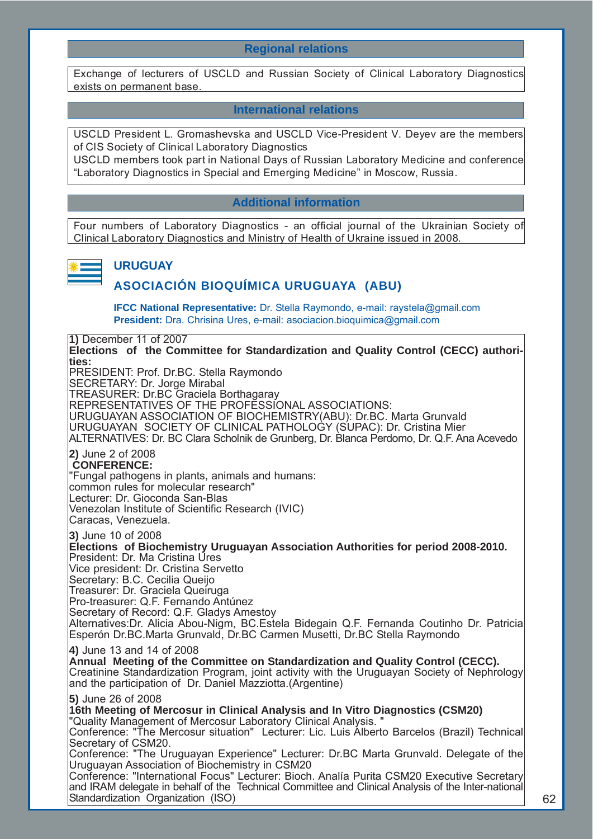# **Regional relations**

Exchange of lecturers of USCLD and Russian Society of Clinical Laboratory Diagnostics exists on permanent base.

## **International relations**

USCLD President L. Gromashevska and USCLD Vice-President V. Deyev are the members of CIS Society of Clinical Laboratory Diagnostics

USCLD members took part in National Days of Russian Laboratory Medicine and conference "Laboratory Diagnostics in Special and Emerging Medicine" in Moscow, Russia.

# **Additional information**

Four numbers of Laboratory Diagnostics - an official journal of the Ukrainian Society of Clinical Laboratory Diagnostics and Ministry of Health of Ukraine issued in 2008.



## **URUGUAY**

# **ASOCIACIÓN BIOQUÍMICA URUGUAYA (ABU)**

**IFCC National Representative:** Dr. Stella Raymondo, e-mail: raystela@gmail.com **President:** Dra. Chrisina Ures, e-mail: asociacion.bioquimica@gmail.com

**1)** December 11 of 2007 **Elections of the Committee for Standardization and Quality Control (CECC) authorities:** PRESIDENT: Prof. Dr.BC. Stella Raymondo SECRETARY: Dr. Jorge Mirabal TREASURER: Dr.BC Graciela Borthagaray REPRESENTATIVES OF THE PROFESSIONAL ASSOCIATIONS: URUGUAYAN ASSOCIATION OF BIOCHEMISTRY(ABU): Dr.BC. Marta Grunvald URUGUAYAN SOCIETY OF CLINICAL PATHOLOGY (SUPAC): Dr. Cristina Mier ALTERNATIVES: Dr. BC Clara Scholnik de Grunberg, Dr. Blanca Perdomo, Dr. Q.F. Ana Acevedo **2)** June 2 of 2008 **CONFERENCE:** "Fungal pathogens in plants, animals and humans: common rules for molecular research" Lecturer: Dr. Gioconda San-Blas Venezolan Institute of Scientific Research (IVIC) Caracas, Venezuela. **3)** June 10 of 2008 **Elections of Biochemistry Uruguayan Association Authorities for period 2008-2010.** President: Dr. Ma Cristina Úres Vice president: Dr. Cristina Servetto Secretary: B.C. Cecilia Queijo Treasurer: Dr. Graciela Queiruga Pro-treasurer: Q.F. Fernando Antúnez Secretary of Record: Q.F. Gladys Amestoy Alternatives:Dr. Alicia Abou-Nigm, BC.Estela Bidegain Q.F. Fernanda Coutinho Dr. Patricia Esperón Dr.BC.Marta Grunvald, Dr.BC Carmen Musetti, Dr.BC Stella Raymondo **4)** June 13 and 14 of 2008 **Annual Meeting of the Committee on Standardization and Quality Control (CECC).** Creatinine Standardization Program, joint activity with the Uruguayan Society of Nephrology and the participation of Dr. Daniel Mazziotta.(Argentine) **5)** June 26 of 2008 **16th Meeting of Mercosur in Clinical Analysis and In Vitro Diagnostics (CSM20)**  "Quality Management of Mercosur Laboratory Clinical Analysis. " Conference: "The Mercosur situation" Lecturer: Lic. Luis Alberto Barcelos (Brazil) Technical Secretary of CSM20. Conference: "The Uruguayan Experience" Lecturer: Dr.BC Marta Grunvald. Delegate of the Uruguayan Association of Biochemistry in CSM20 Conference: "International Focus" Lecturer: Bioch. Analía Purita CSM20 Executive Secretary and IRAM delegate in behalf of the Technical Committee and Clinical Analysis of the Inter-national Standardization Organization (ISO)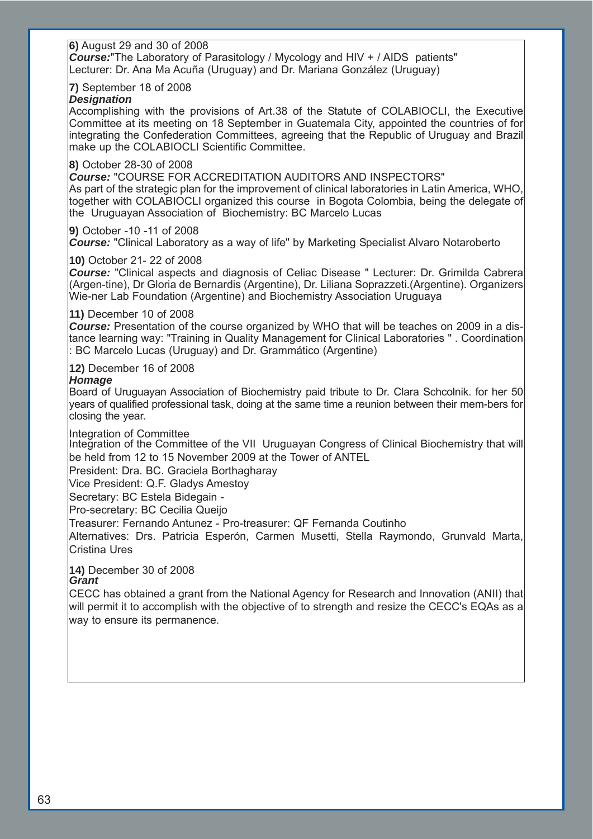#### **6)** August 29 and 30 of 2008 *Course:*"The Laboratory of Parasitology / Mycology and HIV + / AIDS patients" Lecturer: Dr. Ana Ma Acuña (Uruguay) and Dr. Mariana González (Uruguay)

## **7)** September 18 of 2008

## *Designation*

Accomplishing with the provisions of Art.38 of the Statute of COLABIOCLI, the Executive Committee at its meeting on 18 September in Guatemala City, appointed the countries of for integrating the Confederation Committees, agreeing that the Republic of Uruguay and Brazil make up the COLABIOCLI Scientific Committee.

## **8)** October 28-30 of 2008

*Course:* "COURSE FOR ACCREDITATION AUDITORS AND INSPECTORS" As part of the strategic plan for the improvement of clinical laboratories in Latin America, WHO, together with COLABIOCLI organized this course in Bogota Colombia, being the delegate of the Uruguayan Association of Biochemistry: BC Marcelo Lucas

## **9)** October -10 -11 of 2008

*Course:* "Clinical Laboratory as a way of life" by Marketing Specialist Alvaro Notaroberto

## **10)** October 21- 22 of 2008

*Course:* "Clinical aspects and diagnosis of Celiac Disease " Lecturer: Dr. Grimilda Cabrera (Argen-tine), Dr Gloria de Bernardis (Argentine), Dr. Liliana Soprazzeti.(Argentine). Organizers Wie-ner Lab Foundation (Argentine) and Biochemistry Association Uruguaya

## **11)** December 10 of 2008

*Course:* Presentation of the course organized by WHO that will be teaches on 2009 in a distance learning way: "Training in Quality Management for Clinical Laboratories " . Coordination : BC Marcelo Lucas (Uruguay) and Dr. Grammático (Argentine)

## **12)** December 16 of 2008

## *Homage*

Board of Uruguayan Association of Biochemistry paid tribute to Dr. Clara Schcolnik. for her 50 years of qualified professional task, doing at the same time a reunion between their mem-bers for closing the year.

#### Integration of Committee

Integration of the Committee of the VII Uruguayan Congress of Clinical Biochemistry that will be held from 12 to 15 November 2009 at the Tower of ANTEL

President: Dra. BC. Graciela Borthagharay

Vice President: Q.F. Gladys Amestoy

Secretary: BC Estela Bidegain -

Pro-secretary: BC Cecilia Queijo

Treasurer: Fernando Antunez - Pro-treasurer: QF Fernanda Coutinho

Alternatives: Drs. Patricia Esperón, Carmen Musetti, Stella Raymondo, Grunvald Marta, Cristina Ures

#### **14)** December 30 of 2008 *Grant*

CECC has obtained a grant from the National Agency for Research and Innovation (ANII) that will permit it to accomplish with the objective of to strength and resize the CECC's EQAs as a way to ensure its permanence.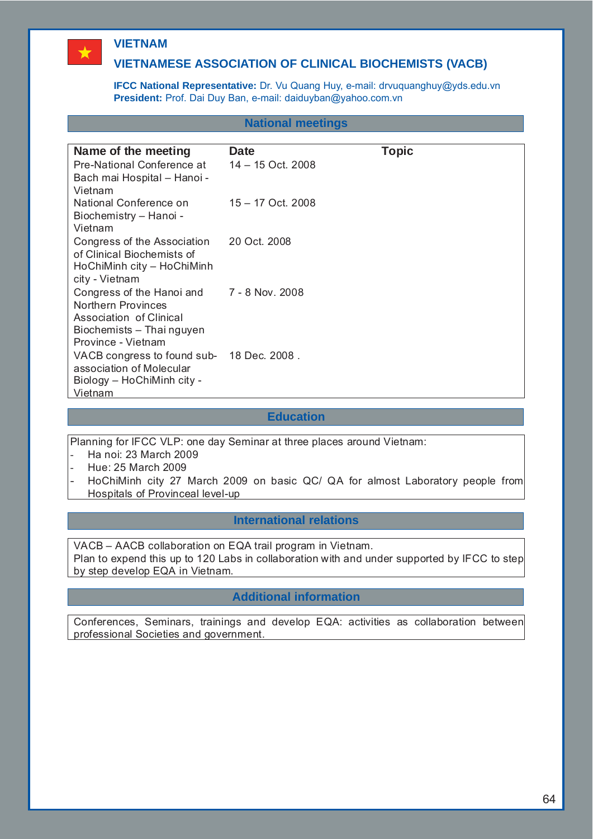# **VIETNAM**

 $\bigstar$ 

# **VIETNAMESE ASSOCIATION OF CLINICAL BIOCHEMISTS (VACB)**

**IFCC National Representative:** Dr. Vu Quang Huy, e-mail: drvuquanghuy@yds.edu.vn **President:** Prof. Dai Duy Ban, e-mail: daiduyban@yahoo.com.vn

## **National meetings**

| Name of the meeting                                       | Date                | <b>Topic</b> |
|-----------------------------------------------------------|---------------------|--------------|
| Pre-National Conference at                                | 14 – 15 Oct. 2008   |              |
| Bach mai Hospital - Hanoi -                               |                     |              |
| Vietnam                                                   |                     |              |
| National Conference on                                    | $15 - 17$ Oct. 2008 |              |
| Biochemistry - Hanoi -                                    |                     |              |
| Vietnam                                                   |                     |              |
| Congress of the Association<br>of Clinical Biochemists of | 20 Oct. 2008        |              |
| HoChiMinh city - HoChiMinh                                |                     |              |
| city - Vietnam                                            |                     |              |
| Congress of the Hanoi and                                 | 7 - 8 Nov. 2008     |              |
| Northern Provinces                                        |                     |              |
| Association of Clinical                                   |                     |              |
| Biochemists - Thai nguyen                                 |                     |              |
| Province - Vietnam                                        |                     |              |
| VACB congress to found sub- 18 Dec. 2008.                 |                     |              |
| association of Molecular                                  |                     |              |
| Biology – HoChiMinh city -<br>Vietnam                     |                     |              |
|                                                           |                     |              |

## **Education**

Planning for IFCC VLP: one day Seminar at three places around Vietnam:

- Ha noi: 23 March 2009
- Hue: 25 March 2009
- HoChiMinh city 27 March 2009 on basic QC/ QA for almost Laboratory people from Hospitals of Provinceal level-up

## **International relations**

VACB – AACB collaboration on EQA trail program in Vietnam.

Plan to expend this up to 120 Labs in collaboration with and under supported by IFCC to step by step develop EQA in Vietnam.

# **Additional information**

Conferences, Seminars, trainings and develop EQA: activities as collaboration between professional Societies and government.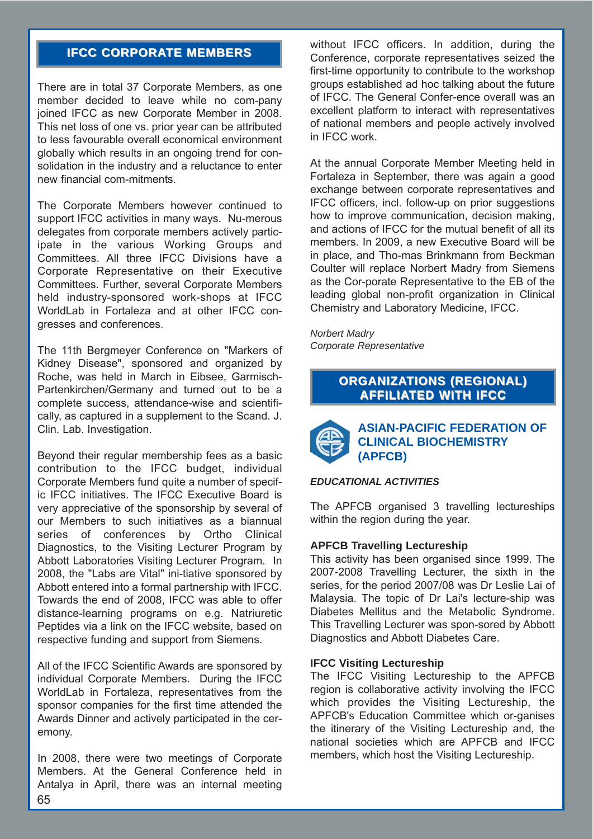# **IFCC CORPORATE MEMBERS**

There are in total 37 Corporate Members, as one member decided to leave while no com-pany joined IFCC as new Corporate Member in 2008. This net loss of one vs. prior year can be attributed to less favourable overall economical environment globally which results in an ongoing trend for consolidation in the industry and a reluctance to enter new financial com-mitments.

The Corporate Members however continued to support IFCC activities in many ways. Nu-merous delegates from corporate members actively participate in the various Working Groups and Committees. All three IFCC Divisions have a Corporate Representative on their Executive Committees. Further, several Corporate Members held industry-sponsored work-shops at IFCC WorldLab in Fortaleza and at other IFCC congresses and conferences.

The 11th Bergmeyer Conference on "Markers of Kidney Disease", sponsored and organized by Roche, was held in March in Eibsee, Garmisch-Partenkirchen/Germany and turned out to be a complete success, attendance-wise and scientifically, as captured in a supplement to the Scand. J. Clin. Lab. Investigation.

Beyond their regular membership fees as a basic contribution to the IFCC budget, individual Corporate Members fund quite a number of specific IFCC initiatives. The IFCC Executive Board is very appreciative of the sponsorship by several of our Members to such initiatives as a biannual series of conferences by Ortho Clinical Diagnostics, to the Visiting Lecturer Program by Abbott Laboratories Visiting Lecturer Program. In 2008, the "Labs are Vital" ini-tiative sponsored by Abbott entered into a formal partnership with IFCC. Towards the end of 2008, IFCC was able to offer distance-learning programs on e.g. Natriuretic Peptides via a link on the IFCC website, based on respective funding and support from Siemens.

All of the IFCC Scientific Awards are sponsored by individual Corporate Members. During the IFCC WorldLab in Fortaleza, representatives from the sponsor companies for the first time attended the Awards Dinner and actively participated in the ceremony.

In 2008, there were two meetings of Corporate Members. At the General Conference held in Antalya in April, there was an internal meeting without IFCC officers. In addition, during the Conference, corporate representatives seized the first-time opportunity to contribute to the workshop groups established ad hoc talking about the future of IFCC. The General Confer-ence overall was an excellent platform to interact with representatives of national members and people actively involved in IFCC work.

At the annual Corporate Member Meeting held in Fortaleza in September, there was again a good exchange between corporate representatives and IFCC officers, incl. follow-up on prior suggestions how to improve communication, decision making, and actions of IFCC for the mutual benefit of all its members. In 2009, a new Executive Board will be in place, and Tho-mas Brinkmann from Beckman Coulter will replace Norbert Madry from Siemens as the Cor-porate Representative to the EB of the leading global non-profit organization in Clinical Chemistry and Laboratory Medicine, IFCC.

*Norbert Madry Corporate Representative*

# **ORGANIZATIONS (REGIONAL) AFFILIATED WITH IFCC**



**ASIAN-PACIFIC FEDERATION OF CLINICAL BIOCHEMISTRY (APFCB)**

#### *EDUCATIONAL ACTIVITIES*

The APFCB organised 3 travelling lectureships within the region during the year.

#### **APFCB Travelling Lectureship**

This activity has been organised since 1999. The 2007-2008 Travelling Lecturer, the sixth in the series, for the period 2007/08 was Dr Leslie Lai of Malaysia. The topic of Dr Lai's lecture-ship was Diabetes Mellitus and the Metabolic Syndrome. This Travelling Lecturer was spon-sored by Abbott Diagnostics and Abbott Diabetes Care.

#### **IFCC Visiting Lectureship**

The IFCC Visiting Lectureship to the APFCB region is collaborative activity involving the IFCC which provides the Visiting Lectureship, the APFCB's Education Committee which or-ganises the itinerary of the Visiting Lectureship and, the national societies which are APFCB and IFCC members, which host the Visiting Lectureship.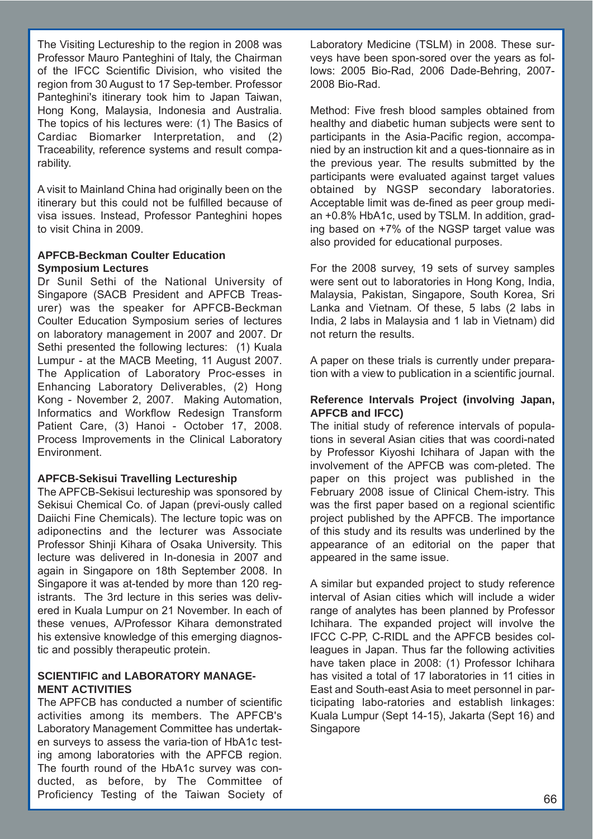The Visiting Lectureship to the region in 2008 was Professor Mauro Panteghini of Italy, the Chairman of the IFCC Scientific Division, who visited the region from 30 August to 17 Sep-tember. Professor Panteghini's itinerary took him to Japan Taiwan, Hong Kong, Malaysia, Indonesia and Australia. The topics of his lectures were: (1) The Basics of Cardiac Biomarker Interpretation, and (2) Traceability, reference systems and result comparability.

A visit to Mainland China had originally been on the itinerary but this could not be fulfilled because of visa issues. Instead, Professor Panteghini hopes to visit China in 2009.

## **APFCB-Beckman Coulter Education Symposium Lectures**

Dr Sunil Sethi of the National University of Singapore (SACB President and APFCB Treasurer) was the speaker for APFCB-Beckman Coulter Education Symposium series of lectures on laboratory management in 2007 and 2007. Dr Sethi presented the following lectures: (1) Kuala Lumpur - at the MACB Meeting, 11 August 2007. The Application of Laboratory Proc-esses in Enhancing Laboratory Deliverables, (2) Hong Kong - November 2, 2007. Making Automation, Informatics and Workflow Redesign Transform Patient Care, (3) Hanoi - October 17, 2008. Process Improvements in the Clinical Laboratory Environment.

## **APFCB-Sekisui Travelling Lectureship**

The APFCB-Sekisui lectureship was sponsored by Sekisui Chemical Co. of Japan (previ-ously called Daiichi Fine Chemicals). The lecture topic was on adiponectins and the lecturer was Associate Professor Shinji Kihara of Osaka University. This lecture was delivered in In-donesia in 2007 and again in Singapore on 18th September 2008. In Singapore it was at-tended by more than 120 registrants. The 3rd lecture in this series was delivered in Kuala Lumpur on 21 November. In each of these venues, A/Professor Kihara demonstrated his extensive knowledge of this emerging diagnostic and possibly therapeutic protein.

## **SCIENTIFIC and LABORATORY MANAGE-MENT ACTIVITIES**

The APFCB has conducted a number of scientific activities among its members. The APFCB's Laboratory Management Committee has undertaken surveys to assess the varia-tion of HbA1c testing among laboratories with the APFCB region. The fourth round of the HbA1c survey was conducted, as before, by The Committee of Proficiency Testing of the Taiwan Society of Laboratory Medicine (TSLM) in 2008. These surveys have been spon-sored over the years as follows: 2005 Bio-Rad, 2006 Dade-Behring, 2007- 2008 Bio-Rad.

Method: Five fresh blood samples obtained from healthy and diabetic human subjects were sent to participants in the Asia-Pacific region, accompanied by an instruction kit and a ques-tionnaire as in the previous year. The results submitted by the participants were evaluated against target values obtained by NGSP secondary laboratories. Acceptable limit was de-fined as peer group median +0.8% HbA1c, used by TSLM. In addition, grading based on +7% of the NGSP target value was also provided for educational purposes.

For the 2008 survey, 19 sets of survey samples were sent out to laboratories in Hong Kong, India, Malaysia, Pakistan, Singapore, South Korea, Sri Lanka and Vietnam. Of these, 5 labs (2 labs in India, 2 labs in Malaysia and 1 lab in Vietnam) did not return the results.

A paper on these trials is currently under preparation with a view to publication in a scientific journal.

## **Reference Intervals Project (involving Japan, APFCB and IFCC)**

The initial study of reference intervals of populations in several Asian cities that was coordi-nated by Professor Kiyoshi Ichihara of Japan with the involvement of the APFCB was com-pleted. The paper on this project was published in the February 2008 issue of Clinical Chem-istry. This was the first paper based on a regional scientific project published by the APFCB. The importance of this study and its results was underlined by the appearance of an editorial on the paper that appeared in the same issue.

A similar but expanded project to study reference interval of Asian cities which will include a wider range of analytes has been planned by Professor Ichihara. The expanded project will involve the IFCC C-PP, C-RIDL and the APFCB besides colleagues in Japan. Thus far the following activities have taken place in 2008: (1) Professor Ichihara has visited a total of 17 laboratories in 11 cities in East and South-east Asia to meet personnel in participating labo-ratories and establish linkages: Kuala Lumpur (Sept 14-15), Jakarta (Sept 16) and Singapore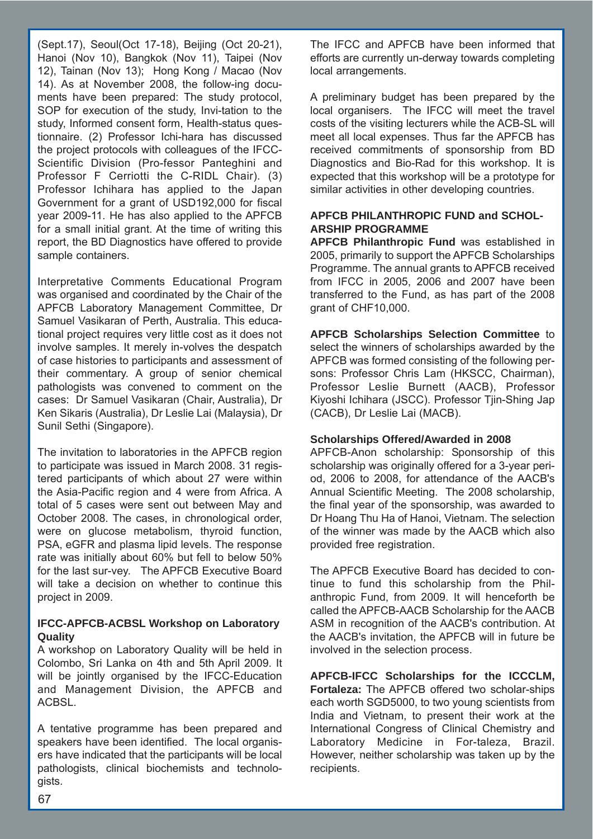(Sept.17), Seoul(Oct 17-18), Beijing (Oct 20-21), Hanoi (Nov 10), Bangkok (Nov 11), Taipei (Nov 12), Tainan (Nov 13); Hong Kong / Macao (Nov 14). As at November 2008, the follow-ing documents have been prepared: The study protocol, SOP for execution of the study, Invi-tation to the study, Informed consent form, Health-status questionnaire. (2) Professor Ichi-hara has discussed the project protocols with colleagues of the IFCC-Scientific Division (Pro-fessor Panteghini and Professor F Cerriotti the C-RIDL Chair). (3) Professor Ichihara has applied to the Japan Government for a grant of USD192,000 for fiscal year 2009-11. He has also applied to the APFCB for a small initial grant. At the time of writing this report, the BD Diagnostics have offered to provide sample containers.

Interpretative Comments Educational Program was organised and coordinated by the Chair of the APFCB Laboratory Management Committee, Dr Samuel Vasikaran of Perth, Australia. This educational project requires very little cost as it does not involve samples. It merely in-volves the despatch of case histories to participants and assessment of their commentary. A group of senior chemical pathologists was convened to comment on the cases: Dr Samuel Vasikaran (Chair, Australia), Dr Ken Sikaris (Australia), Dr Leslie Lai (Malaysia), Dr Sunil Sethi (Singapore).

The invitation to laboratories in the APFCB region to participate was issued in March 2008. 31 registered participants of which about 27 were within the Asia-Pacific region and 4 were from Africa. A total of 5 cases were sent out between May and October 2008. The cases, in chronological order, were on glucose metabolism, thyroid function, PSA, eGFR and plasma lipid levels. The response rate was initially about 60% but fell to below 50% for the last sur-vey. The APFCB Executive Board will take a decision on whether to continue this project in 2009.

## **IFCC-APFCB-ACBSL Workshop on Laboratory Quality**

A workshop on Laboratory Quality will be held in Colombo, Sri Lanka on 4th and 5th April 2009. It will be jointly organised by the IFCC-Education and Management Division, the APFCB and ACBSL.

A tentative programme has been prepared and speakers have been identified. The local organisers have indicated that the participants will be local pathologists, clinical biochemists and technologists.

The IFCC and APFCB have been informed that efforts are currently un-derway towards completing local arrangements.

A preliminary budget has been prepared by the local organisers. The IFCC will meet the travel costs of the visiting lecturers while the ACB-SL will meet all local expenses. Thus far the APFCB has received commitments of sponsorship from BD Diagnostics and Bio-Rad for this workshop. It is expected that this workshop will be a prototype for similar activities in other developing countries.

# **APFCB PHILANTHROPIC FUND and SCHOL-ARSHIP PROGRAMME**

**APFCB Philanthropic Fund** was established in 2005, primarily to support the APFCB Scholarships Programme. The annual grants to APFCB received from IFCC in 2005, 2006 and 2007 have been transferred to the Fund, as has part of the 2008 grant of CHF10,000.

**APFCB Scholarships Selection Committee** to select the winners of scholarships awarded by the APFCB was formed consisting of the following persons: Professor Chris Lam (HKSCC, Chairman), Professor Leslie Burnett (AACB), Professor Kiyoshi Ichihara (JSCC). Professor Tiin-Shing Jap (CACB), Dr Leslie Lai (MACB).

# **Scholarships Offered/Awarded in 2008**

APFCB-Anon scholarship: Sponsorship of this scholarship was originally offered for a 3-year period, 2006 to 2008, for attendance of the AACB's Annual Scientific Meeting. The 2008 scholarship, the final year of the sponsorship, was awarded to Dr Hoang Thu Ha of Hanoi, Vietnam. The selection of the winner was made by the AACB which also provided free registration.

The APFCB Executive Board has decided to continue to fund this scholarship from the Philanthropic Fund, from 2009. It will henceforth be called the APFCB-AACB Scholarship for the AACB ASM in recognition of the AACB's contribution. At the AACB's invitation, the APFCB will in future be involved in the selection process.

**APFCB-IFCC Scholarships for the ICCCLM, Fortaleza:** The APFCB offered two scholar-ships each worth SGD5000, to two young scientists from India and Vietnam, to present their work at the International Congress of Clinical Chemistry and Laboratory Medicine in For-taleza, Brazil. However, neither scholarship was taken up by the recipients.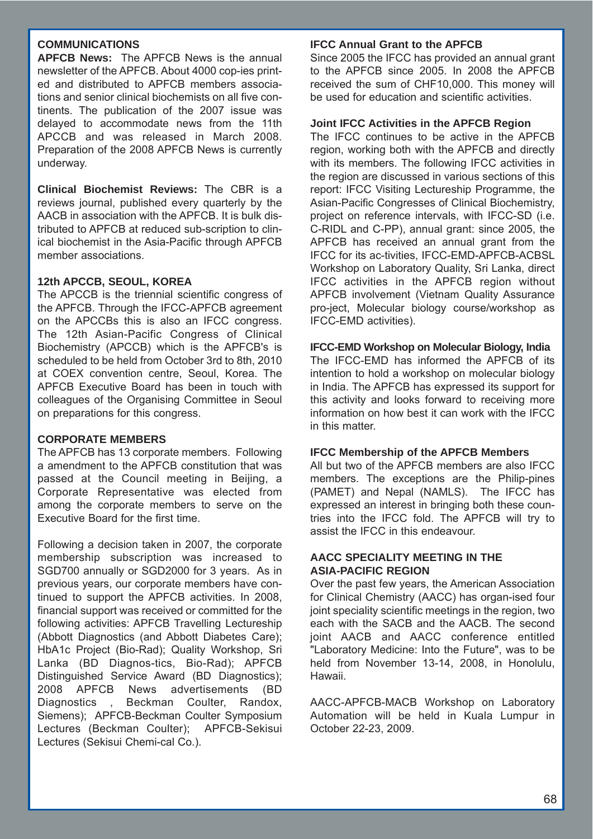## **COMMUNICATIONS**

**APFCB News:** The APFCB News is the annual newsletter of the APFCB. About 4000 cop-ies printed and distributed to APFCB members associations and senior clinical biochemists on all five continents. The publication of the 2007 issue was delayed to accommodate news from the 11th APCCB and was released in March 2008. Preparation of the 2008 APFCB News is currently underway.

**Clinical Biochemist Reviews:** The CBR is a reviews journal, published every quarterly by the AACB in association with the APFCB. It is bulk distributed to APFCB at reduced sub-scription to clinical biochemist in the Asia-Pacific through APFCB member associations.

## **12th APCCB, SEOUL, KOREA**

The APCCB is the triennial scientific congress of the APFCB. Through the IFCC-APFCB agreement on the APCCBs this is also an IFCC congress. The 12th Asian-Pacific Congress of Clinical Biochemistry (APCCB) which is the APFCB's is scheduled to be held from October 3rd to 8th, 2010 at COEX convention centre, Seoul, Korea. The APFCB Executive Board has been in touch with colleagues of the Organising Committee in Seoul on preparations for this congress.

#### **CORPORATE MEMBERS**

The APFCB has 13 corporate members. Following a amendment to the APFCB constitution that was passed at the Council meeting in Beijing, a Corporate Representative was elected from among the corporate members to serve on the Executive Board for the first time.

Following a decision taken in 2007, the corporate membership subscription was increased to SGD700 annually or SGD2000 for 3 years. As in previous years, our corporate members have continued to support the APFCB activities. In 2008, financial support was received or committed for the following activities: APFCB Travelling Lectureship (Abbott Diagnostics (and Abbott Diabetes Care); HbA1c Project (Bio-Rad); Quality Workshop, Sri Lanka (BD Diagnos-tics, Bio-Rad); APFCB Distinguished Service Award (BD Diagnostics); 2008 APFCB News advertisements (BD Diagnostics , Beckman Coulter, Randox, Siemens); APFCB-Beckman Coulter Symposium Lectures (Beckman Coulter); APFCB-Sekisui Lectures (Sekisui Chemi-cal Co.).

#### **IFCC Annual Grant to the APFCB**

Since 2005 the IFCC has provided an annual grant to the APFCB since 2005. In 2008 the APFCB received the sum of CHF10,000. This money will be used for education and scientific activities.

## **Joint IFCC Activities in the APFCB Region**

The IFCC continues to be active in the APFCB region, working both with the APFCB and directly with its members. The following IFCC activities in the region are discussed in various sections of this report: IFCC Visiting Lectureship Programme, the Asian-Pacific Congresses of Clinical Biochemistry, project on reference intervals, with IFCC-SD (i.e. C-RIDL and C-PP), annual grant: since 2005, the APFCB has received an annual grant from the IFCC for its ac-tivities, IFCC-EMD-APFCB-ACBSL Workshop on Laboratory Quality, Sri Lanka, direct IFCC activities in the APFCB region without APFCB involvement (Vietnam Quality Assurance pro-ject, Molecular biology course/workshop as IFCC-EMD activities).

#### **IFCC-EMD Workshop on Molecular Biology, India**

The IFCC-EMD has informed the APFCB of its intention to hold a workshop on molecular biology in India. The APFCB has expressed its support for this activity and looks forward to receiving more information on how best it can work with the IFCC in this matter.

## **IFCC Membership of the APFCB Members**

All but two of the APFCB members are also IFCC members. The exceptions are the Philip-pines (PAMET) and Nepal (NAMLS). The IFCC has expressed an interest in bringing both these countries into the IFCC fold. The APFCB will try to assist the IFCC in this endeavour.

#### **AACC SPECIALITY MEETING IN THE ASIA-PACIFIC REGION**

Over the past few years, the American Association for Clinical Chemistry (AACC) has organ-ised four joint speciality scientific meetings in the region, two each with the SACB and the AACB. The second joint AACB and AACC conference entitled "Laboratory Medicine: Into the Future", was to be held from November 13-14, 2008, in Honolulu, Hawaii.

AACC-APFCB-MACB Workshop on Laboratory Automation will be held in Kuala Lumpur in October 22-23, 2009.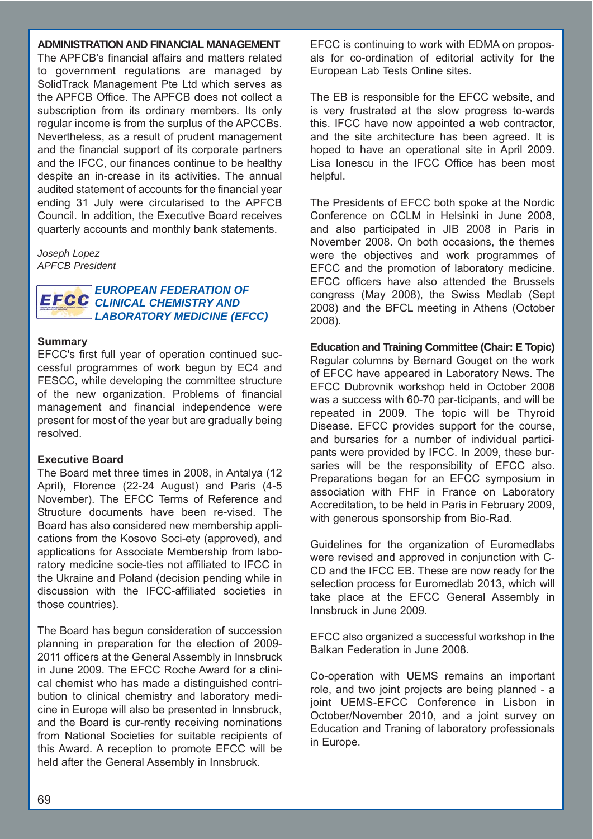#### **ADMINISTRATION AND FINANCIAL MANAGEMENT**

The APFCB's financial affairs and matters related to government regulations are managed by SolidTrack Management Pte Ltd which serves as the APFCB Office. The APFCB does not collect a subscription from its ordinary members. Its only regular income is from the surplus of the APCCBs. Nevertheless, as a result of prudent management and the financial support of its corporate partners and the IFCC, our finances continue to be healthy despite an in-crease in its activities. The annual audited statement of accounts for the financial year ending 31 July were circularised to the APFCB Council. In addition, the Executive Board receives quarterly accounts and monthly bank statements.

*Joseph Lopez APFCB President*

#### *EUROPEAN FEDERATION OF*  EFCC *CLINICAL CHEMISTRY AND LABORATORY MEDICINE (EFCC)*

#### **Summary**

EFCC's first full year of operation continued successful programmes of work begun by EC4 and FESCC, while developing the committee structure of the new organization. Problems of financial management and financial independence were present for most of the year but are gradually being resolved.

#### **Executive Board**

The Board met three times in 2008, in Antalya (12 April), Florence (22-24 August) and Paris (4-5 November). The EFCC Terms of Reference and Structure documents have been re-vised. The Board has also considered new membership applications from the Kosovo Soci-ety (approved), and applications for Associate Membership from laboratory medicine socie-ties not affiliated to IFCC in the Ukraine and Poland (decision pending while in discussion with the IFCC-affiliated societies in those countries).

The Board has begun consideration of succession planning in preparation for the election of 2009- 2011 officers at the General Assembly in Innsbruck in June 2009. The EFCC Roche Award for a clinical chemist who has made a distinguished contribution to clinical chemistry and laboratory medicine in Europe will also be presented in Innsbruck, and the Board is cur-rently receiving nominations from National Societies for suitable recipients of this Award. A reception to promote EFCC will be held after the General Assembly in Innsbruck.

EFCC is continuing to work with EDMA on proposals for co-ordination of editorial activity for the European Lab Tests Online sites.

The EB is responsible for the EFCC website, and is very frustrated at the slow progress to-wards this. IFCC have now appointed a web contractor, and the site architecture has been agreed. It is hoped to have an operational site in April 2009. Lisa Ionescu in the IFCC Office has been most helpful.

The Presidents of EFCC both spoke at the Nordic Conference on CCLM in Helsinki in June 2008, and also participated in JIB 2008 in Paris in November 2008. On both occasions, the themes were the objectives and work programmes of EFCC and the promotion of laboratory medicine. EFCC officers have also attended the Brussels congress (May 2008), the Swiss Medlab (Sept 2008) and the BFCL meeting in Athens (October 2008).

**Education and Training Committee (Chair: E Topic)** Regular columns by Bernard Gouget on the work of EFCC have appeared in Laboratory News. The EFCC Dubrovnik workshop held in October 2008 was a success with 60-70 par-ticipants, and will be repeated in 2009. The topic will be Thyroid Disease. EFCC provides support for the course, and bursaries for a number of individual participants were provided by IFCC. In 2009, these bursaries will be the responsibility of EFCC also. Preparations began for an EFCC symposium in association with FHF in France on Laboratory Accreditation, to be held in Paris in February 2009, with generous sponsorship from Bio-Rad.

Guidelines for the organization of Euromedlabs were revised and approved in conjunction with C-CD and the IFCC EB. These are now ready for the selection process for Euromedlab 2013, which will take place at the EFCC General Assembly in Innsbruck in June 2009.

EFCC also organized a successful workshop in the Balkan Federation in June 2008.

Co-operation with UEMS remains an important role, and two joint projects are being planned - a joint UEMS-EFCC Conference in Lisbon in October/November 2010, and a joint survey on Education and Traning of laboratory professionals in Europe.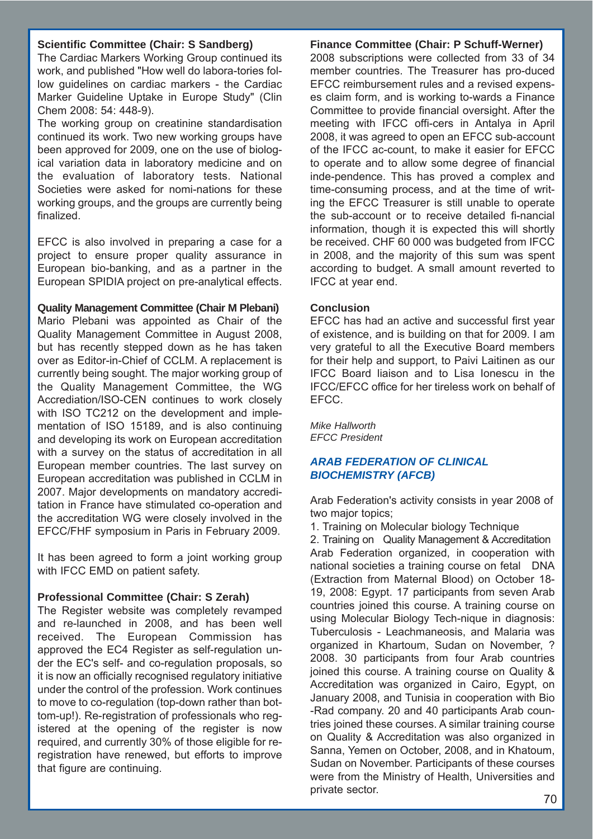## **Scientific Committee (Chair: S Sandberg)**

The Cardiac Markers Working Group continued its work, and published "How well do labora-tories follow guidelines on cardiac markers - the Cardiac Marker Guideline Uptake in Europe Study" (Clin Chem 2008: 54: 448-9).

The working group on creatinine standardisation continued its work. Two new working groups have been approved for 2009, one on the use of biological variation data in laboratory medicine and on the evaluation of laboratory tests. National Societies were asked for nomi-nations for these working groups, and the groups are currently being finalized.

EFCC is also involved in preparing a case for a project to ensure proper quality assurance in European bio-banking, and as a partner in the European SPIDIA project on pre-analytical effects.

#### **Quality Management Committee (Chair M Plebani)**

Mario Plebani was appointed as Chair of the Quality Management Committee in August 2008, but has recently stepped down as he has taken over as Editor-in-Chief of CCLM. A replacement is currently being sought. The major working group of the Quality Management Committee, the WG Accrediation/ISO-CEN continues to work closely with ISO TC212 on the development and implementation of ISO 15189, and is also continuing and developing its work on European accreditation with a survey on the status of accreditation in all European member countries. The last survey on European accreditation was published in CCLM in 2007. Major developments on mandatory accreditation in France have stimulated co-operation and the accreditation WG were closely involved in the EFCC/FHF symposium in Paris in February 2009.

It has been agreed to form a joint working group with IFCC EMD on patient safety.

## **Professional Committee (Chair: S Zerah)**

The Register website was completely revamped and re-launched in 2008, and has been well received. The European Commission has approved the EC4 Register as self-regulation under the EC's self- and co-regulation proposals, so it is now an officially recognised regulatory initiative under the control of the profession. Work continues to move to co-regulation (top-down rather than bottom-up!). Re-registration of professionals who registered at the opening of the register is now required, and currently 30% of those eligible for reregistration have renewed, but efforts to improve that figure are continuing.

#### **Finance Committee (Chair: P Schuff-Werner)**

2008 subscriptions were collected from 33 of 34 member countries. The Treasurer has pro-duced EFCC reimbursement rules and a revised expenses claim form, and is working to-wards a Finance Committee to provide financial oversight. After the meeting with IFCC offi-cers in Antalya in April 2008, it was agreed to open an EFCC sub-account of the IFCC ac-count, to make it easier for EFCC to operate and to allow some degree of financial inde-pendence. This has proved a complex and time-consuming process, and at the time of writing the EFCC Treasurer is still unable to operate the sub-account or to receive detailed fi-nancial information, though it is expected this will shortly be received. CHF 60 000 was budgeted from IFCC in 2008, and the majority of this sum was spent according to budget. A small amount reverted to IFCC at year end.

#### **Conclusion**

EFCC has had an active and successful first year of existence, and is building on that for 2009. I am very grateful to all the Executive Board members for their help and support, to Paivi Laitinen as our IFCC Board liaison and to Lisa Ionescu in the IFCC/EFCC office for her tireless work on behalf of EFCC.

*Mike Hallworth EFCC President*

## *ARAB FEDERATION OF CLINICAL BIOCHEMISTRY (AFCB)*

Arab Federation's activity consists in year 2008 of two major topics;

1. Training on Molecular biology Technique

2. Training on Quality Management & Accreditation Arab Federation organized, in cooperation with national societies a training course on fetal DNA (Extraction from Maternal Blood) on October 18- 19, 2008: Egypt. 17 participants from seven Arab countries joined this course. A training course on using Molecular Biology Tech-nique in diagnosis: Tuberculosis - Leachmaneosis, and Malaria was organized in Khartoum, Sudan on November, ? 2008. 30 participants from four Arab countries joined this course. A training course on Quality & Accreditation was organized in Cairo, Egypt, on January 2008, and Tunisia in cooperation with Bio -Rad company. 20 and 40 participants Arab countries joined these courses. A similar training course on Quality & Accreditation was also organized in Sanna, Yemen on October, 2008, and in Khatoum, Sudan on November. Participants of these courses were from the Ministry of Health, Universities and private sector. 70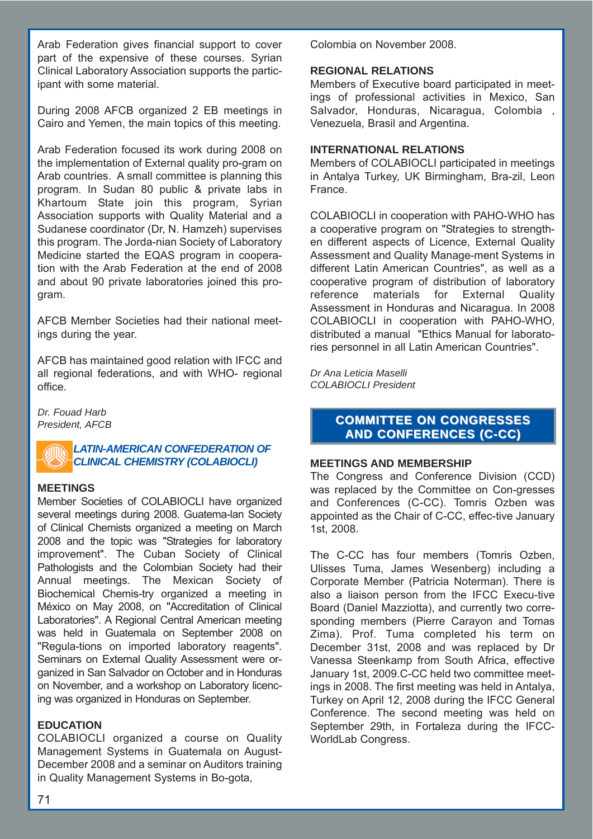Arab Federation gives financial support to cover part of the expensive of these courses. Syrian Clinical Laboratory Association supports the participant with some material.

During 2008 AFCB organized 2 EB meetings in Cairo and Yemen, the main topics of this meeting.

Arab Federation focused its work during 2008 on the implementation of External quality pro-gram on Arab countries. A small committee is planning this program. In Sudan 80 public & private labs in Khartoum State join this program, Syrian Association supports with Quality Material and a Sudanese coordinator (Dr, N. Hamzeh) supervises this program. The Jorda-nian Society of Laboratory Medicine started the EQAS program in cooperation with the Arab Federation at the end of 2008 and about 90 private laboratories joined this program.

AFCB Member Societies had their national meetings during the year.

AFCB has maintained good relation with IFCC and all regional federations, and with WHO- regional office.

*Dr. Fouad Harb President, AFCB*



#### **MEETINGS**

Member Societies of COLABIOCLI have organized several meetings during 2008. Guatema-lan Society of Clinical Chemists organized a meeting on March 2008 and the topic was "Strategies for laboratory improvement". The Cuban Society of Clinical Pathologists and the Colombian Society had their Annual meetings. The Mexican Society of Biochemical Chemis-try organized a meeting in México on May 2008, on "Accreditation of Clinical Laboratories". A Regional Central American meeting was held in Guatemala on September 2008 on "Regula-tions on imported laboratory reagents". Seminars on External Quality Assessment were organized in San Salvador on October and in Honduras on November, and a workshop on Laboratory licencing was organized in Honduras on September.

# **EDUCATION**

COLABIOCLI organized a course on Quality Management Systems in Guatemala on August-December 2008 and a seminar on Auditors training in Quality Management Systems in Bo-gota,

Colombia on November 2008.

## **REGIONAL RELATIONS**

Members of Executive board participated in meetings of professional activities in Mexico, San Salvador, Honduras, Nicaragua, Colombia , Venezuela, Brasil and Argentina.

## **INTERNATIONAL RELATIONS**

Members of COLABIOCLI participated in meetings in Antalya Turkey, UK Birmingham, Bra-zil, Leon France.

COLABIOCLI in cooperation with PAHO-WHO has a cooperative program on "Strategies to strengthen different aspects of Licence, External Quality Assessment and Quality Manage-ment Systems in different Latin American Countries", as well as a cooperative program of distribution of laboratory reference materials for External Quality Assessment in Honduras and Nicaragua. In 2008 COLABIOCLI in cooperation with PAHO-WHO, distributed a manual "Ethics Manual for laboratories personnel in all Latin American Countries".

*Dr Ana Leticia Maselli COLABIOCLI President*

# **COMMITTEE ON CONGRESSES AND CONFERENCES (C-CC) AND CONFERENCES (C-CC)**

## **MEETINGS AND MEMBERSHIP**

The Congress and Conference Division (CCD) was replaced by the Committee on Con-gresses and Conferences (C-CC). Tomris Ozben was appointed as the Chair of C-CC, effec-tive January 1st, 2008.

The C-CC has four members (Tomris Ozben, Ulisses Tuma, James Wesenberg) including a Corporate Member (Patricia Noterman). There is also a liaison person from the IFCC Execu-tive Board (Daniel Mazziotta), and currently two corresponding members (Pierre Carayon and Tomas Zima). Prof. Tuma completed his term on December 31st, 2008 and was replaced by Dr Vanessa Steenkamp from South Africa, effective January 1st, 2009.C-CC held two committee meetings in 2008. The first meeting was held in Antalya, Turkey on April 12, 2008 during the IFCC General Conference. The second meeting was held on September 29th, in Fortaleza during the IFCC-WorldLab Congress.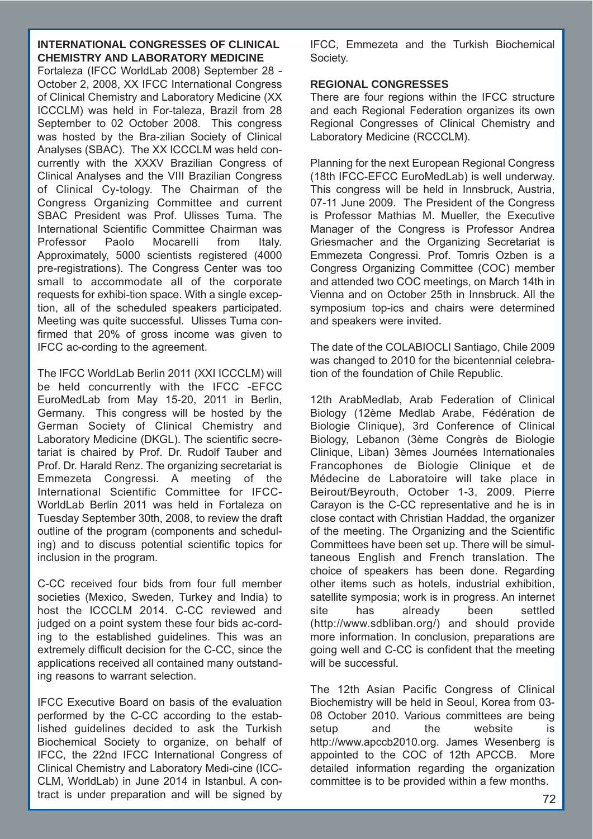## **INTERNATIONAL CONGRESSES OF CLINICAL CHEMISTRY AND LABORATORY MEDICINE**

Fortaleza (IFCC WorldLab 2008) September 28 - October 2, 2008, XX IFCC International Congress of Clinical Chemistry and Laboratory Medicine (XX ICCCLM) was held in For-taleza, Brazil from 28 September to 02 October 2008. This congress was hosted by the Bra-zilian Society of Clinical Analyses (SBAC). The XX ICCCLM was held concurrently with the XXXV Brazilian Congress of Clinical Analyses and the VIII Brazilian Congress of Clinical Cy-tology. The Chairman of the Congress Organizing Committee and current SBAC President was Prof. Ulisses Tuma. The International Scientific Committee Chairman was Professor Paolo Mocarelli from Italy. Approximately, 5000 scientists registered (4000 pre-registrations). The Congress Center was too small to accommodate all of the corporate requests for exhibi-tion space. With a single exception, all of the scheduled speakers participated. Meeting was quite successful. Ulisses Tuma confirmed that 20% of gross income was given to IFCC ac-cording to the agreement.

The IFCC WorldLab Berlin 2011 (XXI ICCCLM) will be held concurrently with the IFCC -EFCC EuroMedLab from May 15-20, 2011 in Berlin, Germany. This congress will be hosted by the German Society of Clinical Chemistry and Laboratory Medicine (DKGL). The scientific secretariat is chaired by Prof. Dr. Rudolf Tauber and Prof. Dr. Harald Renz. The organizing secretariat is Emmezeta Congressi. A meeting of the International Scientific Committee for IFCC-WorldLab Berlin 2011 was held in Fortaleza on Tuesday September 30th, 2008, to review the draft outline of the program (components and scheduling) and to discuss potential scientific topics for inclusion in the program.

C-CC received four bids from four full member societies (Mexico, Sweden, Turkey and India) to host the ICCCLM 2014. C-CC reviewed and judged on a point system these four bids ac-cording to the established guidelines. This was an extremely difficult decision for the C-CC, since the applications received all contained many outstanding reasons to warrant selection.

IFCC Executive Board on basis of the evaluation performed by the C-CC according to the established guidelines decided to ask the Turkish Biochemical Society to organize, on behalf of IFCC, the 22nd IFCC International Congress of Clinical Chemistry and Laboratory Medi-cine (ICC-CLM, WorldLab) in June 2014 in Istanbul. A contract is under preparation and will be signed by IFCC, Emmezeta and the Turkish Biochemical Society.

## **REGIONAL CONGRESSES**

There are four regions within the IFCC structure and each Regional Federation organizes its own Regional Congresses of Clinical Chemistry and Laboratory Medicine (RCCCLM).

Planning for the next European Regional Congress (18th IFCC-EFCC EuroMedLab) is well underway. This congress will be held in Innsbruck, Austria, 07-11 June 2009. The President of the Congress is Professor Mathias M. Mueller, the Executive Manager of the Congress is Professor Andrea Griesmacher and the Organizing Secretariat is Emmezeta Congressi. Prof. Tomris Ozben is a Congress Organizing Committee (COC) member and attended two COC meetings, on March 14th in Vienna and on October 25th in Innsbruck. All the symposium top-ics and chairs were determined and speakers were invited.

The date of the COLABIOCLI Santiago, Chile 2009 was changed to 2010 for the bicentennial celebration of the foundation of Chile Republic.

12th ArabMedlab, Arab Federation of Clinical Biology (12ème Medlab Arabe, Fédération de Biologie Clinique), 3rd Conference of Clinical Biology, Lebanon (3ème Congrès de Biologie Clinique, Liban) 3èmes Journées Internationales Francophones de Biologie Clinique et de Médecine de Laboratoire will take place in Beirout/Beyrouth, October 1-3, 2009. Pierre Carayon is the C-CC representative and he is in close contact with Christian Haddad, the organizer of the meeting. The Organizing and the Scientific Committees have been set up. There will be simultaneous English and French translation. The choice of speakers has been done. Regarding other items such as hotels, industrial exhibition, satellite symposia; work is in progress. An internet site has already been settled (http://www.sdbliban.org/) and should provide more information. In conclusion, preparations are going well and C-CC is confident that the meeting will be successful.

The 12th Asian Pacific Congress of Clinical Biochemistry will be held in Seoul, Korea from 03- 08 October 2010. Various committees are being setup and the website is http://www.apccb2010.org. James Wesenberg is appointed to the COC of 12th APCCB. More detailed information regarding the organization committee is to be provided within a few months.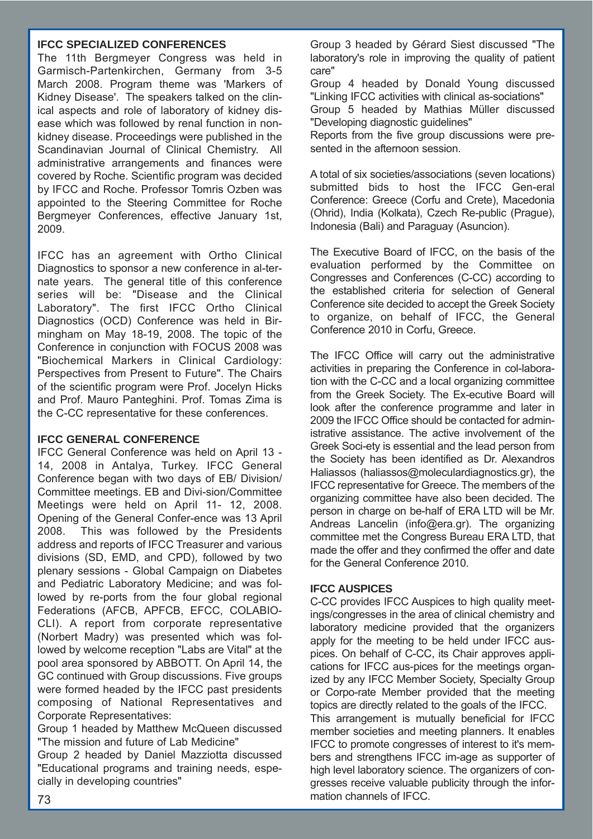#### **IFCC SPECIALIZED CONFERENCES**

The 11th Bergmeyer Congress was held in Garmisch-Partenkirchen, Germany from 3-5 March 2008. Program theme was 'Markers of Kidney Disease'. The speakers talked on the clinical aspects and role of laboratory of kidney disease which was followed by renal function in nonkidney disease. Proceedings were published in the Scandinavian Journal of Clinical Chemistry. All administrative arrangements and finances were covered by Roche. Scientific program was decided by IFCC and Roche. Professor Tomris Ozben was appointed to the Steering Committee for Roche Bergmeyer Conferences, effective January 1st, 2009.

IFCC has an agreement with Ortho Clinical Diagnostics to sponsor a new conference in al-ternate years. The general title of this conference series will be: "Disease and the Clinical Laboratory". The first IFCC Ortho Clinical Diagnostics (OCD) Conference was held in Birmingham on May 18-19, 2008. The topic of the Conference in conjunction with FOCUS 2008 was "Biochemical Markers in Clinical Cardiology: Perspectives from Present to Future". The Chairs of the scientific program were Prof. Jocelyn Hicks and Prof. Mauro Panteghini. Prof. Tomas Zima is the C-CC representative for these conferences.

#### **IFCC GENERAL CONFERENCE**

IFCC General Conference was held on April 13 - 14, 2008 in Antalya, Turkey. IFCC General Conference began with two days of EB/ Division/ Committee meetings. EB and Divi-sion/Committee Meetings were held on April 11- 12, 2008. Opening of the General Confer-ence was 13 April 2008. This was followed by the Presidents address and reports of IFCC Treasurer and various divisions (SD, EMD, and CPD), followed by two plenary sessions - Global Campaign on Diabetes and Pediatric Laboratory Medicine; and was followed by re-ports from the four global regional Federations (AFCB, APFCB, EFCC, COLABIO-CLI). A report from corporate representative (Norbert Madry) was presented which was followed by welcome reception "Labs are Vital" at the pool area sponsored by ABBOTT. On April 14, the GC continued with Group discussions. Five groups were formed headed by the IFCC past presidents composing of National Representatives and Corporate Representatives:

Group 1 headed by Matthew McQueen discussed "The mission and future of Lab Medicine"

Group 2 headed by Daniel Mazziotta discussed "Educational programs and training needs, especially in developing countries"

Group 3 headed by Gérard Siest discussed "The laboratory's role in improving the quality of patient care"

Group 4 headed by Donald Young discussed "Linking IFCC activities with clinical as-sociations" Group 5 headed by Mathias Müller discussed "Developing diagnostic guidelines"

Reports from the five group discussions were presented in the afternoon session.

A total of six societies/associations (seven locations) submitted bids to host the IFCC Gen-eral Conference: Greece (Corfu and Crete), Macedonia (Ohrid), India (Kolkata), Czech Re-public (Prague), Indonesia (Bali) and Paraguay (Asuncion).

The Executive Board of IFCC, on the basis of the evaluation performed by the Committee on Congresses and Conferences (C-CC) according to the established criteria for selection of General Conference site decided to accept the Greek Society to organize, on behalf of IFCC, the General Conference 2010 in Corfu, Greece.

The IFCC Office will carry out the administrative activities in preparing the Conference in col-laboration with the C-CC and a local organizing committee from the Greek Society. The Ex-ecutive Board will look after the conference programme and later in 2009 the IFCC Office should be contacted for administrative assistance. The active involvement of the Greek Soci-ety is essential and the lead person from the Society has been identified as Dr. Alexandros Haliassos (haliassos@moleculardiagnostics.gr), the IFCC representative for Greece. The members of the organizing committee have also been decided. The person in charge on be-half of ERA LTD will be Mr. Andreas Lancelin (info@era.gr). The organizing committee met the Congress Bureau ERA LTD, that made the offer and they confirmed the offer and date for the General Conference 2010.

# **IFCC AUSPICES**

C-CC provides IFCC Auspices to high quality meetings/congresses in the area of clinical chemistry and laboratory medicine provided that the organizers apply for the meeting to be held under IFCC auspices. On behalf of C-CC, its Chair approves applications for IFCC aus-pices for the meetings organized by any IFCC Member Society, Specialty Group or Corpo-rate Member provided that the meeting topics are directly related to the goals of the IFCC. This arrangement is mutually beneficial for IFCC member societies and meeting planners. It enables IFCC to promote congresses of interest to it's members and strengthens IFCC im-age as supporter of high level laboratory science. The organizers of congresses receive valuable publicity through the information channels of IFCC. 73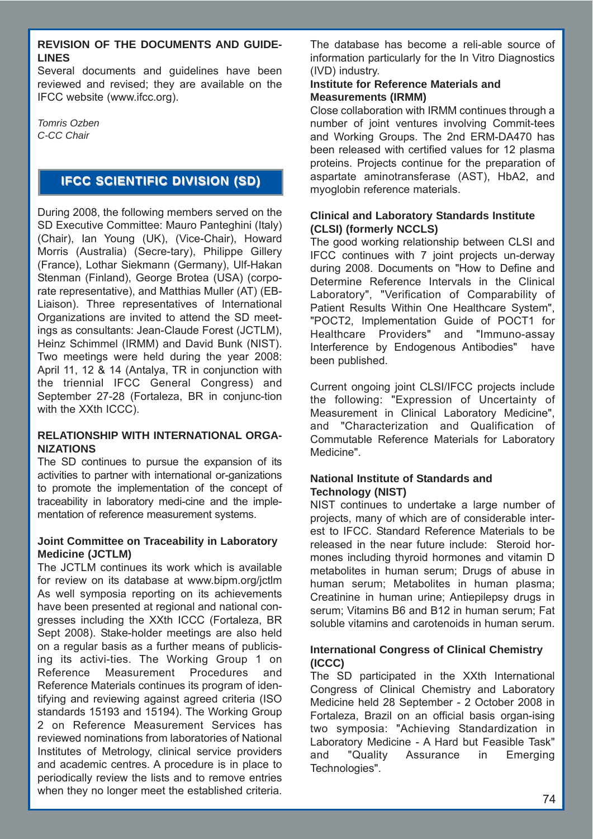#### **REVISION OF THE DOCUMENTS AND GUIDE-LINES**

Several documents and guidelines have been reviewed and revised; they are available on the IFCC website (www.ifcc.org).

*Tomris Ozben C-CC Chair* 

# **IFCC SCIENTIFIC DIVISION (SD) IFCC SCIENTIFIC DIVISION (SD)**

During 2008, the following members served on the SD Executive Committee: Mauro Panteghini (Italy) (Chair), Ian Young (UK), (Vice-Chair), Howard Morris (Australia) (Secre-tary), Philippe Gillery (France), Lothar Siekmann (Germany), Ulf-Hakan Stenman (Finland), George Brotea (USA) (corporate representative), and Matthias Muller (AT) (EB-Liaison). Three representatives of International Organizations are invited to attend the SD meetings as consultants: Jean-Claude Forest (JCTLM), Heinz Schimmel (IRMM) and David Bunk (NIST). Two meetings were held during the year 2008: April 11, 12 & 14 (Antalya, TR in conjunction with the triennial IFCC General Congress) and September 27-28 (Fortaleza, BR in conjunc-tion with the XXth ICCC).

#### **RELATIONSHIP WITH INTERNATIONAL ORGA-NIZATIONS**

The SD continues to pursue the expansion of its activities to partner with international or-ganizations to promote the implementation of the concept of traceability in laboratory medi-cine and the implementation of reference measurement systems.

#### **Joint Committee on Traceability in Laboratory Medicine (JCTLM)**

The JCTLM continues its work which is available for review on its database at www.bipm.org/jctlm As well symposia reporting on its achievements have been presented at regional and national congresses including the XXth ICCC (Fortaleza, BR Sept 2008). Stake-holder meetings are also held on a regular basis as a further means of publicising its activi-ties. The Working Group 1 on Reference Measurement Procedures and Reference Materials continues its program of identifying and reviewing against agreed criteria (ISO standards 15193 and 15194). The Working Group 2 on Reference Measurement Services has reviewed nominations from laboratories of National Institutes of Metrology, clinical service providers and academic centres. A procedure is in place to periodically review the lists and to remove entries when they no longer meet the established criteria. The database has become a reli-able source of information particularly for the In Vitro Diagnostics (IVD) industry.

#### **Institute for Reference Materials and Measurements (IRMM)**

Close collaboration with IRMM continues through a number of joint ventures involving Commit-tees and Working Groups. The 2nd ERM-DA470 has been released with certified values for 12 plasma proteins. Projects continue for the preparation of aspartate aminotransferase (AST), HbA2, and myoglobin reference materials.

### **Clinical and Laboratory Standards Institute (CLSI) (formerly NCCLS)**

The good working relationship between CLSI and IFCC continues with 7 joint projects un-derway during 2008. Documents on "How to Define and Determine Reference Intervals in the Clinical Laboratory", "Verification of Comparability of Patient Results Within One Healthcare System", "POCT2, Implementation Guide of POCT1 for Healthcare Providers" and "Immuno-assay Interference by Endogenous Antibodies" have been published.

Current ongoing joint CLSI/IFCC projects include the following: "Expression of Uncertainty of Measurement in Clinical Laboratory Medicine", and "Characterization and Qualification of Commutable Reference Materials for Laboratory Medicine".

### **National Institute of Standards and Technology (NIST)**

NIST continues to undertake a large number of projects, many of which are of considerable interest to IFCC. Standard Reference Materials to be released in the near future include: Steroid hormones including thyroid hormones and vitamin D metabolites in human serum; Drugs of abuse in human serum; Metabolites in human plasma; Creatinine in human urine; Antiepilepsy drugs in serum; Vitamins B6 and B12 in human serum; Fat soluble vitamins and carotenoids in human serum.

### **International Congress of Clinical Chemistry (ICCC)**

The SD participated in the XXth International Congress of Clinical Chemistry and Laboratory Medicine held 28 September - 2 October 2008 in Fortaleza, Brazil on an official basis organ-ising two symposia: "Achieving Standardization in Laboratory Medicine - A Hard but Feasible Task" and "Quality Assurance in Emerging Technologies".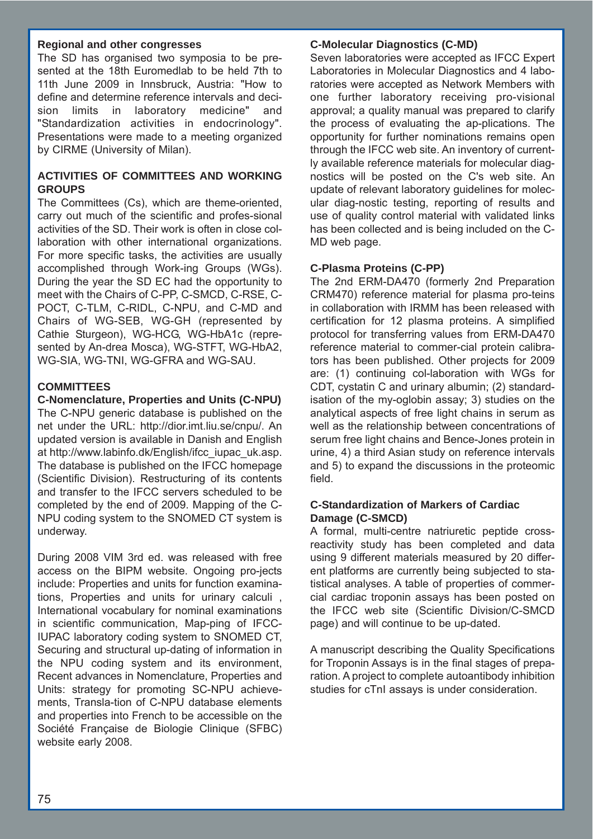#### **Regional and other congresses**

The SD has organised two symposia to be presented at the 18th Euromedlab to be held 7th to 11th June 2009 in Innsbruck, Austria: "How to define and determine reference intervals and decision limits in laboratory medicine" and "Standardization activities in endocrinology". Presentations were made to a meeting organized by CIRME (University of Milan).

# **ACTIVITIES OF COMMITTEES AND WORKING GROUPS**

The Committees (Cs), which are theme-oriented, carry out much of the scientific and profes-sional activities of the SD. Their work is often in close collaboration with other international organizations. For more specific tasks, the activities are usually accomplished through Work-ing Groups (WGs). During the year the SD EC had the opportunity to meet with the Chairs of C-PP, C-SMCD, C-RSE, C-POCT, C-TLM, C-RIDL, C-NPU, and C-MD and Chairs of WG-SEB, WG-GH (represented by Cathie Sturgeon), WG-HCG, WG-HbA1c (represented by An-drea Mosca), WG-STFT, WG-HbA2, WG-SIA, WG-TNI, WG-GFRA and WG-SAU.

# **COMMITTEES**

**C-Nomenclature, Properties and Units (C-NPU)** The C-NPU generic database is published on the net under the URL: http://dior.imt.liu.se/cnpu/. An updated version is available in Danish and English at http://www.labinfo.dk/English/ifcc\_iupac\_uk.asp. The database is published on the IFCC homepage (Scientific Division). Restructuring of its contents and transfer to the IFCC servers scheduled to be completed by the end of 2009. Mapping of the C-NPU coding system to the SNOMED CT system is underway.

During 2008 VIM 3rd ed. was released with free access on the BIPM website. Ongoing pro-jects include: Properties and units for function examinations, Properties and units for urinary calculi , International vocabulary for nominal examinations in scientific communication, Map-ping of IFCC-IUPAC laboratory coding system to SNOMED CT, Securing and structural up-dating of information in the NPU coding system and its environment, Recent advances in Nomenclature, Properties and Units: strategy for promoting SC-NPU achievements, Transla-tion of C-NPU database elements and properties into French to be accessible on the Société Française de Biologie Clinique (SFBC) website early 2008.

#### **C-Molecular Diagnostics (C-MD)**

Seven laboratories were accepted as IFCC Expert Laboratories in Molecular Diagnostics and 4 laboratories were accepted as Network Members with one further laboratory receiving pro-visional approval; a quality manual was prepared to clarify the process of evaluating the ap-plications. The opportunity for further nominations remains open through the IFCC web site. An inventory of currently available reference materials for molecular diagnostics will be posted on the C's web site. An update of relevant laboratory guidelines for molecular diag-nostic testing, reporting of results and use of quality control material with validated links has been collected and is being included on the C-MD web page.

### **C-Plasma Proteins (C-PP)**

The 2nd ERM-DA470 (formerly 2nd Preparation CRM470) reference material for plasma pro-teins in collaboration with IRMM has been released with certification for 12 plasma proteins. A simplified protocol for transferring values from ERM-DA470 reference material to commer-cial protein calibrators has been published. Other projects for 2009 are: (1) continuing col-laboration with WGs for CDT, cystatin C and urinary albumin; (2) standardisation of the my-oglobin assay; 3) studies on the analytical aspects of free light chains in serum as well as the relationship between concentrations of serum free light chains and Bence-Jones protein in urine, 4) a third Asian study on reference intervals and 5) to expand the discussions in the proteomic field.

#### **C-Standardization of Markers of Cardiac Damage (C-SMCD)**

A formal, multi-centre natriuretic peptide crossreactivity study has been completed and data using 9 different materials measured by 20 different platforms are currently being subjected to statistical analyses. A table of properties of commercial cardiac troponin assays has been posted on the IFCC web site (Scientific Division/C-SMCD page) and will continue to be up-dated.

A manuscript describing the Quality Specifications for Troponin Assays is in the final stages of preparation. A project to complete autoantibody inhibition studies for cTnI assays is under consideration.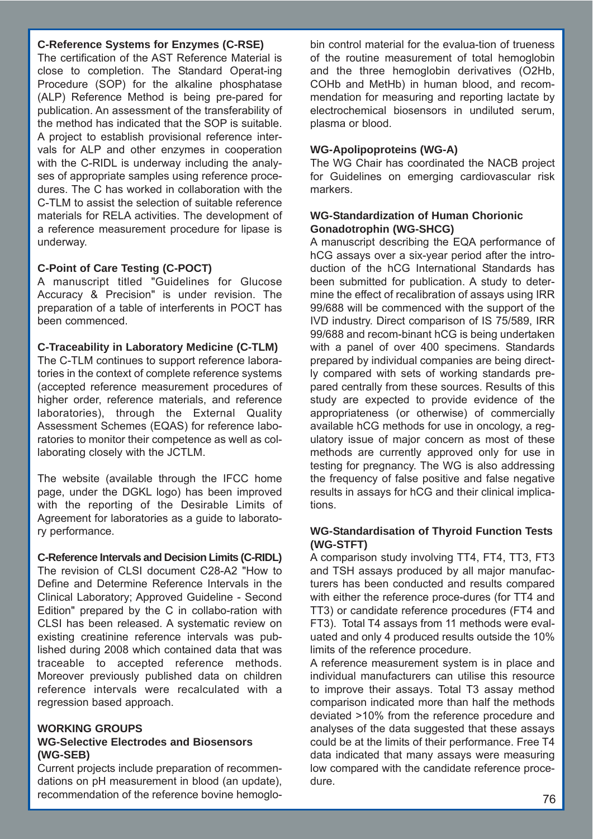#### **C-Reference Systems for Enzymes (C-RSE)**

The certification of the AST Reference Material is close to completion. The Standard Operat-ing Procedure (SOP) for the alkaline phosphatase (ALP) Reference Method is being pre-pared for publication. An assessment of the transferability of the method has indicated that the SOP is suitable. A project to establish provisional reference intervals for ALP and other enzymes in cooperation with the C-RIDL is underway including the analyses of appropriate samples using reference procedures. The C has worked in collaboration with the C-TLM to assist the selection of suitable reference materials for RELA activities. The development of a reference measurement procedure for lipase is underway.

#### **C-Point of Care Testing (C-POCT)**

A manuscript titled "Guidelines for Glucose Accuracy & Precision" is under revision. The preparation of a table of interferents in POCT has been commenced.

#### **C-Traceability in Laboratory Medicine (C-TLM)**

The C-TLM continues to support reference laboratories in the context of complete reference systems (accepted reference measurement procedures of higher order, reference materials, and reference laboratories), through the External Quality Assessment Schemes (EQAS) for reference laboratories to monitor their competence as well as collaborating closely with the JCTLM.

The website (available through the IFCC home page, under the DGKL logo) has been improved with the reporting of the Desirable Limits of Agreement for laboratories as a guide to laboratory performance.

**C-Reference Intervals and Decision Limits (C-RIDL)** The revision of CLSI document C28-A2 "How to Define and Determine Reference Intervals in the Clinical Laboratory; Approved Guideline - Second Edition" prepared by the C in collabo-ration with CLSI has been released. A systematic review on existing creatinine reference intervals was published during 2008 which contained data that was traceable to accepted reference methods. Moreover previously published data on children reference intervals were recalculated with a regression based approach.

#### **WORKING GROUPS**

#### **WG-Selective Electrodes and Biosensors (WG-SEB)**

Current projects include preparation of recommendations on pH measurement in blood (an update), recommendation of the reference bovine hemoglobin control material for the evalua-tion of trueness of the routine measurement of total hemoglobin and the three hemoglobin derivatives (O2Hb, COHb and MetHb) in human blood, and recommendation for measuring and reporting lactate by electrochemical biosensors in undiluted serum, plasma or blood.

# **WG-Apolipoproteins (WG-A)**

The WG Chair has coordinated the NACB project for Guidelines on emerging cardiovascular risk markers.

### **WG-Standardization of Human Chorionic Gonadotrophin (WG-SHCG)**

A manuscript describing the EQA performance of hCG assays over a six-year period after the introduction of the hCG International Standards has been submitted for publication. A study to determine the effect of recalibration of assays using IRR 99/688 will be commenced with the support of the IVD industry. Direct comparison of IS 75/589, IRR 99/688 and recom-binant hCG is being undertaken with a panel of over 400 specimens. Standards prepared by individual companies are being directly compared with sets of working standards prepared centrally from these sources. Results of this study are expected to provide evidence of the appropriateness (or otherwise) of commercially available hCG methods for use in oncology, a regulatory issue of major concern as most of these methods are currently approved only for use in testing for pregnancy. The WG is also addressing the frequency of false positive and false negative results in assays for hCG and their clinical implications.

# **WG-Standardisation of Thyroid Function Tests (WG-STFT)**

A comparison study involving TT4, FT4, TT3, FT3 and TSH assays produced by all major manufacturers has been conducted and results compared with either the reference proce-dures (for TT4 and TT3) or candidate reference procedures (FT4 and FT3). Total T4 assays from 11 methods were evaluated and only 4 produced results outside the 10% limits of the reference procedure.

A reference measurement system is in place and individual manufacturers can utilise this resource to improve their assays. Total T3 assay method comparison indicated more than half the methods deviated >10% from the reference procedure and analyses of the data suggested that these assays could be at the limits of their performance. Free T4 data indicated that many assays were measuring low compared with the candidate reference procedure.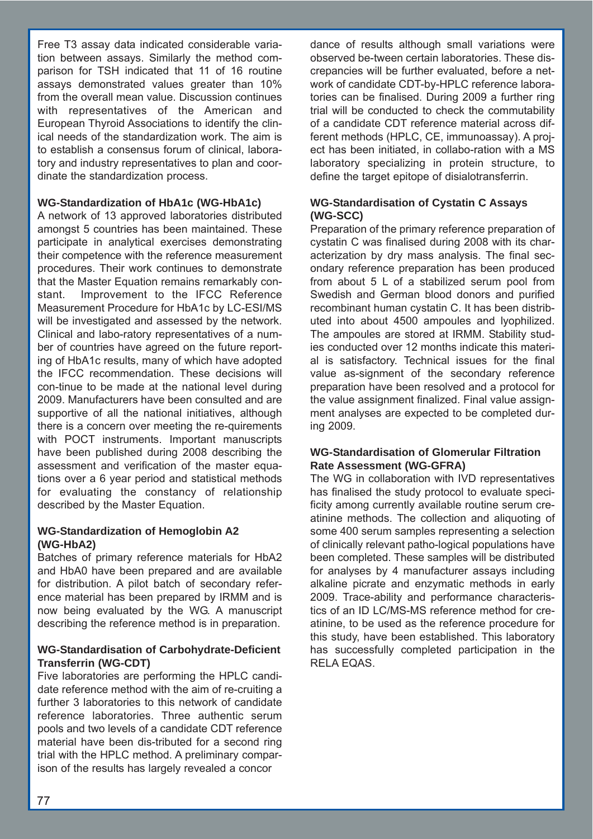Free T3 assay data indicated considerable variation between assays. Similarly the method comparison for TSH indicated that 11 of 16 routine assays demonstrated values greater than 10% from the overall mean value. Discussion continues with representatives of the American and European Thyroid Associations to identify the clinical needs of the standardization work. The aim is to establish a consensus forum of clinical, laboratory and industry representatives to plan and coordinate the standardization process.

### **WG-Standardization of HbA1c (WG-HbA1c)**

A network of 13 approved laboratories distributed amongst 5 countries has been maintained. These participate in analytical exercises demonstrating their competence with the reference measurement procedures. Their work continues to demonstrate that the Master Equation remains remarkably constant. Improvement to the IFCC Reference Measurement Procedure for HbA1c by LC-ESI/MS will be investigated and assessed by the network. Clinical and labo-ratory representatives of a number of countries have agreed on the future reporting of HbA1c results, many of which have adopted the IFCC recommendation. These decisions will con-tinue to be made at the national level during 2009. Manufacturers have been consulted and are supportive of all the national initiatives, although there is a concern over meeting the re-quirements with POCT instruments. Important manuscripts have been published during 2008 describing the assessment and verification of the master equations over a 6 year period and statistical methods for evaluating the constancy of relationship described by the Master Equation.

### **WG-Standardization of Hemoglobin A2 (WG-HbA2)**

Batches of primary reference materials for HbA2 and HbA0 have been prepared and are available for distribution. A pilot batch of secondary reference material has been prepared by IRMM and is now being evaluated by the WG. A manuscript describing the reference method is in preparation.

### **WG-Standardisation of Carbohydrate-Deficient Transferrin (WG-CDT)**

Five laboratories are performing the HPLC candidate reference method with the aim of re-cruiting a further 3 laboratories to this network of candidate reference laboratories. Three authentic serum pools and two levels of a candidate CDT reference material have been dis-tributed for a second ring trial with the HPLC method. A preliminary comparison of the results has largely revealed a concor

dance of results although small variations were observed be-tween certain laboratories. These discrepancies will be further evaluated, before a network of candidate CDT-by-HPLC reference laboratories can be finalised. During 2009 a further ring trial will be conducted to check the commutability of a candidate CDT reference material across different methods (HPLC, CE, immunoassay). A project has been initiated, in collabo-ration with a MS laboratory specializing in protein structure, to define the target epitope of disialotransferrin.

### **WG-Standardisation of Cystatin C Assays (WG-SCC)**

Preparation of the primary reference preparation of cystatin C was finalised during 2008 with its characterization by dry mass analysis. The final secondary reference preparation has been produced from about 5 L of a stabilized serum pool from Swedish and German blood donors and purified recombinant human cystatin C. It has been distributed into about 4500 ampoules and lyophilized. The ampoules are stored at IRMM. Stability studies conducted over 12 months indicate this material is satisfactory. Technical issues for the final value as-signment of the secondary reference preparation have been resolved and a protocol for the value assignment finalized. Final value assignment analyses are expected to be completed during 2009.

#### **WG-Standardisation of Glomerular Filtration Rate Assessment (WG-GFRA)**

The WG in collaboration with IVD representatives has finalised the study protocol to evaluate specificity among currently available routine serum creatinine methods. The collection and aliquoting of some 400 serum samples representing a selection of clinically relevant patho-logical populations have been completed. These samples will be distributed for analyses by 4 manufacturer assays including alkaline picrate and enzymatic methods in early 2009. Trace-ability and performance characteristics of an ID LC/MS-MS reference method for creatinine, to be used as the reference procedure for this study, have been established. This laboratory has successfully completed participation in the RELA EQAS.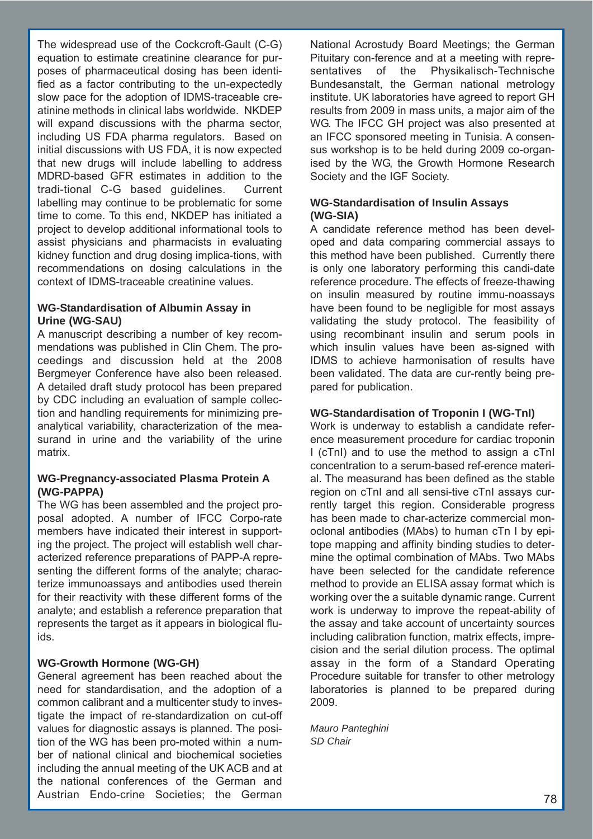The widespread use of the Cockcroft-Gault (C-G) equation to estimate creatinine clearance for purposes of pharmaceutical dosing has been identified as a factor contributing to the un-expectedly slow pace for the adoption of IDMS-traceable creatinine methods in clinical labs worldwide. NKDEP will expand discussions with the pharma sector, including US FDA pharma regulators. Based on initial discussions with US FDA, it is now expected that new drugs will include labelling to address MDRD-based GFR estimates in addition to the tradi-tional C-G based guidelines. Current labelling may continue to be problematic for some time to come. To this end, NKDEP has initiated a project to develop additional informational tools to assist physicians and pharmacists in evaluating kidney function and drug dosing implica-tions, with recommendations on dosing calculations in the context of IDMS-traceable creatinine values.

#### **WG-Standardisation of Albumin Assay in Urine (WG-SAU)**

A manuscript describing a number of key recommendations was published in Clin Chem. The proceedings and discussion held at the 2008 Bergmeyer Conference have also been released. A detailed draft study protocol has been prepared by CDC including an evaluation of sample collection and handling requirements for minimizing preanalytical variability, characterization of the measurand in urine and the variability of the urine matrix.

### **WG-Pregnancy-associated Plasma Protein A (WG-PAPPA)**

The WG has been assembled and the project proposal adopted. A number of IFCC Corpo-rate members have indicated their interest in supporting the project. The project will establish well characterized reference preparations of PAPP-A representing the different forms of the analyte; characterize immunoassays and antibodies used therein for their reactivity with these different forms of the analyte; and establish a reference preparation that represents the target as it appears in biological fluids.

# **WG-Growth Hormone (WG-GH)**

General agreement has been reached about the need for standardisation, and the adoption of a common calibrant and a multicenter study to investigate the impact of re-standardization on cut-off values for diagnostic assays is planned. The position of the WG has been pro-moted within a number of national clinical and biochemical societies including the annual meeting of the UK ACB and at the national conferences of the German and Austrian Endo-crine Societies; the German

National Acrostudy Board Meetings; the German Pituitary con-ference and at a meeting with representatives of the Physikalisch-Technische Bundesanstalt, the German national metrology institute. UK laboratories have agreed to report GH results from 2009 in mass units, a major aim of the WG. The IFCC GH project was also presented at an IFCC sponsored meeting in Tunisia. A consensus workshop is to be held during 2009 co-organised by the WG, the Growth Hormone Research Society and the IGF Society.

### **WG-Standardisation of Insulin Assays (WG-SIA)**

A candidate reference method has been developed and data comparing commercial assays to this method have been published. Currently there is only one laboratory performing this candi-date reference procedure. The effects of freeze-thawing on insulin measured by routine immu-noassays have been found to be negligible for most assays validating the study protocol. The feasibility of using recombinant insulin and serum pools in which insulin values have been as-signed with IDMS to achieve harmonisation of results have been validated. The data are cur-rently being prepared for publication.

### **WG-Standardisation of Troponin I (WG-TnI)**

Work is underway to establish a candidate reference measurement procedure for cardiac troponin I (cTnI) and to use the method to assign a cTnI concentration to a serum-based ref-erence material. The measurand has been defined as the stable region on cTnI and all sensi-tive cTnI assays currently target this region. Considerable progress has been made to char-acterize commercial monoclonal antibodies (MAbs) to human cTn I by epitope mapping and affinity binding studies to determine the optimal combination of MAbs. Two MAbs have been selected for the candidate reference method to provide an ELISA assay format which is working over the a suitable dynamic range. Current work is underway to improve the repeat-ability of the assay and take account of uncertainty sources including calibration function, matrix effects, imprecision and the serial dilution process. The optimal assay in the form of a Standard Operating Procedure suitable for transfer to other metrology laboratories is planned to be prepared during 2009.

*Mauro Panteghini SD Chair*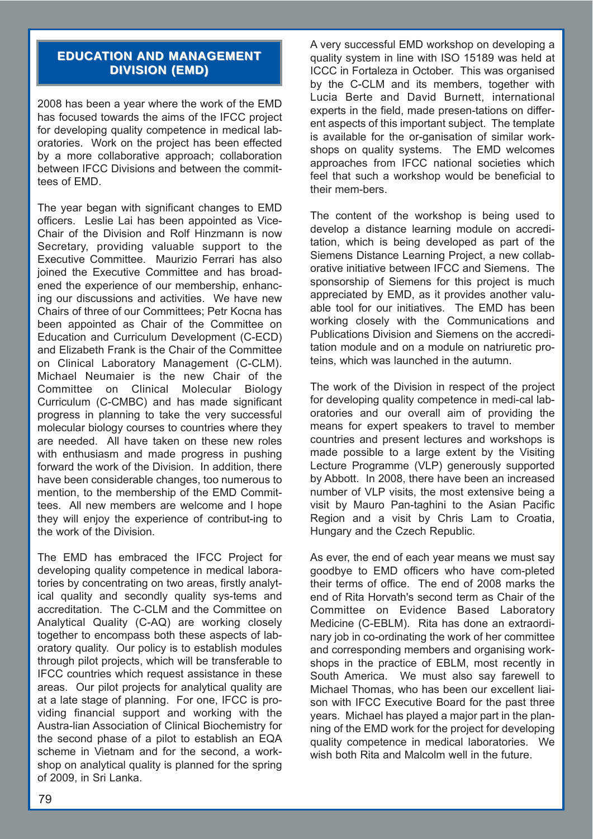# **EDUCATION AND MANAGEMENT DIVISION (EMD) DIVISION (EMD)**

2008 has been a year where the work of the EMD has focused towards the aims of the IFCC project for developing quality competence in medical laboratories. Work on the project has been effected by a more collaborative approach; collaboration between IFCC Divisions and between the committees of EMD.

The year began with significant changes to EMD officers. Leslie Lai has been appointed as Vice-Chair of the Division and Rolf Hinzmann is now Secretary, providing valuable support to the Executive Committee. Maurizio Ferrari has also joined the Executive Committee and has broadened the experience of our membership, enhancing our discussions and activities. We have new Chairs of three of our Committees; Petr Kocna has been appointed as Chair of the Committee on Education and Curriculum Development (C-ECD) and Elizabeth Frank is the Chair of the Committee on Clinical Laboratory Management (C-CLM). Michael Neumaier is the new Chair of the Committee on Clinical Molecular Biology Curriculum (C-CMBC) and has made significant progress in planning to take the very successful molecular biology courses to countries where they are needed. All have taken on these new roles with enthusiasm and made progress in pushing forward the work of the Division. In addition, there have been considerable changes, too numerous to mention, to the membership of the EMD Committees. All new members are welcome and I hope they will enjoy the experience of contribut-ing to the work of the Division.

The EMD has embraced the IFCC Project for developing quality competence in medical laboratories by concentrating on two areas, firstly analytical quality and secondly quality sys-tems and accreditation. The C-CLM and the Committee on Analytical Quality (C-AQ) are working closely together to encompass both these aspects of laboratory quality. Our policy is to establish modules through pilot projects, which will be transferable to IFCC countries which request assistance in these areas. Our pilot projects for analytical quality are at a late stage of planning. For one, IFCC is providing financial support and working with the Austra-lian Association of Clinical Biochemistry for the second phase of a pilot to establish an EQA scheme in Vietnam and for the second, a workshop on analytical quality is planned for the spring of 2009, in Sri Lanka.

A very successful EMD workshop on developing a quality system in line with ISO 15189 was held at ICCC in Fortaleza in October. This was organised by the C-CLM and its members, together with Lucia Berte and David Burnett, international experts in the field, made presen-tations on different aspects of this important subject. The template is available for the or-ganisation of similar workshops on quality systems. The EMD welcomes approaches from IFCC national societies which feel that such a workshop would be beneficial to their mem-bers.

The content of the workshop is being used to develop a distance learning module on accreditation, which is being developed as part of the Siemens Distance Learning Project, a new collaborative initiative between IFCC and Siemens. The sponsorship of Siemens for this project is much appreciated by EMD, as it provides another valuable tool for our initiatives. The EMD has been working closely with the Communications and Publications Division and Siemens on the accreditation module and on a module on natriuretic proteins, which was launched in the autumn.

The work of the Division in respect of the project for developing quality competence in medi-cal laboratories and our overall aim of providing the means for expert speakers to travel to member countries and present lectures and workshops is made possible to a large extent by the Visiting Lecture Programme (VLP) generously supported by Abbott. In 2008, there have been an increased number of VLP visits, the most extensive being a visit by Mauro Pan-taghini to the Asian Pacific Region and a visit by Chris Lam to Croatia, Hungary and the Czech Republic.

As ever, the end of each year means we must say goodbye to EMD officers who have com-pleted their terms of office. The end of 2008 marks the end of Rita Horvath's second term as Chair of the Committee on Evidence Based Laboratory Medicine (C-EBLM). Rita has done an extraordinary job in co-ordinating the work of her committee and corresponding members and organising workshops in the practice of EBLM, most recently in South America. We must also say farewell to Michael Thomas, who has been our excellent liaison with IFCC Executive Board for the past three years. Michael has played a major part in the planning of the EMD work for the project for developing quality competence in medical laboratories. We wish both Rita and Malcolm well in the future.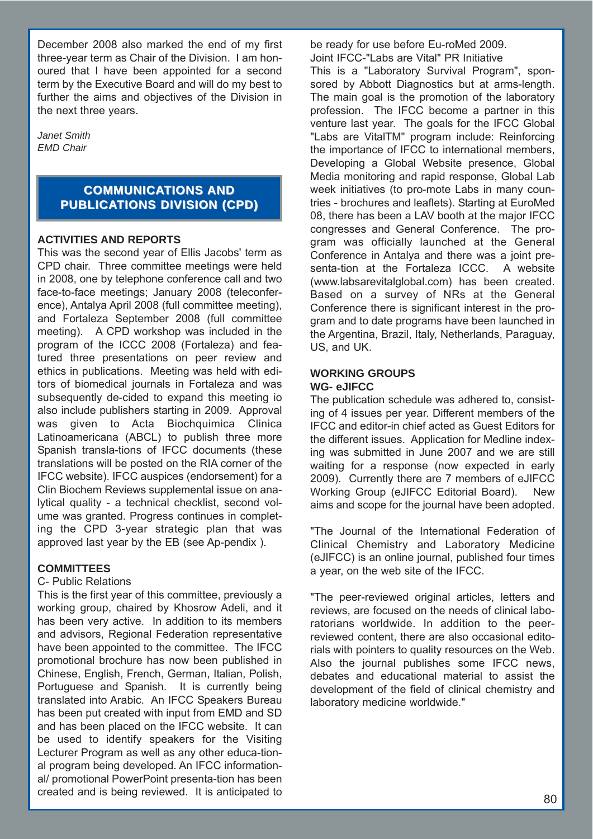December 2008 also marked the end of my first three-year term as Chair of the Division. I am honoured that I have been appointed for a second term by the Executive Board and will do my best to further the aims and objectives of the Division in the next three years.

*Janet Smith EMD Chair*

# **COMMUNICATIONS AND PUBLICATIONS DIVISION (CPD)**

### **ACTIVITIES AND REPORTS**

This was the second year of Ellis Jacobs' term as CPD chair. Three committee meetings were held in 2008, one by telephone conference call and two face-to-face meetings; January 2008 (teleconference), Antalya April 2008 (full committee meeting), and Fortaleza September 2008 (full committee meeting). A CPD workshop was included in the program of the ICCC 2008 (Fortaleza) and featured three presentations on peer review and ethics in publications. Meeting was held with editors of biomedical journals in Fortaleza and was subsequently de-cided to expand this meeting io also include publishers starting in 2009. Approval was given to Acta Biochquimica Clinica Latinoamericana (ABCL) to publish three more Spanish transla-tions of IFCC documents (these translations will be posted on the RIA corner of the IFCC website). IFCC auspices (endorsement) for a Clin Biochem Reviews supplemental issue on analytical quality - a technical checklist, second volume was granted. Progress continues in completing the CPD 3-year strategic plan that was approved last year by the EB (see Ap-pendix ).

# **COMMITTEES**

#### C- Public Relations

This is the first year of this committee, previously a working group, chaired by Khosrow Adeli, and it has been very active. In addition to its members and advisors, Regional Federation representative have been appointed to the committee. The IFCC promotional brochure has now been published in Chinese, English, French, German, Italian, Polish, Portuguese and Spanish. It is currently being translated into Arabic. An IFCC Speakers Bureau has been put created with input from EMD and SD and has been placed on the IFCC website. It can be used to identify speakers for the Visiting Lecturer Program as well as any other educa-tional program being developed. An IFCC informational/ promotional PowerPoint presenta-tion has been created and is being reviewed. It is anticipated to be ready for use before Eu-roMed 2009. Joint IFCC-"Labs are Vital" PR Initiative

This is a "Laboratory Survival Program", sponsored by Abbott Diagnostics but at arms-length. The main goal is the promotion of the laboratory profession. The IFCC become a partner in this venture last year. The goals for the IFCC Global "Labs are VitalTM" program include: Reinforcing the importance of IFCC to international members, Developing a Global Website presence, Global Media monitoring and rapid response, Global Lab week initiatives (to pro-mote Labs in many countries - brochures and leaflets). Starting at EuroMed 08, there has been a LAV booth at the major IFCC congresses and General Conference. The program was officially launched at the General Conference in Antalya and there was a joint presenta-tion at the Fortaleza ICCC. A website (www.labsarevitalglobal.com) has been created. Based on a survey of NRs at the General Conference there is significant interest in the program and to date programs have been launched in the Argentina, Brazil, Italy, Netherlands, Paraguay, US, and UK.

#### **WORKING GROUPS WG- eJIFCC**

The publication schedule was adhered to, consisting of 4 issues per year. Different members of the IFCC and editor-in chief acted as Guest Editors for the different issues. Application for Medline indexing was submitted in June 2007 and we are still waiting for a response (now expected in early 2009). Currently there are 7 members of eJIFCC Working Group (eJIFCC Editorial Board). New aims and scope for the journal have been adopted.

"The Journal of the International Federation of Clinical Chemistry and Laboratory Medicine (eJIFCC) is an online journal, published four times a year, on the web site of the IFCC.

"The peer-reviewed original articles, letters and reviews, are focused on the needs of clinical laboratorians worldwide. In addition to the peerreviewed content, there are also occasional editorials with pointers to quality resources on the Web. Also the journal publishes some IFCC news, debates and educational material to assist the development of the field of clinical chemistry and laboratory medicine worldwide."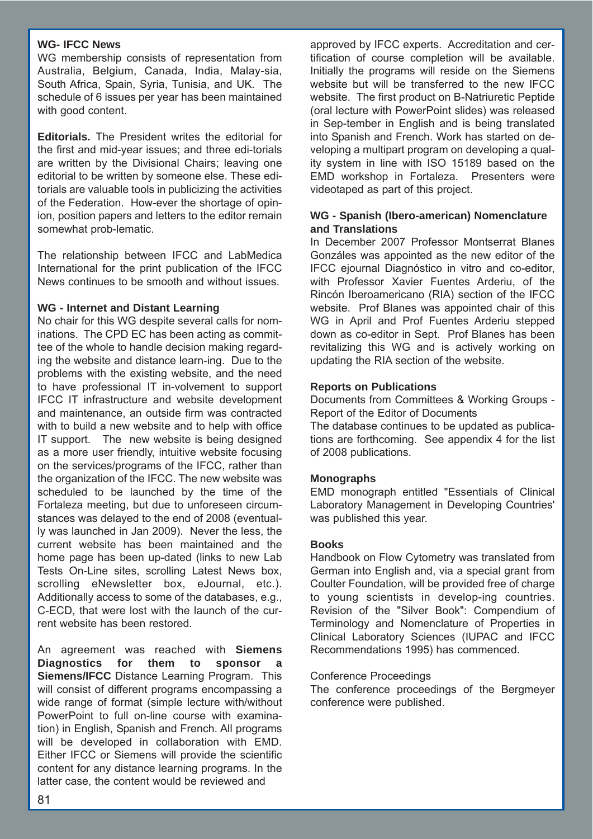#### **WG- IFCC News**

WG membership consists of representation from Australia, Belgium, Canada, India, Malay-sia, South Africa, Spain, Syria, Tunisia, and UK. The schedule of 6 issues per year has been maintained with good content.

**Editorials.** The President writes the editorial for the first and mid-year issues; and three edi-torials are written by the Divisional Chairs; leaving one editorial to be written by someone else. These editorials are valuable tools in publicizing the activities of the Federation. How-ever the shortage of opinion, position papers and letters to the editor remain somewhat prob-lematic.

The relationship between IFCC and LabMedica International for the print publication of the IFCC News continues to be smooth and without issues.

#### **WG - Internet and Distant Learning**

No chair for this WG despite several calls for nominations. The CPD EC has been acting as committee of the whole to handle decision making regarding the website and distance learn-ing. Due to the problems with the existing website, and the need to have professional IT in-volvement to support IFCC IT infrastructure and website development and maintenance, an outside firm was contracted with to build a new website and to help with office IT support. The new website is being designed as a more user friendly, intuitive website focusing on the services/programs of the IFCC, rather than the organization of the IFCC. The new website was scheduled to be launched by the time of the Fortaleza meeting, but due to unforeseen circumstances was delayed to the end of 2008 (eventually was launched in Jan 2009). Never the less, the current website has been maintained and the home page has been up-dated (links to new Lab Tests On-Line sites, scrolling Latest News box, scrolling eNewsletter box, eJournal, etc.). Additionally access to some of the databases, e.g., C-ECD, that were lost with the launch of the current website has been restored.

An agreement was reached with **Siemens Diagnostics for them to sponsor a Siemens/IFCC** Distance Learning Program. This will consist of different programs encompassing a wide range of format (simple lecture with/without PowerPoint to full on-line course with examination) in English, Spanish and French. All programs will be developed in collaboration with EMD. Either IFCC or Siemens will provide the scientific content for any distance learning programs. In the latter case, the content would be reviewed and

approved by IFCC experts. Accreditation and certification of course completion will be available. Initially the programs will reside on the Siemens website but will be transferred to the new IFCC website. The first product on B-Natriuretic Peptide (oral lecture with PowerPoint slides) was released in Sep-tember in English and is being translated into Spanish and French. Work has started on developing a multipart program on developing a quality system in line with ISO 15189 based on the EMD workshop in Fortaleza. Presenters were videotaped as part of this project.

#### **WG - Spanish (Ibero-american) Nomenclature and Translations**

In December 2007 Professor Montserrat Blanes Gonzáles was appointed as the new editor of the IFCC ejournal Diagnóstico in vitro and co-editor, with Professor Xavier Fuentes Arderiu, of the Rincón Iberoamericano (RIA) section of the IFCC website. Prof Blanes was appointed chair of this WG in April and Prof Fuentes Arderiu stepped down as co-editor in Sept. Prof Blanes has been revitalizing this WG and is actively working on updating the RIA section of the website.

#### **Reports on Publications**

Documents from Committees & Working Groups - Report of the Editor of Documents

The database continues to be updated as publications are forthcoming. See appendix 4 for the list of 2008 publications.

#### **Monographs**

EMD monograph entitled "Essentials of Clinical Laboratory Management in Developing Countries' was published this year.

#### **Books**

Handbook on Flow Cytometry was translated from German into English and, via a special grant from Coulter Foundation, will be provided free of charge to young scientists in develop-ing countries. Revision of the "Silver Book": Compendium of Terminology and Nomenclature of Properties in Clinical Laboratory Sciences (IUPAC and IFCC Recommendations 1995) has commenced.

#### Conference Proceedings

The conference proceedings of the Bergmeyer conference were published.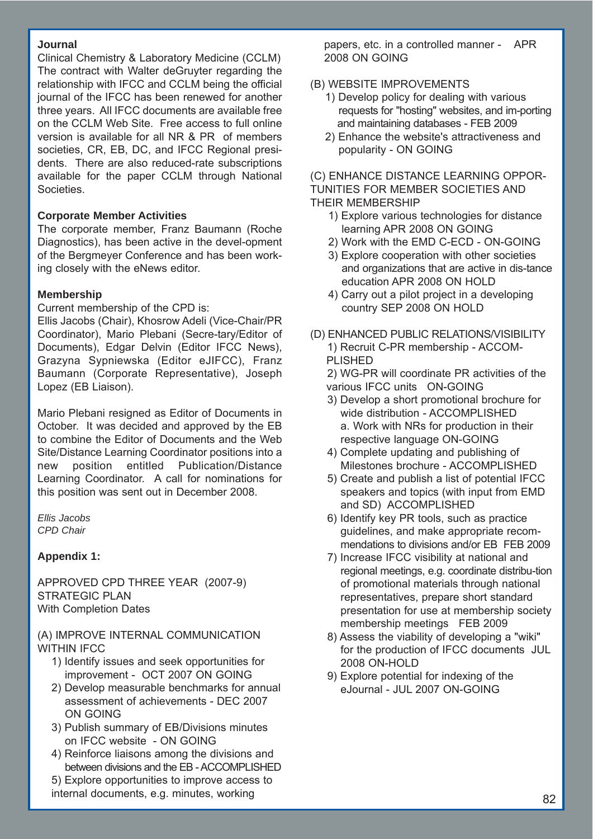#### **Journal**

Clinical Chemistry & Laboratory Medicine (CCLM) The contract with Walter deGruyter regarding the relationship with IFCC and CCLM being the official journal of the IFCC has been renewed for another three years. All IFCC documents are available free on the CCLM Web Site. Free access to full online version is available for all NR & PR of members societies, CR, EB, DC, and IFCC Regional presidents. There are also reduced-rate subscriptions available for the paper CCLM through National Societies.

#### **Corporate Member Activities**

The corporate member, Franz Baumann (Roche Diagnostics), has been active in the devel-opment of the Bergmeyer Conference and has been working closely with the eNews editor.

#### **Membership**

Current membership of the CPD is:

Ellis Jacobs (Chair), Khosrow Adeli (Vice-Chair/PR Coordinator), Mario Plebani (Secre-tary/Editor of Documents), Edgar Delvin (Editor IFCC News), Grazyna Sypniewska (Editor eJIFCC), Franz Baumann (Corporate Representative), Joseph Lopez (EB Liaison).

Mario Plebani resigned as Editor of Documents in October. It was decided and approved by the EB to combine the Editor of Documents and the Web Site/Distance Learning Coordinator positions into a new position entitled Publication/Distance Learning Coordinator. A call for nominations for this position was sent out in December 2008.

*Ellis Jacobs CPD Chair*

#### **Appendix 1:**

APPROVED CPD THREE YEAR (2007-9) STRATEGIC PLAN With Completion Dates

(A) IMPROVE INTERNAL COMMUNICATION WITHIN **IFCC** 

- 1) Identify issues and seek opportunities for improvement - OCT 2007 ON GOING
- 2) Develop measurable benchmarks for annual assessment of achievements - DEC 2007 ON GOING
- 3) Publish summary of EB/Divisions minutes on IFCC website - ON GOING
- 4) Reinforce liaisons among the divisions and between divisions and the EB - ACCOMPLISHED
- 5) Explore opportunities to improve access to internal documents, e.g. minutes, working

papers, etc. in a controlled manner - APR 2008 ON GOING

# (B) WEBSITE IMPROVEMENTS

- 1) Develop policy for dealing with various requests for "hosting" websites, and im-porting and maintaining databases - FEB 2009
- 2) Enhance the website's attractiveness and popularity - ON GOING

(C) ENHANCE DISTANCE LEARNING OPPOR-TUNITIES FOR MEMBER SOCIETIES AND THEIR MEMBERSHIP

- 1) Explore various technologies for distance learning APR 2008 ON GOING
- 2) Work with the EMD C-ECD ON-GOING
- 3) Explore cooperation with other societies and organizations that are active in dis-tance education APR 2008 ON HOLD
- 4) Carry out a pilot project in a developing country SEP 2008 ON HOLD
- (D) ENHANCED PUBLIC RELATIONS/VISIBILITY 1) Recruit C-PR membership - ACCOM-PLISHED

2) WG-PR will coordinate PR activities of the various IFCC units ON-GOING

- 3) Develop a short promotional brochure for wide distribution - ACCOMPLISHED a. Work with NRs for production in their respective language ON-GOING
- 4) Complete updating and publishing of Milestones brochure - ACCOMPLISHED
- 5) Create and publish a list of potential IFCC speakers and topics (with input from EMD and SD) ACCOMPLISHED
- 6) Identify key PR tools, such as practice guidelines, and make appropriate recommendations to divisions and/or EB FEB 2009
- 7) Increase IFCC visibility at national and regional meetings, e.g. coordinate distribu-tion of promotional materials through national representatives, prepare short standard presentation for use at membership society membership meetings FEB 2009
- 8) Assess the viability of developing a "wiki" for the production of IFCC documents JUL 2008 ON-HOLD
- 9) Explore potential for indexing of the eJournal - JUL 2007 ON-GOING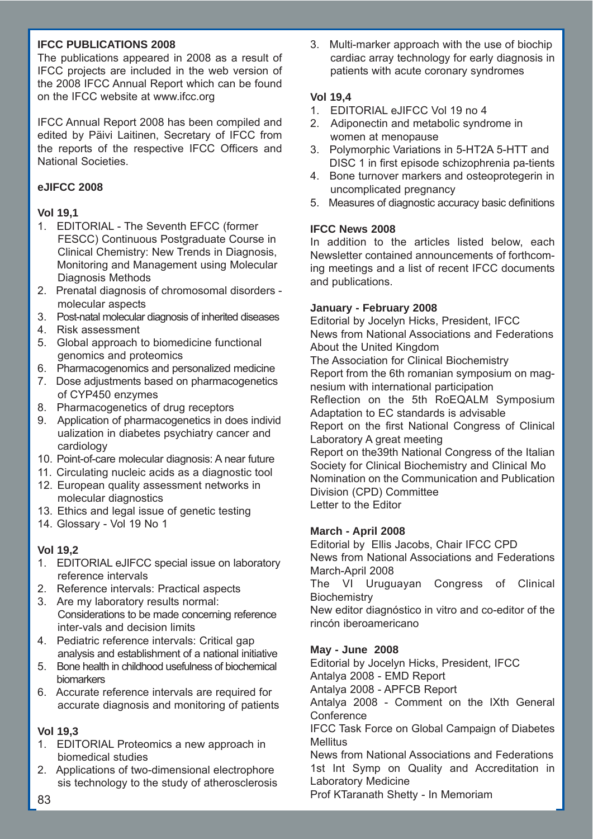### **IFCC PUBLICATIONS 2008**

The publications appeared in 2008 as a result of IFCC projects are included in the web version of the 2008 IFCC Annual Report which can be found on the IFCC website at www.ifcc.org

IFCC Annual Report 2008 has been compiled and edited by Päivi Laitinen, Secretary of IFCC from the reports of the respective IFCC Officers and National Societies.

# **eJIFCC 2008**

# **Vol 19,1**

- 1. EDITORIAL The Seventh EFCC (former FESCC) Continuous Postgraduate Course in Clinical Chemistry: New Trends in Diagnosis, Monitoring and Management using Molecular Diagnosis Methods
- 2. Prenatal diagnosis of chromosomal disorders molecular aspects
- 3. Post-natal molecular diagnosis of inherited diseases
- 4. Risk assessment
- 5. Global approach to biomedicine functional genomics and proteomics
- 6. Pharmacogenomics and personalized medicine
- 7. Dose adjustments based on pharmacogenetics of CYP450 enzymes
- 8. Pharmacogenetics of drug receptors
- 9. Application of pharmacogenetics in does individ ualization in diabetes psychiatry cancer and cardiology
- 10. Point-of-care molecular diagnosis: A near future
- 11. Circulating nucleic acids as a diagnostic tool
- 12. European quality assessment networks in molecular diagnostics
- 13. Ethics and legal issue of genetic testing
- 14. Glossary Vol 19 No 1

# **Vol 19,2**

- 1. EDITORIAL eJIFCC special issue on laboratory reference intervals
- 2. Reference intervals: Practical aspects
- 3. Are my laboratory results normal: Considerations to be made concerning reference inter-vals and decision limits
- 4. Pediatric reference intervals: Critical gap analysis and establishment of a national initiative
- 5. Bone health in childhood usefulness of biochemical biomarkers
- 6. Accurate reference intervals are required for accurate diagnosis and monitoring of patients

# **Vol 19,3**

- 1. EDITORIAL Proteomics a new approach in biomedical studies
- 2. Applications of two-dimensional electrophore sis technology to the study of atherosclerosis

3. Multi-marker approach with the use of biochip cardiac array technology for early diagnosis in patients with acute coronary syndromes

# **Vol 19,4**

- 1. EDITORIAL eJIFCC Vol 19 no 4
- 2. Adiponectin and metabolic syndrome in women at menopause
- 3. Polymorphic Variations in 5-HT2A 5-HTT and DISC 1 in first episode schizophrenia pa-tients
- 4. Bone turnover markers and osteoprotegerin in uncomplicated pregnancy
- 5. Measures of diagnostic accuracy basic definitions

# **IFCC News 2008**

In addition to the articles listed below, each Newsletter contained announcements of forthcoming meetings and a list of recent IFCC documents and publications.

### **January - February 2008**

Editorial by Jocelyn Hicks, President, IFCC News from National Associations and Federations About the United Kingdom The Association for Clinical Biochemistry Report from the 6th romanian symposium on magnesium with international participation Reflection on the 5th RoEQALM Symposium Adaptation to EC standards is advisable Report on the first National Congress of Clinical Laboratory A great meeting Report on the39th National Congress of the Italian Society for Clinical Biochemistry and Clinical Mo Nomination on the Communication and Publication Division (CPD) Committee Letter to the Editor

#### **March - April 2008**

Editorial by Ellis Jacobs, Chair IFCC CPD News from National Associations and Federations March-April 2008 The VI Uruguayan Congress of Clinical

**Biochemistry** 

New editor diagnóstico in vitro and co-editor of the rincón iberoamericano

# **May - June 2008**

Editorial by Jocelyn Hicks, President, IFCC Antalya 2008 - EMD Report Antalya 2008 - APFCB Report Antalya 2008 - Comment on the IXth General **Conference** IFCC Task Force on Global Campaign of Diabetes Mellitus News from National Associations and Federations 1st Int Symp on Quality and Accreditation in

Laboratory Medicine Prof KTaranath Shetty - In Memoriam 83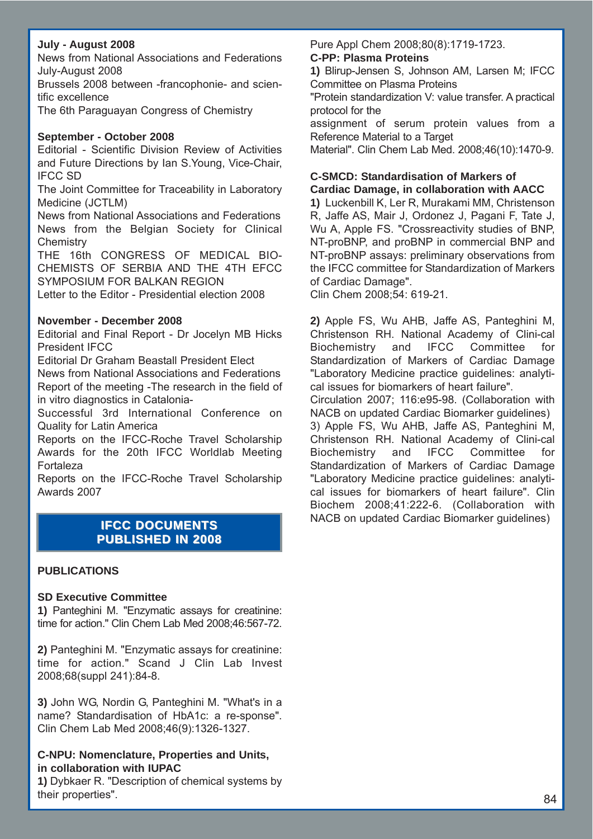### **July - August 2008**

News from National Associations and Federations July-August 2008

Brussels 2008 between -francophonie- and scientific excellence

The 6th Paraguayan Congress of Chemistry

#### **September - October 2008**

Editorial - Scientific Division Review of Activities and Future Directions by Ian S.Young, Vice-Chair, IFCC SD

The Joint Committee for Traceability in Laboratory Medicine (JCTLM)

News from National Associations and Federations News from the Belgian Society for Clinical **Chemistry** 

THE 16th CONGRESS OF MEDICAL BIO-CHEMISTS OF SERBIA AND THE 4TH EFCC SYMPOSIUM FOR BALKAN REGION

Letter to the Editor - Presidential election 2008

#### **November - December 2008**

Editorial and Final Report - Dr Jocelyn MB Hicks President IFCC

Editorial Dr Graham Beastall President Elect

News from National Associations and Federations Report of the meeting -The research in the field of in vitro diagnostics in Catalonia-

Successful 3rd International Conference on Quality for Latin America

Reports on the IFCC-Roche Travel Scholarship Awards for the 20th IFCC Worldlab Meeting Fortaleza

Reports on the IFCC-Roche Travel Scholarship Awards 2007

# **IFCC DOCUMENTS PUBLISHED IN 2008 PUBLISHED IN 2008**

#### **PUBLICATIONS**

#### **SD Executive Committee**

**1)** Panteghini M. "Enzymatic assays for creatinine: time for action." Clin Chem Lab Med 2008;46:567-72.

**2)** Panteghini M. "Enzymatic assays for creatinine: time for action." Scand J Clin Lab Invest 2008;68(suppl 241):84-8.

**3)** John WG, Nordin G, Panteghini M. "What's in a name? Standardisation of HbA1c: a re-sponse". Clin Chem Lab Med 2008;46(9):1326-1327.

#### **C-NPU: Nomenclature, Properties and Units, in collaboration with IUPAC**

**1)** Dybkaer R. "Description of chemical systems by their properties".

#### Pure Appl Chem 2008;80(8):1719-1723.

#### **C-PP: Plasma Proteins**

**1)** Blirup-Jensen S, Johnson AM, Larsen M; IFCC Committee on Plasma Proteins

"Protein standardization V: value transfer. A practical protocol for the

assignment of serum protein values from a Reference Material to a Target

Material". Clin Chem Lab Med. 2008;46(10):1470-9.

# **C-SMCD: Standardisation of Markers of**

**Cardiac Damage, in collaboration with AACC 1)** Luckenbill K, Ler R, Murakami MM, Christenson R, Jaffe AS, Mair J, Ordonez J, Pagani F, Tate J, Wu A, Apple FS. "Crossreactivity studies of BNP, NT-proBNP, and proBNP in commercial BNP and NT-proBNP assays: preliminary observations from the IFCC committee for Standardization of Markers of Cardiac Damage".

Clin Chem 2008;54: 619-21.

**2)** Apple FS, Wu AHB, Jaffe AS, Panteghini M, Christenson RH. National Academy of Clini-cal Biochemistry and IFCC Committee for Standardization of Markers of Cardiac Damage "Laboratory Medicine practice guidelines: analytical issues for biomarkers of heart failure".

Circulation 2007; 116:e95-98. (Collaboration with NACB on updated Cardiac Biomarker guidelines)

3) Apple FS, Wu AHB, Jaffe AS, Panteghini M, Christenson RH. National Academy of Clini-cal Biochemistry and IFCC Committee for Standardization of Markers of Cardiac Damage "Laboratory Medicine practice guidelines: analytical issues for biomarkers of heart failure". Clin Biochem 2008;41:222-6. (Collaboration with NACB on updated Cardiac Biomarker guidelines)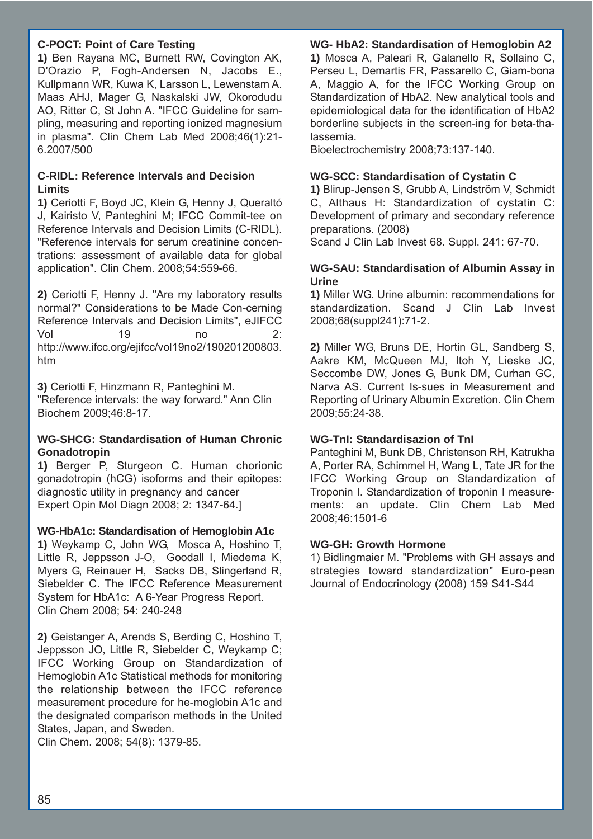### **C-POCT: Point of Care Testing**

**1)** Ben Rayana MC, Burnett RW, Covington AK, D'Orazio P, Fogh-Andersen N, Jacobs E., Kullpmann WR, Kuwa K, Larsson L, Lewenstam A. Maas AHJ, Mager G, Naskalski JW, Okorodudu AO, Ritter C, St John A. "IFCC Guideline for sampling, measuring and reporting ionized magnesium in plasma". Clin Chem Lab Med 2008;46(1):21- 6.2007/500

### **C-RIDL: Reference Intervals and Decision Limits**

**1)** Ceriotti F, Boyd JC, Klein G, Henny J, Queraltó J, Kairisto V, Panteghini M; IFCC Commit-tee on Reference Intervals and Decision Limits (C-RIDL). "Reference intervals for serum creatinine concentrations: assessment of available data for global application". Clin Chem. 2008;54:559-66.

**2)** Ceriotti F, Henny J. "Are my laboratory results normal?" Considerations to be Made Con-cerning Reference Intervals and Decision Limits", eJIFCC Vol 19 no 2: http://www.ifcc.org/ejifcc/vol19no2/190201200803. htm

**3)** Ceriotti F, Hinzmann R, Panteghini M. "Reference intervals: the way forward." Ann Clin Biochem 2009;46:8-17.

### **WG-SHCG: Standardisation of Human Chronic Gonadotropin**

**1)** Berger P, Sturgeon C. Human chorionic gonadotropin (hCG) isoforms and their epitopes: diagnostic utility in pregnancy and cancer Expert Opin Mol Diagn 2008; 2: 1347-64.]

#### **WG-HbA1c: Standardisation of Hemoglobin A1c**

**1)** Weykamp C, John WG, Mosca A, Hoshino T, Little R, Jeppsson J-O, Goodall I, Miedema K, Myers G, Reinauer H, Sacks DB, Slingerland R, Siebelder C. The IFCC Reference Measurement System for HbA1c: A 6-Year Progress Report. Clin Chem 2008; 54: 240-248

**2)** Geistanger A, Arends S, Berding C, Hoshino T, Jeppsson JO, Little R, Siebelder C, Weykamp C; IFCC Working Group on Standardization of Hemoglobin A1c Statistical methods for monitoring the relationship between the IFCC reference measurement procedure for he-moglobin A1c and the designated comparison methods in the United States, Japan, and Sweden.

Clin Chem. 2008; 54(8): 1379-85.

# **WG- HbA2: Standardisation of Hemoglobin A2**

**1)** Mosca A, Paleari R, Galanello R, Sollaino C, Perseu L, Demartis FR, Passarello C, Giam-bona A, Maggio A, for the IFCC Working Group on Standardization of HbA2. New analytical tools and epidemiological data for the identification of HbA2 borderline subjects in the screen-ing for beta-thalassemia.

Bioelectrochemistry 2008;73:137-140.

#### **WG-SCC: Standardisation of Cystatin C**

**1)** Blirup-Jensen S, Grubb A, Lindström V, Schmidt C, Althaus H: Standardization of cystatin C: Development of primary and secondary reference preparations. (2008)

Scand J Clin Lab Invest 68. Suppl. 241: 67-70.

### **WG-SAU: Standardisation of Albumin Assay in Urine**

**1)** Miller WG. Urine albumin: recommendations for standardization. Scand J Clin Lab Invest 2008;68(suppl241):71-2.

**2)** Miller WG, Bruns DE, Hortin GL, Sandberg S, Aakre KM, McQueen MJ, Itoh Y, Lieske JC, Seccombe DW, Jones G, Bunk DM, Curhan GC, Narva AS. Current Is-sues in Measurement and Reporting of Urinary Albumin Excretion. Clin Chem 2009;55:24-38.

# **WG-TnI: Standardisazion of TnI**

Panteghini M, Bunk DB, Christenson RH, Katrukha A, Porter RA, Schimmel H, Wang L, Tate JR for the IFCC Working Group on Standardization of Troponin I. Standardization of troponin I measurements: an update. Clin Chem Lab Med 2008;46:1501-6

#### **WG-GH: Growth Hormone**

1) Bidlingmaier M. "Problems with GH assays and strategies toward standardization" Euro-pean Journal of Endocrinology (2008) 159 S41-S44